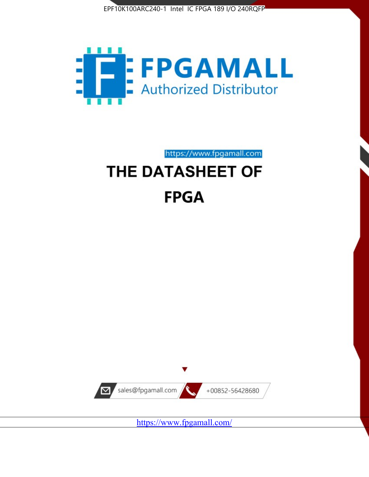



https://www.fpgamall.com THE DATASHEET OF

# **FPGA**



<https://www.fpgamall.com/>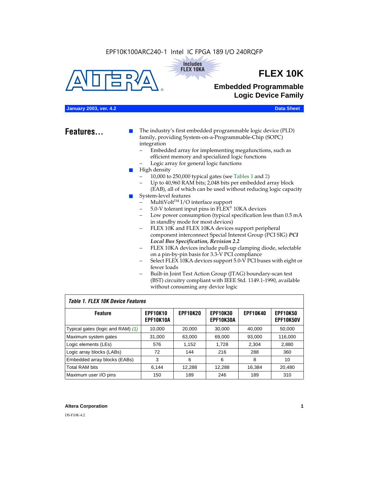#### EPF10K100ARC240-1 Intel IC FPGA 189 I/O 240RQFP





## **FLEX 10K**

## **Embedded Programmable Logic Device Family**

#### **January 2003, ver. 4.2 Data Sheet**

**Features...** ■ The industry's first embedded programmable logic device (PLD) family, providing System-on-a-Programmable-Chip (SOPC) integration

- Embedded array for implementing megafunctions, such as efficient memory and specialized logic functions
- Logic array for general logic functions
- High density
	- 10,000 to 250,000 typical gates (see Tables 1 and 2)
	- Up to 40,960 RAM bits; 2,048 bits per embedded array block (EAB), all of which can be used without reducing logic capacity
- System-level features
	- $MultiVolt<sup>TM</sup> I/O interface support$
	- 5.0-V tolerant input pins in FLEX® 10KA devices
	- Low power consumption (typical specification less than 0.5 mA in standby mode for most devices)
	- FLEX 10K and FLEX 10KA devices support peripheral component interconnect Special Interest Group (PCI SIG) *PCI Local Bus Specification, Revision 2.2*
	- FLEX 10KA devices include pull-up clamping diode, selectable on a pin-by-pin basis for 3.3-V PCI compliance
	- Select FLEX 10KA devices support 5.0-V PCI buses with eight or fewer loads
	- Built-in Joint Test Action Group (JTAG) boundary-scan test (BST) circuitry compliant with IEEE Std. 1149.1-1990, available without consuming any device logic

#### *Table 1. FLEX 10K Device Features*

| <b>Feature</b>                    | <b>EPF10K10</b><br>EPF10K10A | <b>EPF10K20</b> | <b>EPF10K30</b><br><b>EPF10K30A</b> | <b>EPF10K40</b> | <b>EPF10K50</b><br><b>EPF10K50V</b> |
|-----------------------------------|------------------------------|-----------------|-------------------------------------|-----------------|-------------------------------------|
| Typical gates (logic and RAM) (1) | 10,000                       | 20,000          | 30,000                              | 40,000          | 50,000                              |
| Maximum system gates              | 31,000                       | 63,000          | 69,000                              | 93,000          | 116,000                             |
| Logic elements (LEs)              | 576                          | 1,152           | 1,728                               | 2,304           | 2,880                               |
| Logic array blocks (LABs)         | 72                           | 144             | 216                                 | 288             | 360                                 |
| Embedded array blocks (EABs)      | 3                            | 6               | 6                                   | 8               | 10                                  |
| <b>Total RAM bits</b>             | 6.144                        | 12,288          | 12,288                              | 16,384          | 20,480                              |
| Maximum user I/O pins             | 150                          | 189             | 246                                 | 189             | 310                                 |

#### **Altera Corporation 1**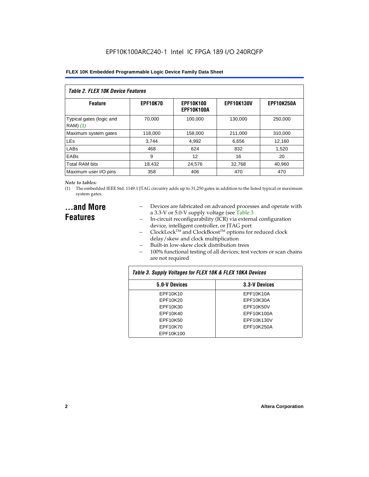| Table 2. FLEX 10K Device Features    |                 |                                |                   |                   |  |
|--------------------------------------|-----------------|--------------------------------|-------------------|-------------------|--|
| <b>Feature</b>                       | <b>EPF10K70</b> | <b>EPF10K100</b><br>EPF10K100A | <b>EPF10K130V</b> | <b>EPF10K250A</b> |  |
| Typical gates (logic and<br>RAM) (1) | 70.000          | 100.000                        | 130.000           | 250,000           |  |
| Maximum system gates                 | 118,000         | 158,000                        | 211,000           | 310,000           |  |
| <b>LEs</b>                           | 3.744           | 4,992                          | 6,656             | 12,160            |  |
| LABs                                 | 468             | 624                            | 832               | 1.520             |  |
| EABs                                 | 9               | 12                             | 16                | 20                |  |
| <b>Total RAM bits</b>                | 18,432          | 24.576                         | 32,768            | 40,960            |  |
| Maximum user I/O pins                | 358             | 406                            | 470               | 470               |  |

#### *Note to tables:*

(1) The embedded IEEE Std. 1149.1 JTAG circuitry adds up to 31,250 gates in addition to the listed typical or maximum system gates.

## **...and More Features**

- Devices are fabricated on advanced processes and operate with a 3.3-V or 5.0-V supply voltage (see Table 3
- In-circuit reconfigurability (ICR) via external configuration device, intelligent controller, or JTAG port
- $ClockLock^{TM}$  and  $ClockBoost^{TM}$  options for reduced clock delay/skew and clock multiplication
- Built-in low-skew clock distribution trees
- 100% functional testing of all devices; test vectors or scan chains are not required

| Table 3. Supply Voltages for FLEX 10K & FLEX 10KA Devices |               |  |  |  |
|-----------------------------------------------------------|---------------|--|--|--|
| 5.0-V Devices                                             | 3.3-V Devices |  |  |  |
| EPF10K10                                                  | EPF10K10A     |  |  |  |
| EPF10K20                                                  | EPF10K30A     |  |  |  |
| EPF10K30                                                  | EPF10K50V     |  |  |  |
| EPF10K40                                                  | EPF10K100A    |  |  |  |
| EPF10K50                                                  | EPF10K130V    |  |  |  |
| EPF10K70                                                  | EPF10K250A    |  |  |  |
| EPF10K100                                                 |               |  |  |  |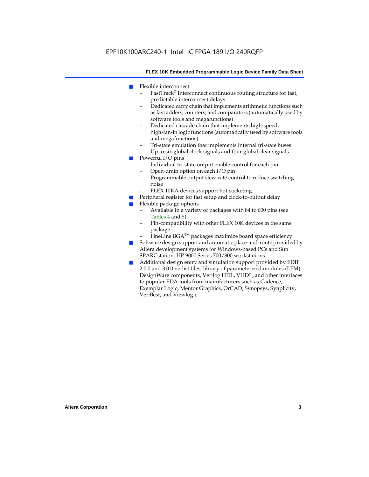- Flexible interconnect
	- FastTrack® Interconnect continuous routing structure for fast, predictable interconnect delays
	- Dedicated carry chain that implements arithmetic functions such as fast adders, counters, and comparators (automatically used by software tools and megafunctions)
	- Dedicated cascade chain that implements high-speed, high-fan-in logic functions (automatically used by software tools and megafunctions)
	- Tri-state emulation that implements internal tri-state buses
	- Up to six global clock signals and four global clear signals
- Powerful I/O pins
	- Individual tri-state output enable control for each pin
	- Open-drain option on each I/O pin
	- Programmable output slew-rate control to reduce switching noise
	- FLEX 10KA devices support hot-socketing
- Peripheral register for fast setup and clock-to-output delay
- Flexible package options
	- Available in a variety of packages with 84 to 600 pins (see Tables 4 and 5)
	- Pin-compatibility with other FLEX 10K devices in the same package
	- FineLine BGA<sup>TM</sup> packages maximize board space efficiency
- Software design support and automatic place-and-route provided by Altera development systems for Windows-based PCs and Sun SPARCstation, HP 9000 Series 700/800 workstations
- Additional design entry and simulation support provided by EDIF 2 0 0 and 3 0 0 netlist files, library of parameterized modules (LPM), DesignWare components, Verilog HDL, VHDL, and other interfaces to popular EDA tools from manufacturers such as Cadence, Exemplar Logic, Mentor Graphics, OrCAD, Synopsys, Synplicity, VeriBest, and Viewlogic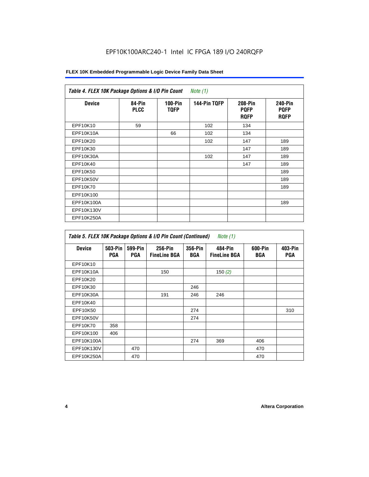## EPF10K100ARC240-1 Intel IC FPGA 189 I/O 240RQFP

| FLEX 10K Embedded Programmable Logic Device Family Data Sheet |
|---------------------------------------------------------------|
|---------------------------------------------------------------|

| <b>Device</b> | 84-Pin<br><b>PLCC</b> | $100-Pin$<br><b>TQFP</b> | 144-Pin TQFP | 208-Pin<br><b>PQFP</b><br><b>ROFP</b> | 240-Pin<br><b>PQFP</b><br><b>ROFP</b> |
|---------------|-----------------------|--------------------------|--------------|---------------------------------------|---------------------------------------|
| EPF10K10      | 59                    |                          | 102          | 134                                   |                                       |
| EPF10K10A     |                       | 66                       | 102          | 134                                   |                                       |
| EPF10K20      |                       |                          | 102          | 147                                   | 189                                   |
| EPF10K30      |                       |                          |              | 147                                   | 189                                   |
| EPF10K30A     |                       |                          | 102          | 147                                   | 189                                   |
| EPF10K40      |                       |                          |              | 147                                   | 189                                   |
| EPF10K50      |                       |                          |              |                                       | 189                                   |
| EPF10K50V     |                       |                          |              |                                       | 189                                   |
| EPF10K70      |                       |                          |              |                                       | 189                                   |
| EPF10K100     |                       |                          |              |                                       |                                       |
| EPF10K100A    |                       |                          |              |                                       | 189                                   |
| EPF10K130V    |                       |                          |              |                                       |                                       |
| EPF10K250A    |                       |                          |              |                                       |                                       |

| Table 5. FLEX 10K Package Options & I/O Pin Count (Continued)<br>Note $(1)$ |                       |                       |                                |                       |                                |                |                       |
|-----------------------------------------------------------------------------|-----------------------|-----------------------|--------------------------------|-----------------------|--------------------------------|----------------|-----------------------|
| <b>Device</b>                                                               | 503-Pin<br><b>PGA</b> | 599-Pin<br><b>PGA</b> | 256-Pin<br><b>FineLine BGA</b> | 356-Pin<br><b>BGA</b> | 484-Pin<br><b>FineLine BGA</b> | 600-Pin<br>BGA | 403-Pin<br><b>PGA</b> |
| EPF10K10                                                                    |                       |                       |                                |                       |                                |                |                       |
| EPF10K10A                                                                   |                       |                       | 150                            |                       | 150 $(2)$                      |                |                       |
| EPF10K20                                                                    |                       |                       |                                |                       |                                |                |                       |
| EPF10K30                                                                    |                       |                       |                                | 246                   |                                |                |                       |
| EPF10K30A                                                                   |                       |                       | 191                            | 246                   | 246                            |                |                       |
| EPF10K40                                                                    |                       |                       |                                |                       |                                |                |                       |
| EPF10K50                                                                    |                       |                       |                                | 274                   |                                |                | 310                   |
| EPF10K50V                                                                   |                       |                       |                                | 274                   |                                |                |                       |
| EPF10K70                                                                    | 358                   |                       |                                |                       |                                |                |                       |
| EPF10K100                                                                   | 406                   |                       |                                |                       |                                |                |                       |
| EPF10K100A                                                                  |                       |                       |                                | 274                   | 369                            | 406            |                       |
| EPF10K130V                                                                  |                       | 470                   |                                |                       |                                | 470            |                       |
| EPF10K250A                                                                  |                       | 470                   |                                |                       |                                | 470            |                       |

 $\mathbf{r}$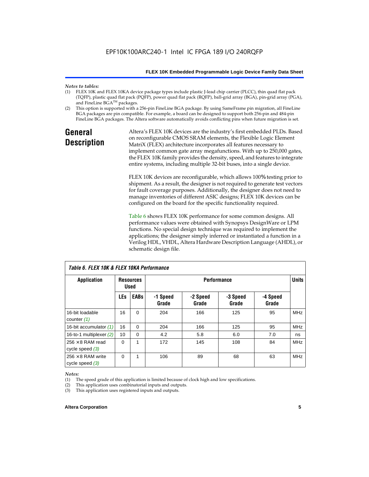## *Notes to tables:*

- FLEX 10K and FLEX 10KA device package types include plastic J-lead chip carrier (PLCC), thin quad flat pack (TQFP), plastic quad flat pack (PQFP), power quad flat pack (RQFP), ball-grid array (BGA), pin-grid array (PGA), and FineLine BGA™ packages.
- (2) This option is supported with a 256-pin FineLine BGA package. By using SameFrame pin migration, all FineLine BGA packages are pin compatible. For example, a board can be designed to support both 256-pin and 484-pin FineLine BGA packages. The Altera software automatically avoids conflicting pins when future migration is set.

## **General Description**

Altera's FLEX 10K devices are the industry's first embedded PLDs. Based on reconfigurable CMOS SRAM elements, the Flexible Logic Element MatriX (FLEX) architecture incorporates all features necessary to implement common gate array megafunctions. With up to 250,000 gates, the FLEX 10K family provides the density, speed, and features to integrate entire systems, including multiple 32-bit buses, into a single device.

FLEX 10K devices are reconfigurable, which allows 100% testing prior to shipment. As a result, the designer is not required to generate test vectors for fault coverage purposes. Additionally, the designer does not need to manage inventories of different ASIC designs; FLEX 10K devices can be configured on the board for the specific functionality required.

Table 6 shows FLEX 10K performance for some common designs. All performance values were obtained with Synopsys DesignWare or LPM functions. No special design technique was required to implement the applications; the designer simply inferred or instantiated a function in a Verilog HDL, VHDL, Altera Hardware Description Language (AHDL), or schematic design file.

| TADIE D. FLEA TUN & FLEA TUNA FEITUITUAILLE   |                          |             |                    |                   |                   |                   |            |
|-----------------------------------------------|--------------------------|-------------|--------------------|-------------------|-------------------|-------------------|------------|
| <b>Application</b>                            | <b>Resources</b><br>Used |             | <b>Performance</b> |                   |                   | <b>Units</b>      |            |
|                                               | <b>LEs</b>               | <b>EABs</b> | -1 Speed<br>Grade  | -2 Speed<br>Grade | -3 Speed<br>Grade | -4 Speed<br>Grade |            |
| 16-bit loadable<br>counter $(1)$              | 16                       | 0           | 204                | 166               | 125               | 95                | <b>MHz</b> |
| 16-bit accumulator (1)                        | 16                       | $\Omega$    | 204                | 166               | 125               | 95                | <b>MHz</b> |
| 16-to-1 multiplexer $(2)$                     | 10                       | $\Omega$    | 4.2                | 5.8               | 6.0               | 7.0               | ns         |
| $256 \times 8$ RAM read<br>cycle speed $(3)$  | $\Omega$                 | 1           | 172                | 145               | 108               | 84                | <b>MHz</b> |
| 256 $\times$ 8 RAM write<br>cycle speed $(3)$ | 0                        | 1           | 106                | 89                | 68                | 63                | <b>MHz</b> |

#### *Table 6. FLEX 10K & FLEX 10KA Performance*

#### *Notes:*

(1) The speed grade of this application is limited because of clock high and low specifications.

(2) This application uses combinatorial inputs and outputs.

(3) This application uses registered inputs and outputs.

#### **Altera Corporation 5**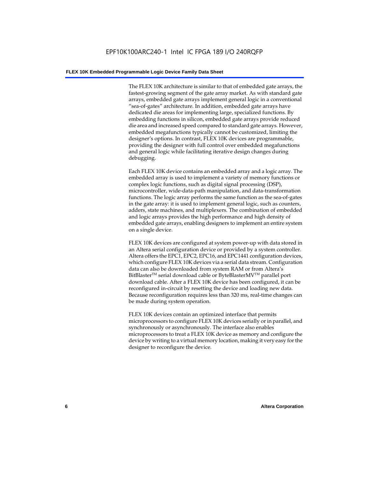The FLEX 10K architecture is similar to that of embedded gate arrays, the fastest-growing segment of the gate array market. As with standard gate arrays, embedded gate arrays implement general logic in a conventional "sea-of-gates" architecture. In addition, embedded gate arrays have dedicated die areas for implementing large, specialized functions. By embedding functions in silicon, embedded gate arrays provide reduced die area and increased speed compared to standard gate arrays. However, embedded megafunctions typically cannot be customized, limiting the designer's options. In contrast, FLEX 10K devices are programmable, providing the designer with full control over embedded megafunctions and general logic while facilitating iterative design changes during debugging.

Each FLEX 10K device contains an embedded array and a logic array. The embedded array is used to implement a variety of memory functions or complex logic functions, such as digital signal processing (DSP), microcontroller, wide-data-path manipulation, and data-transformation functions. The logic array performs the same function as the sea-of-gates in the gate array: it is used to implement general logic, such as counters, adders, state machines, and multiplexers. The combination of embedded and logic arrays provides the high performance and high density of embedded gate arrays, enabling designers to implement an entire system on a single device.

FLEX 10K devices are configured at system power-up with data stored in an Altera serial configuration device or provided by a system controller. Altera offers the EPC1, EPC2, EPC16, and EPC1441 configuration devices, which configure FLEX 10K devices via a serial data stream. Configuration data can also be downloaded from system RAM or from Altera's BitBlaster<sup>™</sup> serial download cable or ByteBlasterMV<sup>™</sup> parallel port download cable. After a FLEX 10K device has been configured, it can be reconfigured in-circuit by resetting the device and loading new data. Because reconfiguration requires less than 320 ms, real-time changes can be made during system operation.

FLEX 10K devices contain an optimized interface that permits microprocessors to configure FLEX 10K devices serially or in parallel, and synchronously or asynchronously. The interface also enables microprocessors to treat a FLEX 10K device as memory and configure the device by writing to a virtual memory location, making it very easy for the designer to reconfigure the device.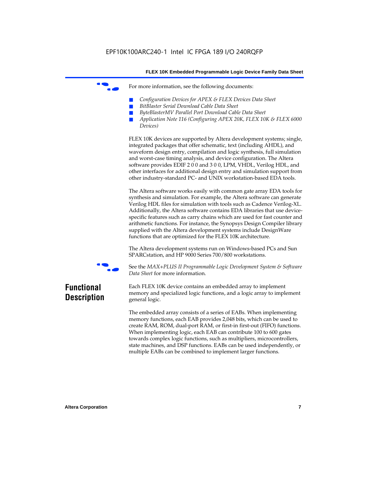For more information, see the following documents:

- *Configuration Devices for APEX & FLEX Devices Data Sheet*
- $BitBlaster$  Serial Download Cable Data Sheet
- *ByteBlasterMV Parallel Port Download Cable Data Sheet*
- *Application Note 116 (Configuring APEX 20K, FLEX 10K & FLEX 6000 Devices)*

FLEX 10K devices are supported by Altera development systems; single, integrated packages that offer schematic, text (including AHDL), and waveform design entry, compilation and logic synthesis, full simulation and worst-case timing analysis, and device configuration. The Altera software provides EDIF 2 0 0 and 3 0 0, LPM, VHDL, Verilog HDL, and other interfaces for additional design entry and simulation support from other industry-standard PC- and UNIX workstation-based EDA tools.

The Altera software works easily with common gate array EDA tools for synthesis and simulation. For example, the Altera software can generate Verilog HDL files for simulation with tools such as Cadence Verilog-XL. Additionally, the Altera software contains EDA libraries that use devicespecific features such as carry chains which are used for fast counter and arithmetic functions. For instance, the Synopsys Design Compiler library supplied with the Altera development systems include DesignWare functions that are optimized for the FLEX 10K architecture.

The Altera development systems run on Windows-based PCs and Sun SPARCstation, and HP 9000 Series 700/800 workstations.



f See the *MAX+PLUS II Programmable Logic Development System & Software Data Sheet* for more information.

## **Functional Description**

Each FLEX 10K device contains an embedded array to implement memory and specialized logic functions, and a logic array to implement general logic.

The embedded array consists of a series of EABs. When implementing memory functions, each EAB provides 2,048 bits, which can be used to create RAM, ROM, dual-port RAM, or first-in first-out (FIFO) functions. When implementing logic, each EAB can contribute 100 to 600 gates towards complex logic functions, such as multipliers, microcontrollers, state machines, and DSP functions. EABs can be used independently, or multiple EABs can be combined to implement larger functions.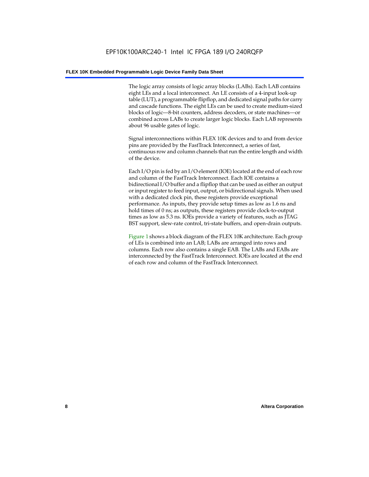The logic array consists of logic array blocks (LABs). Each LAB contains eight LEs and a local interconnect. An LE consists of a 4-input look-up table (LUT), a programmable flipflop, and dedicated signal paths for carry and cascade functions. The eight LEs can be used to create medium-sized blocks of logic—8-bit counters, address decoders, or state machines—or combined across LABs to create larger logic blocks. Each LAB represents about 96 usable gates of logic.

Signal interconnections within FLEX 10K devices and to and from device pins are provided by the FastTrack Interconnect, a series of fast, continuous row and column channels that run the entire length and width of the device.

Each I/O pin is fed by an I/O element (IOE) located at the end of each row and column of the FastTrack Interconnect. Each IOE contains a bidirectional I/O buffer and a flipflop that can be used as either an output or input register to feed input, output, or bidirectional signals. When used with a dedicated clock pin, these registers provide exceptional performance. As inputs, they provide setup times as low as 1.6 ns and hold times of 0 ns; as outputs, these registers provide clock-to-output times as low as 5.3 ns. IOEs provide a variety of features, such as JTAG BST support, slew-rate control, tri-state buffers, and open-drain outputs.

Figure 1 shows a block diagram of the FLEX 10K architecture. Each group of LEs is combined into an LAB; LABs are arranged into rows and columns. Each row also contains a single EAB. The LABs and EABs are interconnected by the FastTrack Interconnect. IOEs are located at the end of each row and column of the FastTrack Interconnect.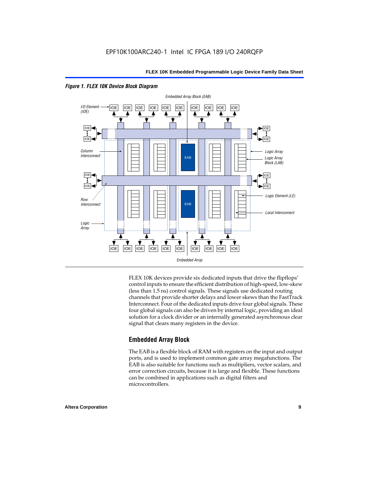

#### *Figure 1. FLEX 10K Device Block Diagram*

FLEX 10K devices provide six dedicated inputs that drive the flipflops' control inputs to ensure the efficient distribution of high-speed, low-skew (less than 1.5 ns) control signals. These signals use dedicated routing channels that provide shorter delays and lower skews than the FastTrack Interconnect. Four of the dedicated inputs drive four global signals. These four global signals can also be driven by internal logic, providing an ideal solution for a clock divider or an internally generated asynchronous clear signal that clears many registers in the device.

#### **Embedded Array Block**

The EAB is a flexible block of RAM with registers on the input and output ports, and is used to implement common gate array megafunctions. The EAB is also suitable for functions such as multipliers, vector scalars, and error correction circuits, because it is large and flexible. These functions can be combined in applications such as digital filters and microcontrollers.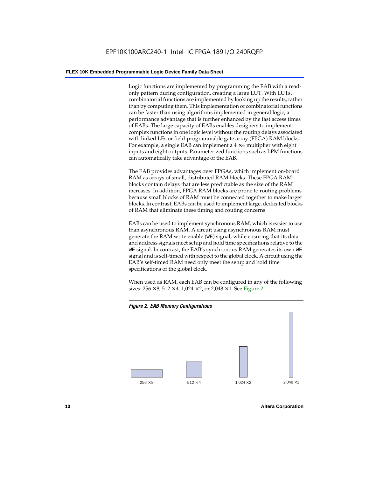Logic functions are implemented by programming the EAB with a readonly pattern during configuration, creating a large LUT. With LUTs, combinatorial functions are implemented by looking up the results, rather than by computing them. This implementation of combinatorial functions can be faster than using algorithms implemented in general logic, a performance advantage that is further enhanced by the fast access times of EABs. The large capacity of EABs enables designers to implement complex functions in one logic level without the routing delays associated with linked LEs or field-programmable gate array (FPGA) RAM blocks. For example, a single EAB can implement a  $4 \times 4$  multiplier with eight inputs and eight outputs. Parameterized functions such as LPM functions can automatically take advantage of the EAB.

The EAB provides advantages over FPGAs, which implement on-board RAM as arrays of small, distributed RAM blocks. These FPGA RAM blocks contain delays that are less predictable as the size of the RAM increases. In addition, FPGA RAM blocks are prone to routing problems because small blocks of RAM must be connected together to make larger blocks. In contrast, EABs can be used to implement large, dedicated blocks of RAM that eliminate these timing and routing concerns.

EABs can be used to implement synchronous RAM, which is easier to use than asynchronous RAM. A circuit using asynchronous RAM must generate the RAM write enable (WE) signal, while ensuring that its data and address signals meet setup and hold time specifications relative to the WE signal. In contrast, the EAB's synchronous RAM generates its own WE signal and is self-timed with respect to the global clock. A circuit using the EAB's self-timed RAM need only meet the setup and hold time specifications of the global clock.

When used as RAM, each EAB can be configured in any of the following sizes:  $256 \times 8$ ,  $512 \times 4$ ,  $1,024 \times 2$ , or  $2,048 \times 1$ . See Figure 2.



**10 Altera Corporation**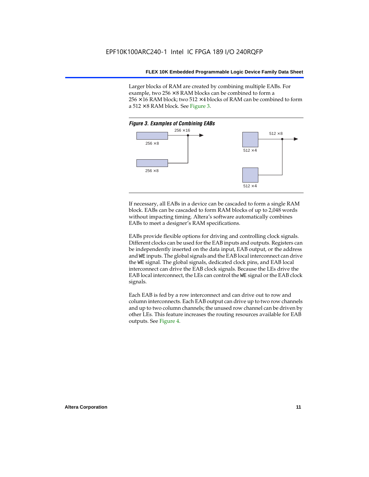Larger blocks of RAM are created by combining multiple EABs. For example, two  $256 \times 8$  RAM blocks can be combined to form a  $256 \times 16$  RAM block; two 512  $\times$  4 blocks of RAM can be combined to form a  $512 \times 8$  RAM block. See Figure 3.



If necessary, all EABs in a device can be cascaded to form a single RAM block. EABs can be cascaded to form RAM blocks of up to 2,048 words without impacting timing. Altera's software automatically combines EABs to meet a designer's RAM specifications.

EABs provide flexible options for driving and controlling clock signals. Different clocks can be used for the EAB inputs and outputs. Registers can be independently inserted on the data input, EAB output, or the address and WE inputs. The global signals and the EAB local interconnect can drive the WE signal. The global signals, dedicated clock pins, and EAB local interconnect can drive the EAB clock signals. Because the LEs drive the EAB local interconnect, the LEs can control the WE signal or the EAB clock signals.

Each EAB is fed by a row interconnect and can drive out to row and column interconnects. Each EAB output can drive up to two row channels and up to two column channels; the unused row channel can be driven by other LEs. This feature increases the routing resources available for EAB outputs. See Figure 4.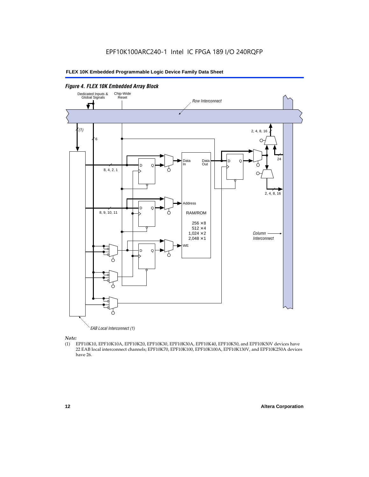

EAB Local Interconnect (1)

*Note:*<br>(1) **H** 

(1) EPF10K10, EPF10K10A, EPF10K20, EPF10K30, EPF10K30A, EPF10K40, EPF10K50, and EPF10K50V devices have 22 EAB local interconnect channels; EPF10K70, EPF10K100, EPF10K100A, EPF10K130V, and EPF10K250A devices have 26.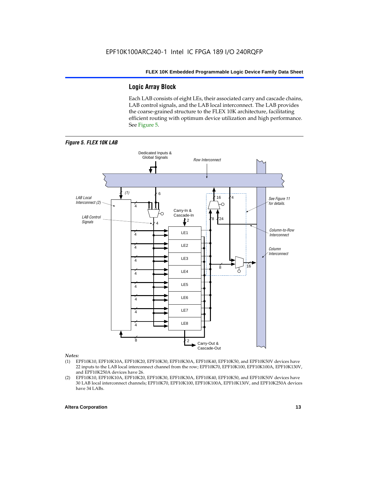#### **Logic Array Block**

Each LAB consists of eight LEs, their associated carry and cascade chains, LAB control signals, and the LAB local interconnect. The LAB provides the coarse-grained structure to the FLEX 10K architecture, facilitating efficient routing with optimum device utilization and high performance. See Figure 5.



#### *Notes:*

- (1) EPF10K10, EPF10K10A, EPF10K20, EPF10K30, EPF10K30A, EPF10K40, EPF10K50, and EPF10K50V devices have 22 inputs to the LAB local interconnect channel from the row; EPF10K70, EPF10K100, EPF10K100A, EPF10K130V, and EPF10K250A devices have 26.
- (2) EPF10K10, EPF10K10A, EPF10K20, EPF10K30, EPF10K30A, EPF10K40, EPF10K50, and EPF10K50V devices have 30 LAB local interconnect channels; EPF10K70, EPF10K100, EPF10K100A, EPF10K130V, and EPF10K250A devices have 34 LABs.

#### **Altera Corporation 13 13**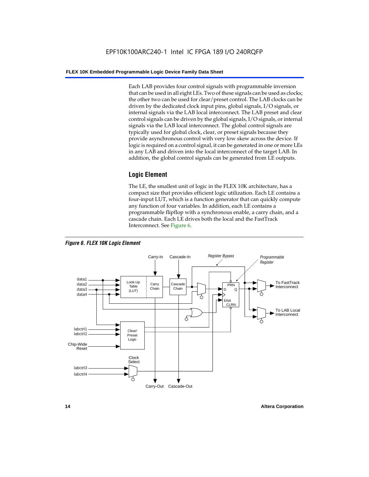Each LAB provides four control signals with programmable inversion that can be used in all eight LEs. Two of these signals can be used as clocks; the other two can be used for clear/preset control. The LAB clocks can be driven by the dedicated clock input pins, global signals, I/O signals, or internal signals via the LAB local interconnect. The LAB preset and clear control signals can be driven by the global signals, I/O signals, or internal signals via the LAB local interconnect. The global control signals are typically used for global clock, clear, or preset signals because they provide asynchronous control with very low skew across the device. If logic is required on a control signal, it can be generated in one or more LEs in any LAB and driven into the local interconnect of the target LAB. In addition, the global control signals can be generated from LE outputs.

### **Logic Element**

The LE, the smallest unit of logic in the FLEX 10K architecture, has a compact size that provides efficient logic utilization. Each LE contains a four-input LUT, which is a function generator that can quickly compute any function of four variables. In addition, each LE contains a programmable flipflop with a synchronous enable, a carry chain, and a cascade chain. Each LE drives both the local and the FastTrack Interconnect. See Figure 6.



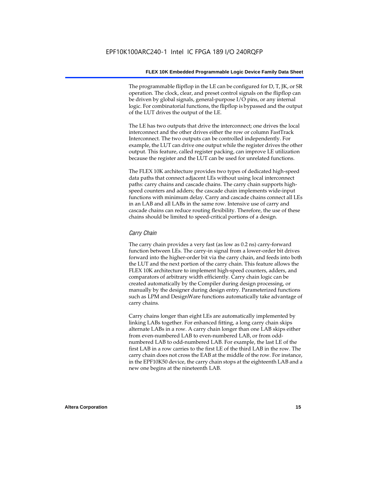The programmable flipflop in the LE can be configured for D, T, JK, or SR operation. The clock, clear, and preset control signals on the flipflop can be driven by global signals, general-purpose I/O pins, or any internal logic. For combinatorial functions, the flipflop is bypassed and the output of the LUT drives the output of the LE.

The LE has two outputs that drive the interconnect; one drives the local interconnect and the other drives either the row or column FastTrack Interconnect. The two outputs can be controlled independently. For example, the LUT can drive one output while the register drives the other output. This feature, called register packing, can improve LE utilization because the register and the LUT can be used for unrelated functions.

The FLEX 10K architecture provides two types of dedicated high-speed data paths that connect adjacent LEs without using local interconnect paths: carry chains and cascade chains. The carry chain supports highspeed counters and adders; the cascade chain implements wide-input functions with minimum delay. Carry and cascade chains connect all LEs in an LAB and all LABs in the same row. Intensive use of carry and cascade chains can reduce routing flexibility. Therefore, the use of these chains should be limited to speed-critical portions of a design.

#### *Carry Chain*

The carry chain provides a very fast (as low as 0.2 ns) carry-forward function between LEs. The carry-in signal from a lower-order bit drives forward into the higher-order bit via the carry chain, and feeds into both the LUT and the next portion of the carry chain. This feature allows the FLEX 10K architecture to implement high-speed counters, adders, and comparators of arbitrary width efficiently. Carry chain logic can be created automatically by the Compiler during design processing, or manually by the designer during design entry. Parameterized functions such as LPM and DesignWare functions automatically take advantage of carry chains.

Carry chains longer than eight LEs are automatically implemented by linking LABs together. For enhanced fitting, a long carry chain skips alternate LABs in a row. A carry chain longer than one LAB skips either from even-numbered LAB to even-numbered LAB, or from oddnumbered LAB to odd-numbered LAB. For example, the last LE of the first LAB in a row carries to the first LE of the third LAB in the row. The carry chain does not cross the EAB at the middle of the row. For instance, in the EPF10K50 device, the carry chain stops at the eighteenth LAB and a new one begins at the nineteenth LAB.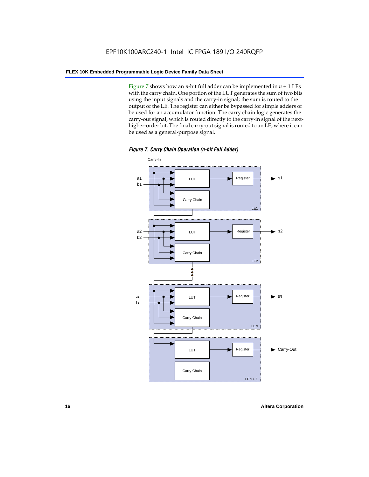Figure 7 shows how an *n*-bit full adder can be implemented in  $n + 1$  LEs with the carry chain. One portion of the LUT generates the sum of two bits using the input signals and the carry-in signal; the sum is routed to the output of the LE. The register can either be bypassed for simple adders or be used for an accumulator function. The carry chain logic generates the carry-out signal, which is routed directly to the carry-in signal of the nexthigher-order bit. The final carry-out signal is routed to an LE, where it can be used as a general-purpose signal.



*Figure 7. Carry Chain Operation (n-bit Full Adder)*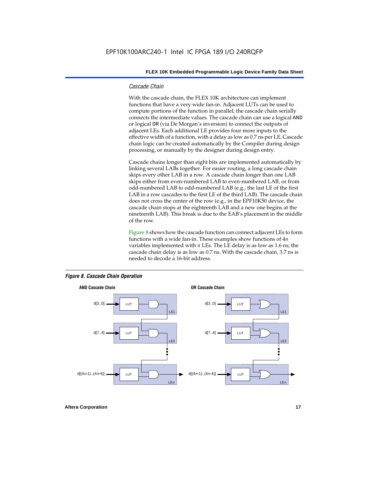#### *Cascade Chain*

With the cascade chain, the FLEX 10K architecture can implement functions that have a very wide fan-in. Adjacent LUTs can be used to compute portions of the function in parallel; the cascade chain serially connects the intermediate values. The cascade chain can use a logical AND or logical OR (via De Morgan's inversion) to connect the outputs of adjacent LEs. Each additional LE provides four more inputs to the effective width of a function, with a delay as low as 0.7 ns per LE. Cascade chain logic can be created automatically by the Compiler during design processing, or manually by the designer during design entry.

Cascade chains longer than eight bits are implemented automatically by linking several LABs together. For easier routing, a long cascade chain skips every other LAB in a row. A cascade chain longer than one LAB skips either from even-numbered LAB to even-numbered LAB, or from odd-numbered LAB to odd-numbered LAB (e.g., the last LE of the first LAB in a row cascades to the first LE of the third LAB). The cascade chain does not cross the center of the row (e.g., in the EPF10K50 device, the cascade chain stops at the eighteenth LAB and a new one begins at the nineteenth LAB). This break is due to the EAB's placement in the middle of the row.

Figure 8 shows how the cascade function can connect adjacent LEs to form functions with a wide fan-in. These examples show functions of 4*n* variables implemented with *n* LEs. The LE delay is as low as 1.6 ns; the cascade chain delay is as low as 0.7 ns. With the cascade chain, 3.7 ns is needed to decode a 16-bit address.



#### *Figure 8. Cascade Chain Operation*

**Altera Corporation 17 17**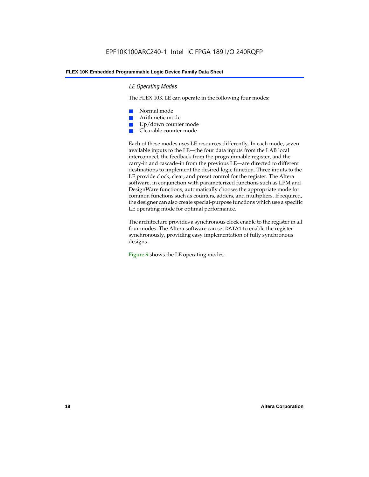#### *LE Operating Modes*

The FLEX 10K LE can operate in the following four modes:

- Normal mode
- Arithmetic mode
- Up/down counter mode
- Clearable counter mode

Each of these modes uses LE resources differently. In each mode, seven available inputs to the LE—the four data inputs from the LAB local interconnect, the feedback from the programmable register, and the carry-in and cascade-in from the previous LE—are directed to different destinations to implement the desired logic function. Three inputs to the LE provide clock, clear, and preset control for the register. The Altera software, in conjunction with parameterized functions such as LPM and DesignWare functions, automatically chooses the appropriate mode for common functions such as counters, adders, and multipliers. If required, the designer can also create special-purpose functions which use a specific LE operating mode for optimal performance.

The architecture provides a synchronous clock enable to the register in all four modes. The Altera software can set DATA1 to enable the register synchronously, providing easy implementation of fully synchronous designs.

Figure 9 shows the LE operating modes.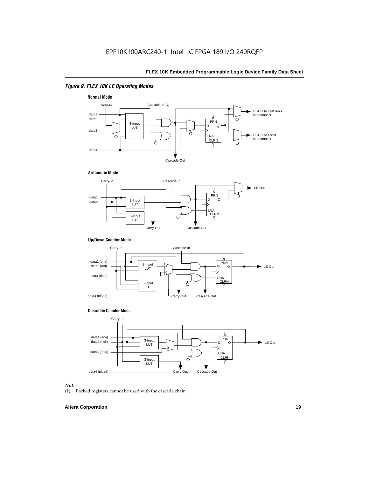#### *Figure 9. FLEX 10K LE Operating Modes*







#### **Up/Down Counter Mode**



#### **Clearable Counter Mode**



#### *Note:*

(1) Packed registers cannot be used with the cascade chain.

#### **Altera Corporation 19**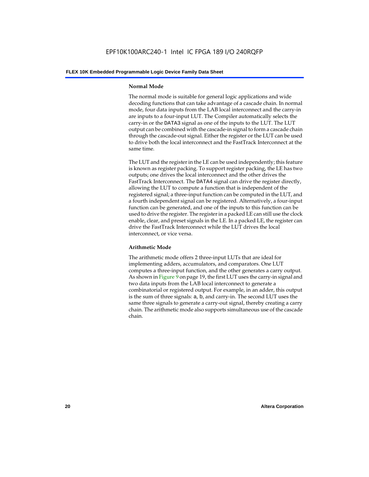#### **Normal Mode**

The normal mode is suitable for general logic applications and wide decoding functions that can take advantage of a cascade chain. In normal mode, four data inputs from the LAB local interconnect and the carry-in are inputs to a four-input LUT. The Compiler automatically selects the carry-in or the DATA3 signal as one of the inputs to the LUT. The LUT output can be combined with the cascade-in signal to form a cascade chain through the cascade-out signal. Either the register or the LUT can be used to drive both the local interconnect and the FastTrack Interconnect at the same time.

The LUT and the register in the LE can be used independently; this feature is known as register packing. To support register packing, the LE has two outputs; one drives the local interconnect and the other drives the FastTrack Interconnect. The DATA4 signal can drive the register directly, allowing the LUT to compute a function that is independent of the registered signal; a three-input function can be computed in the LUT, and a fourth independent signal can be registered. Alternatively, a four-input function can be generated, and one of the inputs to this function can be used to drive the register. The register in a packed LE can still use the clock enable, clear, and preset signals in the LE. In a packed LE, the register can drive the FastTrack Interconnect while the LUT drives the local interconnect, or vice versa.

#### **Arithmetic Mode**

The arithmetic mode offers 2 three-input LUTs that are ideal for implementing adders, accumulators, and comparators. One LUT computes a three-input function, and the other generates a carry output. As shown in Figure 9 on page 19, the first LUT uses the carry-in signal and two data inputs from the LAB local interconnect to generate a combinatorial or registered output. For example, in an adder, this output is the sum of three signals: a, b, and carry-in. The second LUT uses the same three signals to generate a carry-out signal, thereby creating a carry chain. The arithmetic mode also supports simultaneous use of the cascade chain.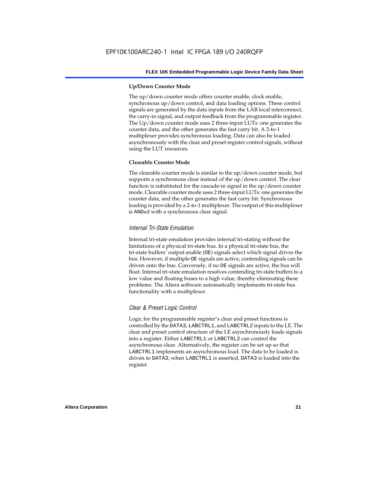#### **Up/Down Counter Mode**

The up/down counter mode offers counter enable, clock enable, synchronous up/down control, and data loading options. These control signals are generated by the data inputs from the LAB local interconnect, the carry-in signal, and output feedback from the programmable register. The Up/down counter mode uses 2 three-input LUTs: one generates the counter data, and the other generates the fast carry bit. A 2-to-1 multiplexer provides synchronous loading. Data can also be loaded asynchronously with the clear and preset register control signals, without using the LUT resources.

#### **Clearable Counter Mode**

The clearable counter mode is similar to the up/down counter mode, but supports a synchronous clear instead of the up/down control. The clear function is substituted for the cascade-in signal in the up/down counter mode. Clearable counter mode uses 2 three-input LUTs: one generates the counter data, and the other generates the fast carry bit. Synchronous loading is provided by a 2-to-1 multiplexer. The output of this multiplexer is ANDed with a synchronous clear signal.

#### *Internal Tri-State Emulation*

Internal tri-state emulation provides internal tri-stating without the limitations of a physical tri-state bus. In a physical tri-state bus, the tri-state buffers' output enable (OE) signals select which signal drives the bus. However, if multiple OE signals are active, contending signals can be driven onto the bus. Conversely, if no OE signals are active, the bus will float. Internal tri-state emulation resolves contending tri-state buffers to a low value and floating buses to a high value, thereby eliminating these problems. The Altera software automatically implements tri-state bus functionality with a multiplexer.

#### *Clear & Preset Logic Control*

Logic for the programmable register's clear and preset functions is controlled by the DATA3, LABCTRL1, and LABCTRL2 inputs to the LE. The clear and preset control structure of the LE asynchronously loads signals into a register. Either LABCTRL1 or LABCTRL2 can control the asynchronous clear. Alternatively, the register can be set up so that LABCTRL1 implements an asynchronous load. The data to be loaded is driven to DATA3; when LABCTRL1 is asserted, DATA3 is loaded into the register.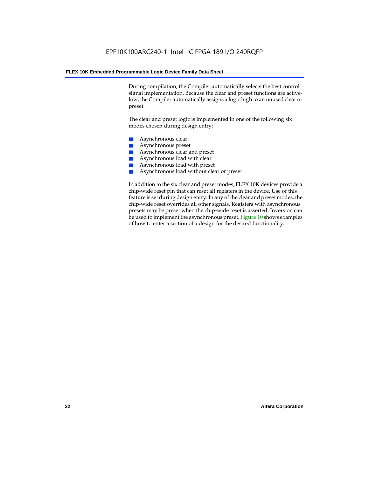During compilation, the Compiler automatically selects the best control signal implementation. Because the clear and preset functions are activelow, the Compiler automatically assigns a logic high to an unused clear or preset.

The clear and preset logic is implemented in one of the following six modes chosen during design entry:

- Asynchronous clear
- Asynchronous preset
- Asynchronous clear and preset
- Asynchronous load with clear
- Asynchronous load with preset
- Asynchronous load without clear or preset

In addition to the six clear and preset modes, FLEX 10K devices provide a chip-wide reset pin that can reset all registers in the device. Use of this feature is set during design entry. In any of the clear and preset modes, the chip-wide reset overrides all other signals. Registers with asynchronous presets may be preset when the chip-wide reset is asserted. Inversion can be used to implement the asynchronous preset. Figure 10 shows examples of how to enter a section of a design for the desired functionality.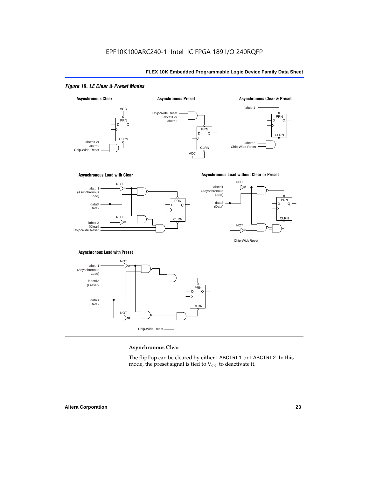## *Figure 10. LE Clear & Preset Modes*



#### **Asynchronous Clear**

The flipflop can be cleared by either LABCTRL1 or LABCTRL2. In this mode, the preset signal is tied to  $V_{CC}$  to deactivate it.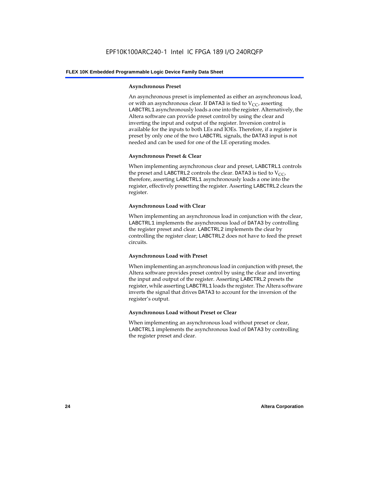#### **Asynchronous Preset**

An asynchronous preset is implemented as either an asynchronous load, or with an asynchronous clear. If DATA3 is tied to  $V_{CC}$ , asserting LABCTRL1 asynchronously loads a one into the register. Alternatively, the Altera software can provide preset control by using the clear and inverting the input and output of the register. Inversion control is available for the inputs to both LEs and IOEs. Therefore, if a register is preset by only one of the two LABCTRL signals, the DATA3 input is not needed and can be used for one of the LE operating modes.

#### **Asynchronous Preset & Clear**

When implementing asynchronous clear and preset, LABCTRL1 controls the preset and LABCTRL2 controls the clear. DATA3 is tied to  $V_{CC}$ , therefore, asserting LABCTRL1 asynchronously loads a one into the register, effectively presetting the register. Asserting LABCTRL2 clears the register.

#### **Asynchronous Load with Clear**

When implementing an asynchronous load in conjunction with the clear, LABCTRL1 implements the asynchronous load of DATA3 by controlling the register preset and clear. LABCTRL2 implements the clear by controlling the register clear; LABCTRL2 does not have to feed the preset circuits.

#### **Asynchronous Load with Preset**

When implementing an asynchronous load in conjunction with preset, the Altera software provides preset control by using the clear and inverting the input and output of the register. Asserting LABCTRL2 presets the register, while asserting LABCTRL1 loads the register. The Altera software inverts the signal that drives DATA3 to account for the inversion of the register's output.

#### **Asynchronous Load without Preset or Clear**

When implementing an asynchronous load without preset or clear, LABCTRL1 implements the asynchronous load of DATA3 by controlling the register preset and clear.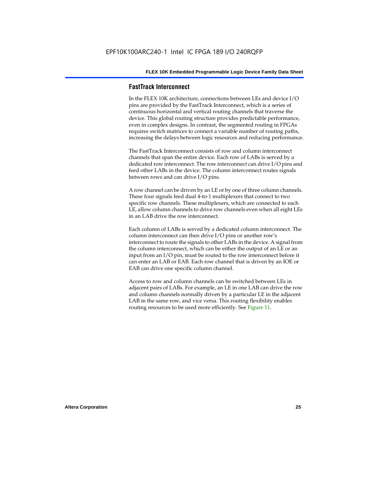#### **FastTrack Interconnect**

In the FLEX 10K architecture, connections between LEs and device I/O pins are provided by the FastTrack Interconnect, which is a series of continuous horizontal and vertical routing channels that traverse the device. This global routing structure provides predictable performance, even in complex designs. In contrast, the segmented routing in FPGAs requires switch matrices to connect a variable number of routing paths, increasing the delays between logic resources and reducing performance.

The FastTrack Interconnect consists of row and column interconnect channels that span the entire device. Each row of LABs is served by a dedicated row interconnect. The row interconnect can drive I/O pins and feed other LABs in the device. The column interconnect routes signals between rows and can drive I/O pins.

A row channel can be driven by an LE or by one of three column channels. These four signals feed dual 4-to-1 multiplexers that connect to two specific row channels. These multiplexers, which are connected to each LE, allow column channels to drive row channels even when all eight LEs in an LAB drive the row interconnect.

Each column of LABs is served by a dedicated column interconnect. The column interconnect can then drive I/O pins or another row's interconnect to route the signals to other LABs in the device. A signal from the column interconnect, which can be either the output of an LE or an input from an I/O pin, must be routed to the row interconnect before it can enter an LAB or EAB. Each row channel that is driven by an IOE or EAB can drive one specific column channel.

Access to row and column channels can be switched between LEs in adjacent pairs of LABs. For example, an LE in one LAB can drive the row and column channels normally driven by a particular LE in the adjacent LAB in the same row, and vice versa. This routing flexibility enables routing resources to be used more efficiently. See Figure 11.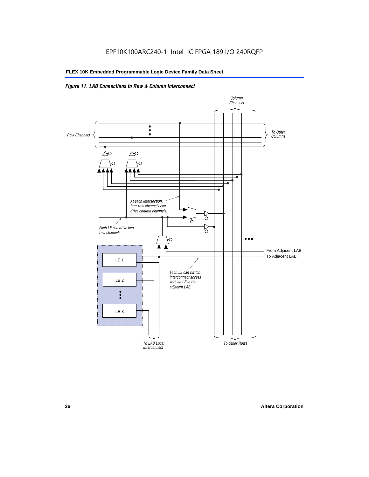#### *Figure 11. LAB Connections to Row & Column Interconnect*

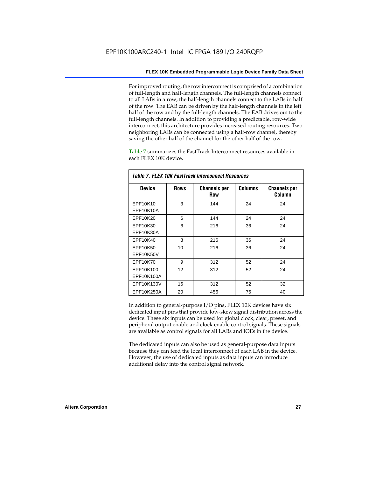For improved routing, the row interconnect is comprised of a combination of full-length and half-length channels. The full-length channels connect to all LABs in a row; the half-length channels connect to the LABs in half of the row. The EAB can be driven by the half-length channels in the left half of the row and by the full-length channels. The EAB drives out to the full-length channels. In addition to providing a predictable, row-wide interconnect, this architecture provides increased routing resources. Two neighboring LABs can be connected using a half-row channel, thereby saving the other half of the channel for the other half of the row.

Table 7 summarizes the FastTrack Interconnect resources available in each FLEX 10K device.

| Tadie 7. Flex Tur Fastitack Mieicumieci Resuulces |      |                            |                |                               |  |
|---------------------------------------------------|------|----------------------------|----------------|-------------------------------|--|
| <b>Device</b>                                     | Rows | <b>Channels per</b><br>Row | <b>Columns</b> | <b>Channels per</b><br>Column |  |
| EPF10K10                                          | 3    | 144                        | 24             | 24                            |  |
| EPF10K10A                                         |      |                            |                |                               |  |
| EPF10K20                                          | 6    | 144                        | 24             | 24                            |  |
| EPF10K30                                          | 6    | 216                        | 36             | 24                            |  |
| EPF10K30A                                         |      |                            |                |                               |  |
| EPF10K40                                          | 8    | 216                        | 36             | 24                            |  |
| EPF10K50                                          | 10   | 216                        | 36             | 24                            |  |
| EPF10K50V                                         |      |                            |                |                               |  |
| EPF10K70                                          | 9    | 312                        | 52             | 24                            |  |
| EPF10K100                                         | 12   | 312                        | 52             | 24                            |  |
| EPF10K100A                                        |      |                            |                |                               |  |
| EPF10K130V                                        | 16   | 312                        | 52             | 32                            |  |
| EPF10K250A                                        | 20   | 456                        | 76             | 40                            |  |

*Table 7. FLEX 10K FastTrack Interconnect Resources*

In addition to general-purpose I/O pins, FLEX 10K devices have six dedicated input pins that provide low-skew signal distribution across the device. These six inputs can be used for global clock, clear, preset, and peripheral output enable and clock enable control signals. These signals are available as control signals for all LABs and IOEs in the device.

The dedicated inputs can also be used as general-purpose data inputs because they can feed the local interconnect of each LAB in the device. However, the use of dedicated inputs as data inputs can introduce additional delay into the control signal network.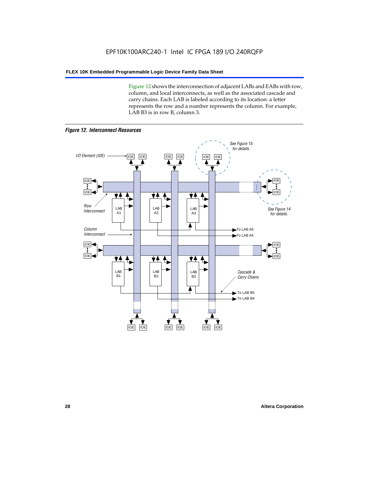Figure 12 shows the interconnection of adjacent LABs and EABs with row, column, and local interconnects, as well as the associated cascade and carry chains. Each LAB is labeled according to its location: a letter represents the row and a number represents the column. For example, LAB B3 is in row B, column 3.



*Figure 12. Interconnect Resources*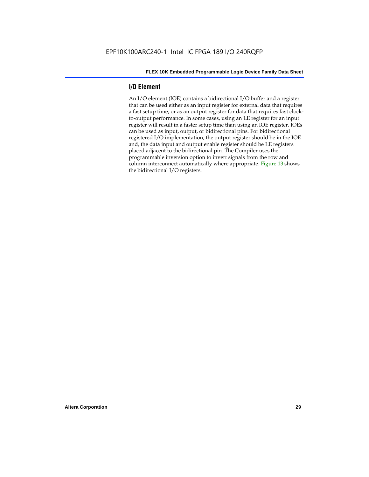#### **I/O Element**

An I/O element (IOE) contains a bidirectional I/O buffer and a register that can be used either as an input register for external data that requires a fast setup time, or as an output register for data that requires fast clockto-output performance. In some cases, using an LE register for an input register will result in a faster setup time than using an IOE register. IOEs can be used as input, output, or bidirectional pins. For bidirectional registered I/O implementation, the output register should be in the IOE and, the data input and output enable register should be LE registers placed adjacent to the bidirectional pin. The Compiler uses the programmable inversion option to invert signals from the row and column interconnect automatically where appropriate. Figure 13 shows the bidirectional I/O registers.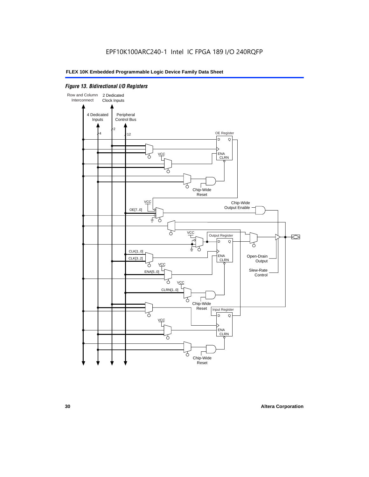#### *Figure 13. Bidirectional I/O Registers*

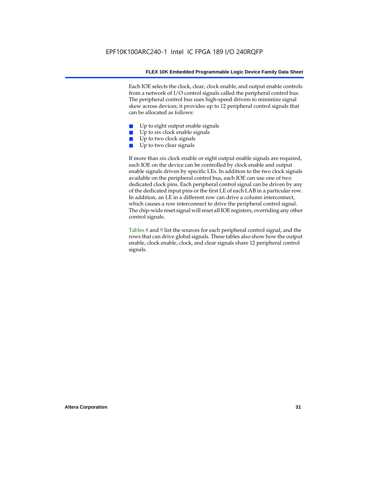Each IOE selects the clock, clear, clock enable, and output enable controls from a network of I/O control signals called the peripheral control bus. The peripheral control bus uses high-speed drivers to minimize signal skew across devices; it provides up to 12 peripheral control signals that can be allocated as follows:

- Up to eight output enable signals
- Up to six clock enable signals
- Up to two clock signals
- Up to two clear signals

If more than six clock enable or eight output enable signals are required, each IOE on the device can be controlled by clock enable and output enable signals driven by specific LEs. In addition to the two clock signals available on the peripheral control bus, each IOE can use one of two dedicated clock pins. Each peripheral control signal can be driven by any of the dedicated input pins or the first LE of each LAB in a particular row. In addition, an LE in a different row can drive a column interconnect, which causes a row interconnect to drive the peripheral control signal. The chip-wide reset signal will reset all IOE registers, overriding any other control signals.

Tables 8 and 9 list the sources for each peripheral control signal, and the rows that can drive global signals. These tables also show how the output enable, clock enable, clock, and clear signals share 12 peripheral control signals.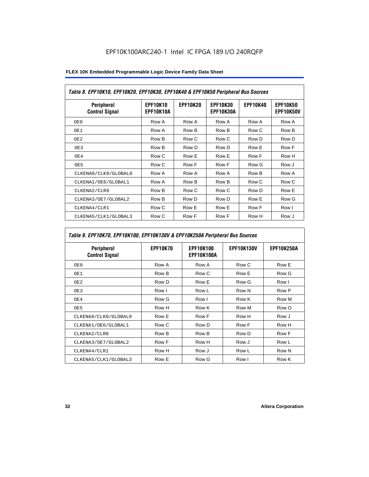| Table 8. EPF10K10, EPF10K20, EPF10K30, EPF10K40 & EPF10K50 Peripheral Bus Sources |                              |                 |                              |                 |                              |
|-----------------------------------------------------------------------------------|------------------------------|-----------------|------------------------------|-----------------|------------------------------|
| <b>Peripheral</b><br><b>Control Signal</b>                                        | <b>EPF10K10</b><br>EPF10K10A | <b>EPF10K20</b> | <b>EPF10K30</b><br>EPF10K30A | <b>EPF10K40</b> | <b>EPF10K50</b><br>EPF10K50V |
| OE0                                                                               | Row A                        | Row A           | Row A                        | Row A           | Row A                        |
| OE1                                                                               | Row A                        | Row B           | Row B                        | Row C           | Row B                        |
| OE2                                                                               | Row B                        | Row C           | Row C                        | Row D           | Row D                        |
| OE3                                                                               | Row B                        | Row D           | Row D                        | Row E           | Row F                        |
| OE4                                                                               | Row C                        | Row E           | Row E                        | Row F           | Row H                        |
| OE5                                                                               | Row C                        | Row F           | Row F                        | Row G           | Row J                        |
| CLKENA0/CLK0/GLOBAL0                                                              | Row A                        | Row A           | Row A                        | Row B           | Row A                        |
| CLKENA1/OE6/GLOBAL1                                                               | Row A                        | Row B           | Row B                        | Row C           | Row C                        |
| CLKENA2/CLR0                                                                      | Row B                        | Row C           | Row C                        | Row D           | Row E                        |
| CLKENA3/OE7/GLOBAL2                                                               | Row B                        | Row D           | Row D                        | Row E           | Row G                        |
| CLKENA4/CLR1                                                                      | Row C                        | Row E           | Row E                        | Row F           | Row I                        |
| CLKENA5/CLK1/GLOBAL3                                                              | Row C                        | Row F           | Row F                        | Row H           | Row J                        |

#### *Table 9. EPF10K70, EPF10K100, EPF10K130V & EPF10K250A Peripheral Bus Sources*

| Peripheral<br><b>Control Signal</b> | <b>EPF10K70</b> | <b>EPF10K100</b><br>EPF10K100A | <b>EPF10K130V</b> | <b>EPF10K250A</b> |
|-------------------------------------|-----------------|--------------------------------|-------------------|-------------------|
| OE0                                 | Row A           | Row A                          | Row C             | Row E             |
| OE1                                 | Row B           | Row C                          | Row E             | Row G             |
| OE <sub>2</sub>                     | Row D           | Row E                          | Row G             | Row I             |
| OE3                                 | Row I           | Row L                          | Row N             | Row P             |
| OE4                                 | Row G           | Row I                          | Row K             | Row M             |
| OE5                                 | Row H           | Row K                          | Row M             | Row O             |
| CLKENA0/CLK0/GLOBAL0                | Row E           | Row F                          | Row H             | Row J             |
| CLKENA1/OE6/GLOBAL1                 | Row C           | Row D                          | Row F             | Row H             |
| CLKENA2/CLR0                        | Row B           | Row B                          | Row D             | Row F             |
| CLKENA3/OE7/GLOBAL2                 | Row F           | Row H                          | Row J             | Row L             |
| CLKENA4/CLR1                        | Row H           | Row J                          | Row L             | Row N             |
| CLKENA5/CLK1/GLOBAL3                | Row E           | Row G                          | Row I             | Row K             |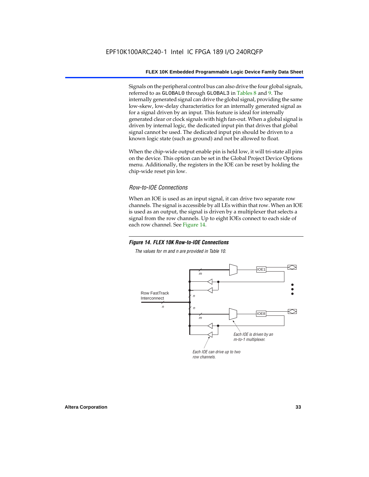Signals on the peripheral control bus can also drive the four global signals, referred to as GLOBAL0 through GLOBAL3 in Tables 8 and 9. The internally generated signal can drive the global signal, providing the same low-skew, low-delay characteristics for an internally generated signal as for a signal driven by an input. This feature is ideal for internally generated clear or clock signals with high fan-out. When a global signal is driven by internal logic, the dedicated input pin that drives that global signal cannot be used. The dedicated input pin should be driven to a known logic state (such as ground) and not be allowed to float.

When the chip-wide output enable pin is held low, it will tri-state all pins on the device. This option can be set in the Global Project Device Options menu. Additionally, the registers in the IOE can be reset by holding the chip-wide reset pin low.

#### *Row-to-IOE Connections*

When an IOE is used as an input signal, it can drive two separate row channels. The signal is accessible by all LEs within that row. When an IOE is used as an output, the signal is driven by a multiplexer that selects a signal from the row channels. Up to eight IOEs connect to each side of each row channel. See Figure 14.

#### *Figure 14. FLEX 10K Row-to-IOE Connections*

*The values for m and n are provided in Table 10.*

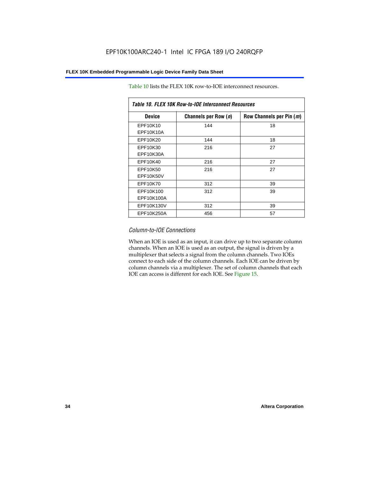| Table 10. FLEX 10K Row-to-IOE Interconnect Resources |                      |                          |  |  |  |
|------------------------------------------------------|----------------------|--------------------------|--|--|--|
| <b>Device</b>                                        | Channels per Row (n) | Row Channels per Pin (m) |  |  |  |
| EPF10K10<br>EPF10K10A                                | 144                  | 18                       |  |  |  |
| EPF10K20                                             | 144                  | 18                       |  |  |  |
| EPF10K30<br>EPF10K30A                                | 216                  | 27                       |  |  |  |
| EPF10K40                                             | 216                  | 27                       |  |  |  |
| EPF10K50<br>EPF10K50V                                | 216                  | 27                       |  |  |  |
| EPF10K70                                             | 312                  | 39                       |  |  |  |
| EPF10K100<br>EPF10K100A                              | 312                  | 39                       |  |  |  |
| EPF10K130V                                           | 312                  | 39                       |  |  |  |
| EPF10K250A                                           | 456                  | 57                       |  |  |  |

Table 10 lists the FLEX 10K row-to-IOE interconnect resources.

#### *Column-to-IOE Connections*

When an IOE is used as an input, it can drive up to two separate column channels. When an IOE is used as an output, the signal is driven by a multiplexer that selects a signal from the column channels. Two IOEs connect to each side of the column channels. Each IOE can be driven by column channels via a multiplexer. The set of column channels that each IOE can access is different for each IOE. See Figure 15.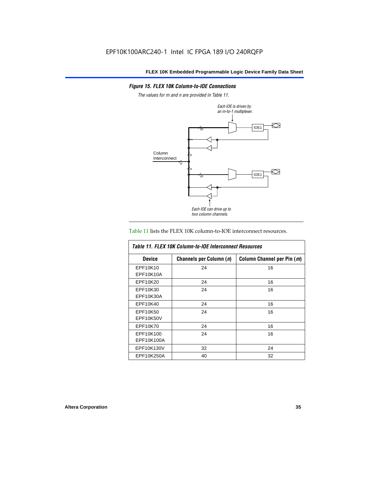#### *Figure 15. FLEX 10K Column-to-IOE Connections*

*The values for m and n are provided in Table 11.*



#### Table 11 lists the FLEX 10K column-to-IOE interconnect resources.

| Table 11, FLEX 10K Column-to-IOE Interconnect Resources |                         |                            |  |  |  |
|---------------------------------------------------------|-------------------------|----------------------------|--|--|--|
| <b>Device</b>                                           | Channels per Column (n) | Column Channel per Pin (m) |  |  |  |
| EPF10K10                                                | 24                      | 16                         |  |  |  |
| EPF10K10A                                               |                         |                            |  |  |  |
| EPF10K20                                                | 24                      | 16                         |  |  |  |
| EPF10K30                                                | 24                      | 16                         |  |  |  |
| EPF10K30A                                               |                         |                            |  |  |  |
| EPF10K40                                                | 24                      | 16                         |  |  |  |
| EPF10K50                                                | 24                      | 16                         |  |  |  |
| EPF10K50V                                               |                         |                            |  |  |  |
| EPF10K70                                                | 24                      | 16                         |  |  |  |
| EPF10K100                                               | 24                      | 16                         |  |  |  |
| EPF10K100A                                              |                         |                            |  |  |  |
| EPF10K130V                                              | 32                      | 24                         |  |  |  |
| EPF10K250A                                              | 40                      | 32                         |  |  |  |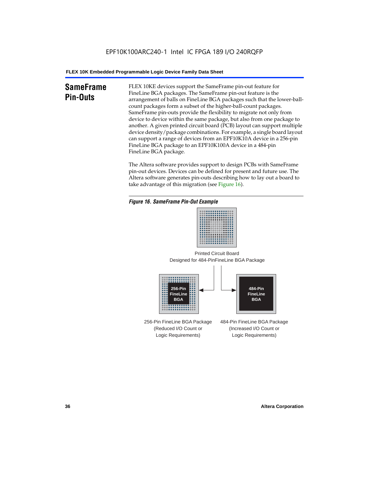# **SameFrame Pin-Outs**

FLEX 10KE devices support the SameFrame pin-out feature for FineLine BGA packages. The SameFrame pin-out feature is the arrangement of balls on FineLine BGA packages such that the lower-ballcount packages form a subset of the higher-ball-count packages. SameFrame pin-outs provide the flexibility to migrate not only from device to device within the same package, but also from one package to another. A given printed circuit board (PCB) layout can support multiple device density/package combinations. For example, a single board layout can support a range of devices from an EPF10K10A device in a 256-pin FineLine BGA package to an EPF10K100A device in a 484-pin FineLine BGA package.

The Altera software provides support to design PCBs with SameFrame pin-out devices. Devices can be defined for present and future use. The Altera software generates pin-outs describing how to lay out a board to take advantage of this migration (see Figure 16).







256-Pin FineLine BGA Package (Reduced I/O Count or Logic Requirements) 484-Pin FineLine BGA Package (Increased I/O Count or Logic Requirements)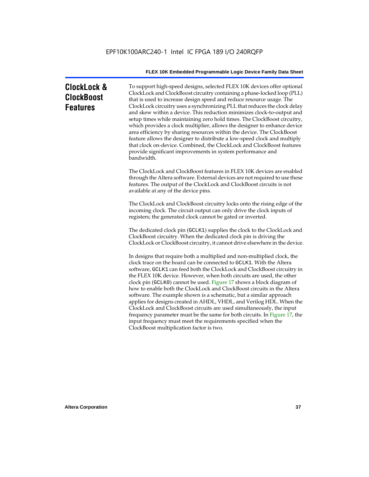# **ClockLock & ClockBoost Features**

To support high-speed designs, selected FLEX 10K devices offer optional ClockLock and ClockBoost circuitry containing a phase-locked loop (PLL) that is used to increase design speed and reduce resource usage. The ClockLock circuitry uses a synchronizing PLL that reduces the clock delay and skew within a device. This reduction minimizes clock-to-output and setup times while maintaining zero hold times. The ClockBoost circuitry, which provides a clock multiplier, allows the designer to enhance device area efficiency by sharing resources within the device. The ClockBoost feature allows the designer to distribute a low-speed clock and multiply that clock on-device. Combined, the ClockLock and ClockBoost features provide significant improvements in system performance and bandwidth.

The ClockLock and ClockBoost features in FLEX 10K devices are enabled through the Altera software. External devices are not required to use these features. The output of the ClockLock and ClockBoost circuits is not available at any of the device pins.

The ClockLock and ClockBoost circuitry locks onto the rising edge of the incoming clock. The circuit output can only drive the clock inputs of registers; the generated clock cannot be gated or inverted.

The dedicated clock pin (GCLK1) supplies the clock to the ClockLock and ClockBoost circuitry. When the dedicated clock pin is driving the ClockLock or ClockBoost circuitry, it cannot drive elsewhere in the device.

In designs that require both a multiplied and non-multiplied clock, the clock trace on the board can be connected to GCLK1. With the Altera software, GCLK1 can feed both the ClockLock and ClockBoost circuitry in the FLEX 10K device. However, when both circuits are used, the other clock pin (GCLK0) cannot be used. Figure 17 shows a block diagram of how to enable both the ClockLock and ClockBoost circuits in the Altera software. The example shown is a schematic, but a similar approach applies for designs created in AHDL, VHDL, and Verilog HDL. When the ClockLock and ClockBoost circuits are used simultaneously, the input frequency parameter must be the same for both circuits. In Figure 17, the input frequency must meet the requirements specified when the ClockBoost multiplication factor is two.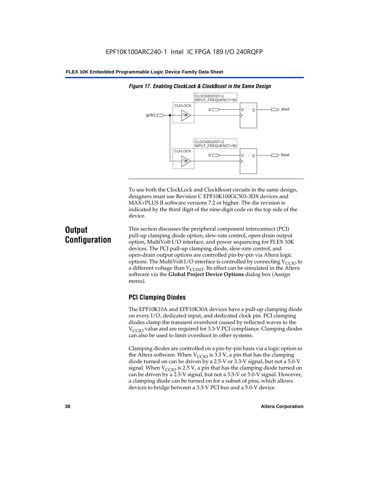

*Figure 17. Enabling ClockLock & ClockBoost in the Same Design*

To use both the ClockLock and ClockBoost circuits in the same design, designers must use Revision C EPF10K100GC503-3DX devices and MAX+PLUS II software versions 7.2 or higher. The die revision is indicated by the third digit of the nine-digit code on the top side of the device.

# **Output Configuration**

This section discusses the peripheral component interconnect (PCI) pull-up clamping diode option, slew-rate control, open-drain output option, MultiVolt I/O interface, and power sequencing for FLEX 10K devices. The PCI pull-up clamping diode, slew-rate control, and open-drain output options are controlled pin-by-pin via Altera logic options. The MultiVolt I/O interface is controlled by connecting  $V_{\text{CCIO}}$  to a different voltage than  $V_{\text{CCINT}}$ . Its effect can be simulated in the Altera software via the **Global Project Device Options** dialog box (Assign menu).

## **PCI Clamping Diodes**

The EPF10K10A and EPF10K30A devices have a pull-up clamping diode on every I/O, dedicated input, and dedicated clock pin. PCI clamping diodes clamp the transient overshoot caused by reflected waves to the  $V_{\text{CCIO}}$  value and are required for 3.3-V PCI compliance. Clamping diodes can also be used to limit overshoot in other systems.

Clamping diodes are controlled on a pin-by-pin basis via a logic option in the Altera software. When  $V_{\text{CCIO}}$  is 3.3 V, a pin that has the clamping diode turned on can be driven by a 2.5-V or 3.3-V signal, but not a 5.0-V signal. When  $V_{\text{CCIO}}$  is 2.5 V, a pin that has the clamping diode turned on can be driven by a 2.5-V signal, but not a 3.3-V or 5.0-V signal. However, a clamping diode can be turned on for a subset of pins, which allows devices to bridge between a 3.3-V PCI bus and a 5.0-V device.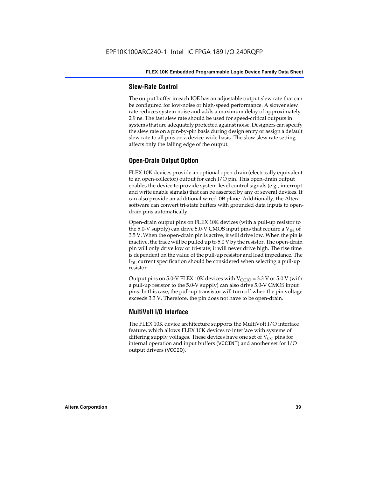## **Slew-Rate Control**

The output buffer in each IOE has an adjustable output slew rate that can be configured for low-noise or high-speed performance. A slower slew rate reduces system noise and adds a maximum delay of approximately 2.9 ns. The fast slew rate should be used for speed-critical outputs in systems that are adequately protected against noise. Designers can specify the slew rate on a pin-by-pin basis during design entry or assign a default slew rate to all pins on a device-wide basis. The slow slew rate setting affects only the falling edge of the output.

## **Open-Drain Output Option**

FLEX 10K devices provide an optional open-drain (electrically equivalent to an open-collector) output for each I/O pin. This open-drain output enables the device to provide system-level control signals (e.g., interrupt and write enable signals) that can be asserted by any of several devices. It can also provide an additional wired-OR plane. Additionally, the Altera software can convert tri-state buffers with grounded data inputs to opendrain pins automatically.

Open-drain output pins on FLEX 10K devices (with a pull-up resistor to the 5.0-V supply) can drive 5.0-V CMOS input pins that require a  $V<sub>IH</sub>$  of 3.5 V. When the open-drain pin is active, it will drive low. When the pin is inactive, the trace will be pulled up to 5.0 V by the resistor. The open-drain pin will only drive low or tri-state; it will never drive high. The rise time is dependent on the value of the pull-up resistor and load impedance. The  $I_{\text{OL}}$  current specification should be considered when selecting a pull-up resistor.

Output pins on 5.0-V FLEX 10K devices with  $V_{\text{CCIO}} = 3.3$  V or 5.0 V (with a pull-up resistor to the 5.0-V supply) can also drive 5.0-V CMOS input pins. In this case, the pull-up transistor will turn off when the pin voltage exceeds 3.3 V. Therefore, the pin does not have to be open-drain.

## **MultiVolt I/O Interface**

The FLEX 10K device architecture supports the MultiVolt I/O interface feature, which allows FLEX 10K devices to interface with systems of differing supply voltages. These devices have one set of  $V_{CC}$  pins for internal operation and input buffers (VCCINT) and another set for I/O output drivers (VCCIO).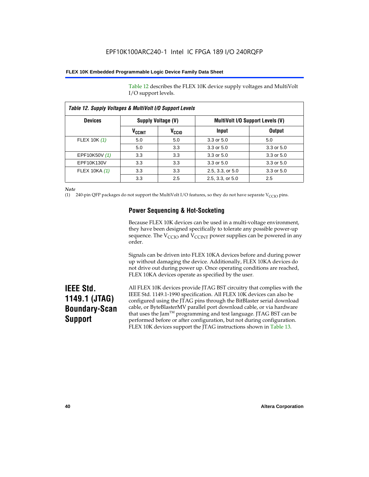Table 12 describes the FLEX 10K device supply voltages and MultiVolt I/O support levels.

| Table 12. Supply Voltages & MultiVolt I/O Support Levels |                          |                   |                                         |               |  |
|----------------------------------------------------------|--------------------------|-------------------|-----------------------------------------|---------------|--|
| <b>Devices</b>                                           | Supply Voltage (V)       |                   | <b>MultiVolt I/O Support Levels (V)</b> |               |  |
|                                                          | <b>V<sub>CCINT</sub></b> | V <sub>CCIO</sub> | Input                                   | <b>Output</b> |  |
| FLEX 10K (1)                                             | 5.0                      | 5.0               | 3.3 or 5.0                              | 5.0           |  |
|                                                          | 5.0                      | 3.3               | 3.3 or 5.0                              | 3.3 or 5.0    |  |
| EPF10K50V (1)                                            | 3.3                      | 3.3               | 3.3 or 5.0                              | 3.3 or 5.0    |  |
| EPF10K130V                                               | 3.3                      | 3.3               | 3.3 or 5.0                              | 3.3 or 5.0    |  |
| FLEX 10KA (1)                                            | 3.3                      | 3.3               | 2.5, 3.3, or 5.0                        | 3.3 or 5.0    |  |
|                                                          | 3.3                      | 2.5               | 2.5, 3.3, or 5.0                        | 2.5           |  |

*Note*

(1) 240-pin QFP packages do not support the MultiVolt I/O features, so they do not have separate V<sub>CCIO</sub> pins.

## **Power Sequencing & Hot-Socketing**

Because FLEX 10K devices can be used in a multi-voltage environment, they have been designed specifically to tolerate any possible power-up sequence. The  $V_{\text{CCIO}}$  and  $V_{\text{CCINT}}$  power supplies can be powered in any order.

Signals can be driven into FLEX 10KA devices before and during power up without damaging the device. Additionally, FLEX 10KA devices do not drive out during power up. Once operating conditions are reached, FLEX 10KA devices operate as specified by the user.

# **IEEE Std. 1149.1 (JTAG) Boundary-Scan Support**

All FLEX 10K devices provide JTAG BST circuitry that complies with the IEEE Std. 1149.1-1990 specification. All FLEX 10K devices can also be configured using the JTAG pins through the BitBlaster serial download cable, or ByteBlasterMV parallel port download cable, or via hardware that uses the Jam<sup>TM</sup> programming and test language. JTAG BST can be performed before or after configuration, but not during configuration. FLEX 10K devices support the JTAG instructions shown in Table 13.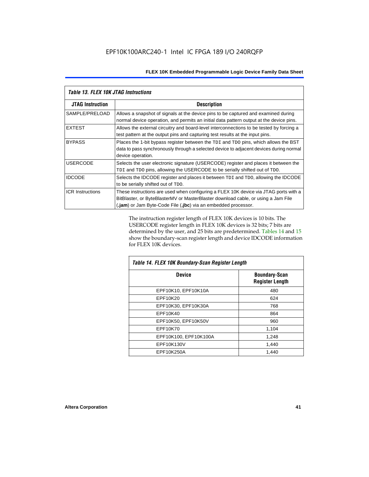| <b>Table 13. FLEX 10K JTAG Instructions</b> |                                                                                                                                                                                                                                             |  |  |
|---------------------------------------------|---------------------------------------------------------------------------------------------------------------------------------------------------------------------------------------------------------------------------------------------|--|--|
| <b>JTAG Instruction</b>                     | <b>Description</b>                                                                                                                                                                                                                          |  |  |
| SAMPLE/PRELOAD                              | Allows a snapshot of signals at the device pins to be captured and examined during<br>normal device operation, and permits an initial data pattern output at the device pins.                                                               |  |  |
| <b>EXTEST</b>                               | Allows the external circuitry and board-level interconnections to be tested by forcing a<br>test pattern at the output pins and capturing test results at the input pins.                                                                   |  |  |
| <b>BYPASS</b>                               | Places the 1-bit bypass register between the TDI and TDO pins, which allows the BST<br>data to pass synchronously through a selected device to adjacent devices during normal<br>device operation.                                          |  |  |
| <b>USERCODE</b>                             | Selects the user electronic signature (USERCODE) register and places it between the<br>TDI and TDO pins, allowing the USERCODE to be serially shifted out of TDO.                                                                           |  |  |
| <b>IDCODE</b>                               | Selects the IDCODE register and places it between TDI and TDO, allowing the IDCODE<br>to be serially shifted out of TDO.                                                                                                                    |  |  |
| <b>ICR Instructions</b>                     | These instructions are used when configuring a FLEX 10K device via JTAG ports with a<br>BitBlaster, or ByteBlasterMV or MasterBlaster download cable, or using a Jam File<br>(.jam) or Jam Byte-Code File (.jbc) via an embedded processor. |  |  |

The instruction register length of FLEX 10K devices is 10 bits. The USERCODE register length in FLEX 10K devices is 32 bits; 7 bits are determined by the user, and 25 bits are predetermined. Tables 14 and 15 show the boundary-scan register length and device IDCODE information for FLEX 10K devices.

|                       | Table 14. FLEX 10K Boundary-Scan Register Length |  |  |  |
|-----------------------|--------------------------------------------------|--|--|--|
| <b>Device</b>         | <b>Boundary-Scan</b><br><b>Register Length</b>   |  |  |  |
| EPF10K10, EPF10K10A   | 480                                              |  |  |  |
| EPF10K20              | 624                                              |  |  |  |
| EPF10K30, EPF10K30A   | 768                                              |  |  |  |
| EPF10K40              | 864                                              |  |  |  |
| EPF10K50, EPF10K50V   | 960                                              |  |  |  |
| EPF10K70              | 1,104                                            |  |  |  |
| EPF10K100, EPF10K100A | 1,248                                            |  |  |  |
| EPF10K130V            | 1,440                                            |  |  |  |
| EPF10K250A            | 1.440                                            |  |  |  |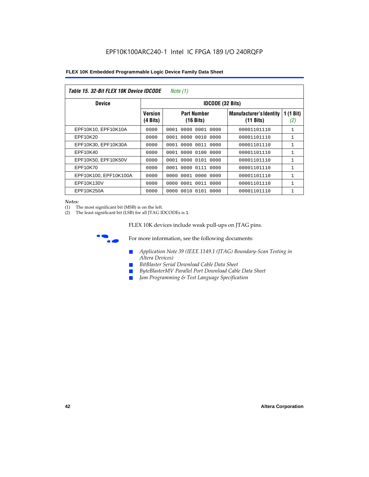| Table 15. 32-Bit FLEX 10K Device IDCODE<br>Note (1) |                            |                                           |                                                       |                    |  |  |  |  |
|-----------------------------------------------------|----------------------------|-------------------------------------------|-------------------------------------------------------|--------------------|--|--|--|--|
| <b>Device</b>                                       | <b>IDCODE (32 Bits)</b>    |                                           |                                                       |                    |  |  |  |  |
|                                                     | <b>Version</b><br>(4 Bits) | <b>Part Number</b><br>$(16 \text{ bits})$ | <b>Manufacturer's Identity</b><br>$(11 \text{ bits})$ | 1 $(1$ Bit)<br>(2) |  |  |  |  |
| EPF10K10, EPF10K10A                                 | 0000                       | 0001<br>0000<br>0001 0000                 | 00001101110                                           | $\mathbf{1}$       |  |  |  |  |
| EPF10K20                                            | 0000                       | 0000 0010 0000<br>0001                    | 00001101110                                           | 1                  |  |  |  |  |
| EPF10K30, EPF10K30A                                 | 0000                       | 0001 0000 0011 0000                       | 00001101110                                           | 1                  |  |  |  |  |
| EPF10K40                                            | 0000                       | 0000<br>0100<br>0001<br>0000              | 00001101110                                           | $\mathbf{1}$       |  |  |  |  |
| EPF10K50, EPF10K50V                                 | 0000                       | 0001 0000 0101 0000                       | 00001101110                                           | 1                  |  |  |  |  |
| EPF10K70                                            | 0000                       | 0000 0111 0000<br>0001                    | 00001101110                                           | $\mathbf{1}$       |  |  |  |  |
| EPF10K100, EPF10K100A                               | 0000                       | 0001 0000 0000<br>0000                    | 00001101110                                           | 1                  |  |  |  |  |
| EPF10K130V                                          | 0000                       | 0000<br>0001 0011 0000                    | 00001101110                                           | 1                  |  |  |  |  |
| EPF10K250A                                          | 0000                       | 0000<br>0010 0101 0000                    | 00001101110                                           | $\mathbf{1}$       |  |  |  |  |

#### *Notes:*

(1) The most significant bit (MSB) is on the left.

(2) The least significant bit (LSB) for all JTAG IDCODEs is 1.

FLEX 10K devices include weak pull-ups on JTAG pins.



**for more information, see the following documents:** 

- *Application Note 39 (IEEE 1149.1 (JTAG) Boundary-Scan Testing in Altera Devices)*
- *BitBlaster Serial Download Cable Data Sheet*
- *ByteBlasterMV Parallel Port Download Cable Data Sheet*
- *Jam Programming & Test Language Specification*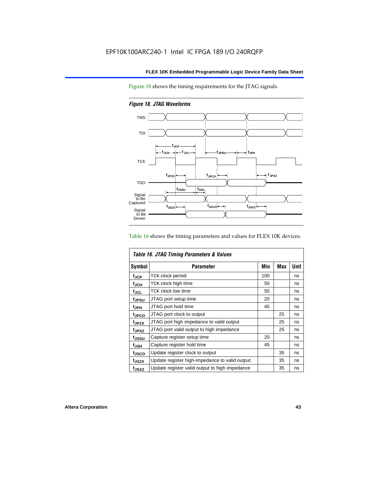Figure 18 shows the timing requirements for the JTAG signals.

*Figure 18. JTAG Waveforms*



Table 16 shows the timing parameters and values for FLEX 10K devices.

| Table 16. JTAG Timing Parameters & Values |                                                |     |            |      |  |
|-------------------------------------------|------------------------------------------------|-----|------------|------|--|
| <b>Symbol</b>                             | Parameter                                      | Min | <b>Max</b> | Unit |  |
| $t_{\rm JCP}$                             | <b>TCK clock period</b>                        | 100 |            | ns   |  |
| t <sub>JCH</sub>                          | TCK clock high time                            | 50  |            | ns   |  |
| $t_{JCL}$                                 | TCK clock low time                             | 50  |            | ns   |  |
| tjpsu                                     | JTAG port setup time                           | 20  |            | ns   |  |
| t <sub>JPH</sub>                          | JTAG port hold time                            | 45  |            | ns   |  |
| <sup>t</sup> JPCO                         | JTAG port clock to output                      |     | 25         | ns   |  |
| t <sub>JPZX</sub>                         | JTAG port high impedance to valid output       |     | 25         | ns   |  |
| t <sub>JPXZ</sub>                         | JTAG port valid output to high impedance       |     | 25         | ns   |  |
| tjssu                                     | Capture register setup time                    | 20  |            | ns   |  |
| $t_{\mathsf{JSH}}$                        | Capture register hold time                     | 45  |            | ns   |  |
| t <sub>JSCO</sub>                         | Update register clock to output                |     | 35         | ns   |  |
| t <sub>JSZX</sub>                         | Update register high-impedance to valid output |     | 35         | ns   |  |
| t <sub>JSXZ</sub>                         | Update register valid output to high impedance |     | 35         | ns   |  |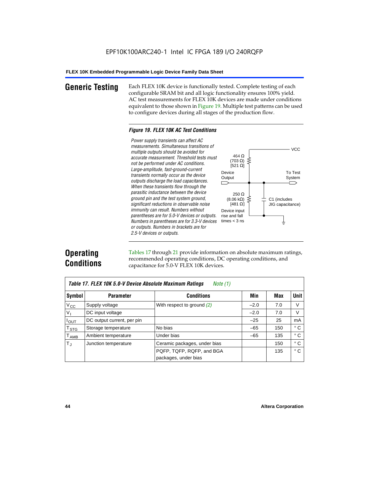**Generic Testing** Each FLEX 10K device is functionally tested. Complete testing of each configurable SRAM bit and all logic functionality ensures 100% yield. AC test measurements for FLEX 10K devices are made under conditions equivalent to those shown in Figure 19. Multiple test patterns can be used to configure devices during all stages of the production flow.

#### *Figure 19. FLEX 10K AC Test Conditions*

*Power supply transients can affect AC measurements. Simultaneous transitions of*  $V<sub>CC</sub>$ *multiple outputs should be avoided for* 464 Ω *accurate measurement. Threshold tests must* (703 Ω) ξ *not be performed under AC conditions.*  $[521 \Omega]$ *Large-amplitude, fast-ground-current* To Test Device *transients normally occur as the device* Output System *outputs discharge the load capacitances. When these transients flow through the parasitic inductance between the device* 250 Ω *ground pin and the test system ground,*  $(8.06 \text{ k}\Omega)$ C1 (includes *significant reductions in observable noise* [481 $\Omega$ ] JIG capacitance) *immunity can result. Numbers without*  Device input *parentheses are for 5.0-V devices or outputs.*  rise and fall *Numbers in parentheses are for 3.3-V devices*  times  $<$  3 ns ŧ *or outputs. Numbers in brackets are for 2.5-V devices or outputs.*

# **Operating Conditions**

Tables 17 through 21 provide information on absolute maximum ratings, recommended operating conditions, DC operating conditions, and capacitance for 5.0-V FLEX 10K devices.

| Table 17. FLEX 10K 5.0-V Device Absolute Maximum Ratings<br>Note (1) |                            |                              |        |     |              |  |
|----------------------------------------------------------------------|----------------------------|------------------------------|--------|-----|--------------|--|
| Symbol                                                               | <b>Parameter</b>           | <b>Conditions</b>            | Min    | Max | <b>Unit</b>  |  |
| $V_{\rm CC}$                                                         | Supply voltage             | With respect to ground $(2)$ | $-2.0$ | 7.0 | V            |  |
| $V_{I}$                                                              | DC input voltage           |                              | $-2.0$ | 7.0 | V            |  |
| $I_{\text{OUT}}$                                                     | DC output current, per pin |                              | $-25$  | 25  | mA           |  |
| $\mathsf{T}_{\texttt{STG}}$                                          | Storage temperature        | No bias                      | $-65$  | 150 | °C           |  |
| $\mathsf{T}_{\mathsf{AMB}}$                                          | Ambient temperature        | Under bias                   | $-65$  | 135 | $^{\circ}$ C |  |
| $T_{\rm J}$                                                          | Junction temperature       | Ceramic packages, under bias |        | 150 | °C           |  |
|                                                                      |                            | PQFP, TQFP, RQFP, and BGA    |        | 135 | $^{\circ}$ C |  |
|                                                                      |                            | packages, under bias         |        |     |              |  |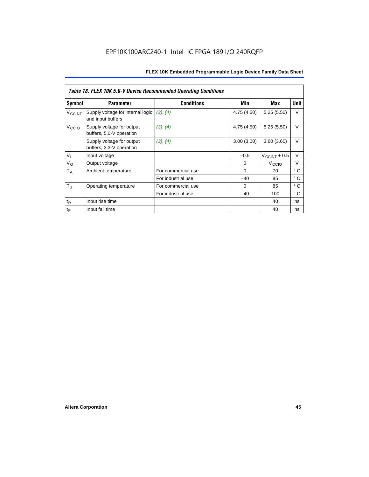|                          | Table 18. FLEX 10K 5.0-V Device Recommended Operating Conditions |                    |             |                       |              |  |  |  |
|--------------------------|------------------------------------------------------------------|--------------------|-------------|-----------------------|--------------|--|--|--|
| Symbol                   | <b>Parameter</b>                                                 | <b>Conditions</b>  | Min         | Max                   | <b>Unit</b>  |  |  |  |
| <b>V<sub>CCINT</sub></b> | Supply voltage for internal logic<br>and input buffers           | (3), (4)           | 4.75 (4.50) | 5.25(5.50)            | $\vee$       |  |  |  |
| V <sub>CCIO</sub>        | Supply voltage for output<br>buffers, 5.0-V operation            | (3), (4)           | 4.75 (4.50) | 5.25(5.50)            | $\vee$       |  |  |  |
|                          | Supply voltage for output<br>buffers, 3.3-V operation            | (3), (4)           | 3.00(3.00)  | 3.60(3.60)            | $\vee$       |  |  |  |
| V <sub>1</sub>           | Input voltage                                                    |                    | $-0.5$      | $V_{\rm CCINT}$ + 0.5 | $\vee$       |  |  |  |
| $V_{\rm O}$              | Output voltage                                                   |                    | 0           | V <sub>CCIO</sub>     | V            |  |  |  |
| $T_A$                    | Ambient temperature                                              | For commercial use | $\Omega$    | 70                    | °C           |  |  |  |
|                          |                                                                  | For industrial use | $-40$       | 85                    | $^{\circ}$ C |  |  |  |
| $T_{\rm J}$              | Operating temperature                                            | For commercial use | $\Omega$    | 85                    | °C           |  |  |  |
|                          |                                                                  | For industrial use | $-40$       | 100                   | $^{\circ}$ C |  |  |  |
| $t_{R}$                  | Input rise time                                                  |                    |             | 40                    | ns           |  |  |  |
| $t_F$                    | Input fall time                                                  |                    |             | 40                    | ns           |  |  |  |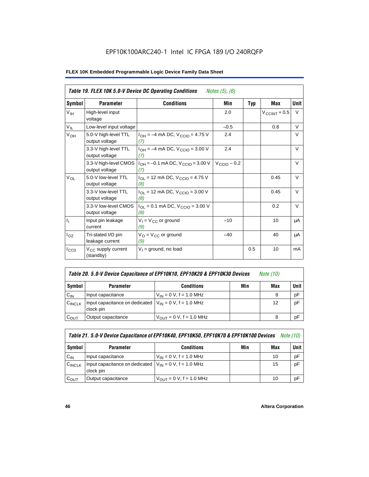## EPF10K100ARC240-1 Intel IC FPGA 189 I/O 240RQFP

## **FLEX 10K Embedded Programmable Logic Device Family Data Sheet**

| Table 19. FLEX 10K 5.0-V Device DC Operating Conditions<br><i>Notes</i> $(5)$ , $(6)$ |                                             |                                                                                |                         |            |                          |        |
|---------------------------------------------------------------------------------------|---------------------------------------------|--------------------------------------------------------------------------------|-------------------------|------------|--------------------------|--------|
| Symbol                                                                                | <b>Parameter</b>                            | <b>Conditions</b>                                                              | Min                     | <b>Typ</b> | Max                      | Unit   |
| V <sub>IH</sub>                                                                       | High-level input<br>voltage                 |                                                                                | 2.0                     |            | $V_{\text{CCINT}} + 0.5$ | V      |
| $V_{IL}$                                                                              | Low-level input voltage                     |                                                                                | $-0.5$                  |            | 0.8                      | $\vee$ |
| $V_{OH}$                                                                              | 5.0-V high-level TTL<br>output voltage      | $I_{OH} = -4$ mA DC, $V_{CCIO} = 4.75$ V<br>(7)                                | 2.4                     |            |                          | $\vee$ |
|                                                                                       | 3.3-V high-level TTL<br>output voltage      | $I_{OH} = -4$ mA DC, $V_{CCIO} = 3.00$ V<br>(7)                                | 2.4                     |            |                          | $\vee$ |
|                                                                                       | 3.3-V high-level CMOS<br>output voltage     | $I_{OH} = -0.1$ mA DC, $V_{CClO} = 3.00$ V<br>(7)                              | $V_{\text{CCIO}} - 0.2$ |            |                          | $\vee$ |
| $V_{OL}$                                                                              | 5.0-V low-level TTL<br>output voltage       | $I_{OL}$ = 12 mA DC, $V_{CCIO}$ = 4.75 V<br>(8)                                |                         |            | 0.45                     | $\vee$ |
|                                                                                       | 3.3-V low-level TTL<br>output voltage       | $I_{OL}$ = 12 mA DC, $V_{CCIO}$ = 3.00 V<br>(8)                                |                         |            | 0.45                     | $\vee$ |
|                                                                                       | 3.3-V low-level CMOS<br>output voltage      | $I_{\text{OI}} = 0.1 \text{ mA}$ DC, $V_{\text{CClO}} = 3.00 \text{ V}$<br>(8) |                         |            | 0.2                      | V      |
| $I_1$                                                                                 | Input pin leakage<br>current                | $V_1 = V_{CC}$ or ground<br>(9)                                                | $-10$                   |            | 10                       | μA     |
| $I_{OZ}$                                                                              | Tri-stated I/O pin<br>leakage current       | $V_O = V_{CC}$ or ground<br>(9)                                                | $-40$                   |            | 40                       | μA     |
| $I_{CC0}$                                                                             | V <sub>CC</sub> supply current<br>(standby) | $V_1$ = ground, no load                                                        |                         | 0.5        | 10                       | mA     |

# *Table 20. 5.0-V Device Capacitance of EPF10K10, EPF10K20 & EPF10K30 Devices Note (10)*

| Symbol             | <b>Parameter</b>                                                        | <b>Conditions</b>                   | Min | Max | <b>Unit</b> |
|--------------------|-------------------------------------------------------------------------|-------------------------------------|-----|-----|-------------|
| $C_{IN}$           | Input capacitance                                                       | $V_{IN} = 0 V$ , f = 1.0 MHz        |     |     | pF          |
| $C_{\text{INCLK}}$ | Input capacitance on dedicated $V_{1N} = 0$ V, f = 1.0 MHz<br>clock pin |                                     |     | 12  | pF          |
| $C_{OUT}$          | Output capacitance                                                      | $V_{\text{OUT}} = 0 V, f = 1.0 MHz$ |     | 8   | pF          |

| Table 21. 5.0-V Device Capacitance of EPF10K40, EPF10K50, EPF10K70 & EPF10K100 Devices<br><i>Note (10)</i> |                                                                           |                                     |     |     |      |  |  |
|------------------------------------------------------------------------------------------------------------|---------------------------------------------------------------------------|-------------------------------------|-----|-----|------|--|--|
| Symbol                                                                                                     | <b>Parameter</b>                                                          | <b>Conditions</b>                   | Min | Max | Unit |  |  |
| $C_{IN}$                                                                                                   | Input capacitance                                                         | $V_{IN} = 0 V$ , f = 1.0 MHz        |     | 10  | рF   |  |  |
| CINCLK                                                                                                     | Input capacitance on dedicated $ V_{IN} = 0 V$ , f = 1.0 MHz<br>clock pin |                                     |     | 15  | pF   |  |  |
| $C_{OUT}$                                                                                                  | Output capacitance                                                        | $V_{\text{OUT}} = 0$ V, f = 1.0 MHz |     | 10  | рF   |  |  |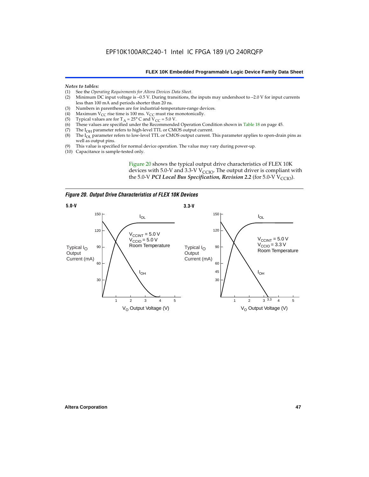#### *Notes to tables:*

- (1) See the *Operating Requirements for Altera Devices Data Sheet*.
- Minimum DC input voltage is  $-0.5$  V. During transitions, the inputs may undershoot to  $-2.0$  V for input currents less than 100 mA and periods shorter than 20 ns.
- (3) Numbers in parentheses are for industrial-temperature-range devices.<br>(4) Maximum  $V_{CC}$  rise time is 100 ms.  $V_{CC}$  must rise monotonically.
- (4) Maximum V<sub>CC</sub> rise time is 100 ms. V<sub>CC</sub> must rise monotonically.<br>(5) Typical values are for T<sub>A</sub> = 25° C and V<sub>CC</sub> = 5.0 V.
- (5) Typical values are for  $T_A = 25^\circ$  C and  $V_{CC} = 5.0$  V.<br>(6) These values are specified under the Recommende
- (6) These values are specified under the Recommended Operation Condition shown in Table 18 on page 45.<br>(7) The  $I_{OH}$  parameter refers to high-level TTL or CMOS output current.
- (7) The  $I_{OH}$  parameter refers to high-level TTL or CMOS output current.<br>(8) The  $I_{OL}$  parameter refers to low-level TTL or CMOS output current. T
- The I<sub>OL</sub> parameter refers to low-level TTL or CMOS output current. This parameter applies to open-drain pins as well as output pins.
- (9) This value is specified for normal device operation. The value may vary during power-up.
- (10) Capacitance is sample-tested only.

Figure 20 shows the typical output drive characteristics of FLEX 10K devices with 5.0-V and 3.3-V  $V_{CCIO}$ . The output driver is compliant with the 5.0-V *PCI Local Bus Specification, Revision 2.2* (for 5.0-V  $V_{\text{CCIO}}$ ).

*Figure 20. Output Drive Characteristics of FLEX 10K Devices*

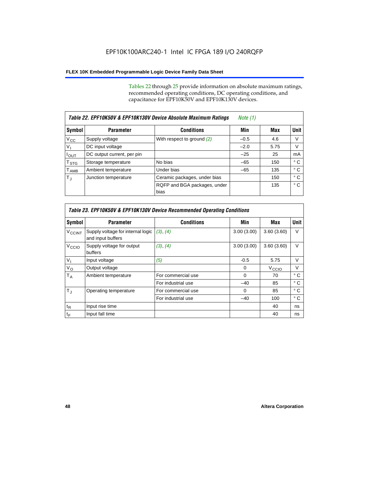Tables 22 through 25 provide information on absolute maximum ratings, recommended operating conditions, DC operating conditions, and capacitance for EPF10K50V and EPF10K130V devices.

|                           | Table 22. EPF10K50V & EPF10K130V Device Absolute Maximum Ratings | Note (1)                             |        |      |             |
|---------------------------|------------------------------------------------------------------|--------------------------------------|--------|------|-------------|
| Symbol                    | <b>Parameter</b>                                                 | <b>Conditions</b>                    | Min    | Max  | <b>Unit</b> |
| $V_{\rm CC}$              | Supply voltage                                                   | With respect to ground $(2)$         | $-0.5$ | 4.6  | V           |
| $V_{I}$                   | DC input voltage                                                 |                                      | $-2.0$ | 5.75 | V           |
| $I_{\text{OUT}}$          | DC output current, per pin                                       |                                      | $-25$  | 25   | mA          |
| $\mathsf{T}_{\text{STG}}$ | Storage temperature                                              | No bias                              | $-65$  | 150  | ° C         |
| $T_{\sf AMB}$             | Ambient temperature                                              | Under bias                           | $-65$  | 135  | ° C         |
| $\mathsf{T}_{\text{d}}$   | Junction temperature                                             | Ceramic packages, under bias         |        | 150  | ° C         |
|                           |                                                                  | RQFP and BGA packages, under<br>bias |        | 135  | ° C         |

|                          | Table 23. EPF10K50V & EPF10K130V Device Recommended Operating Conditions |                    |            |                   |              |  |  |
|--------------------------|--------------------------------------------------------------------------|--------------------|------------|-------------------|--------------|--|--|
| Symbol                   | <b>Parameter</b>                                                         | <b>Conditions</b>  | Min        | Max               | Unit         |  |  |
| <b>V<sub>CCINT</sub></b> | Supply voltage for internal logic<br>and input buffers                   | (3), (4)           | 3.00(3.00) | 3.60(3.60)        | $\vee$       |  |  |
| V <sub>CCIO</sub>        | Supply voltage for output<br>buffers                                     | (3), (4)           | 3.00(3.00) | 3.60(3.60)        | V            |  |  |
| $V_{1}$                  | Input voltage                                                            | (5)                | $-0.5$     | 5.75              | $\vee$       |  |  |
| $V_{\rm O}$              | Output voltage                                                           |                    | $\Omega$   | V <sub>CCIO</sub> | $\vee$       |  |  |
| $T_A$                    | Ambient temperature                                                      | For commercial use | $\Omega$   | 70                | $^{\circ}$ C |  |  |
|                          |                                                                          | For industrial use | $-40$      | 85                | ° C          |  |  |
| $T_{\rm J}$              | Operating temperature                                                    | For commercial use | $\Omega$   | 85                | $^{\circ}$ C |  |  |
|                          |                                                                          | For industrial use | $-40$      | 100               | ° C          |  |  |
| $t_{R}$                  | Input rise time                                                          |                    |            | 40                | ns           |  |  |
| $t_F$                    | Input fall time                                                          |                    |            | 40                | ns           |  |  |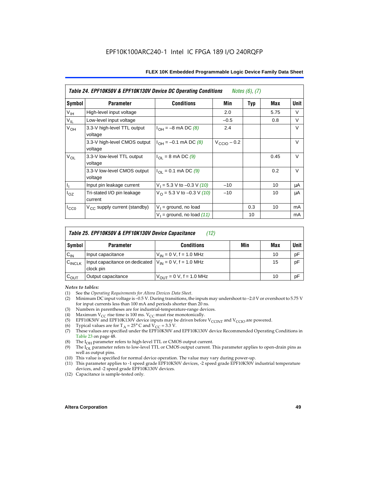| Table 24. EPF10K50V & EPF10K130V Device DC Operating Conditions<br><i>Notes <math>(6)</math>, <math>(7)</math></i> |                                         |                                     |                         |            |      |             |
|--------------------------------------------------------------------------------------------------------------------|-----------------------------------------|-------------------------------------|-------------------------|------------|------|-------------|
| <b>Symbol</b>                                                                                                      | <b>Parameter</b>                        | <b>Conditions</b>                   | Min                     | <b>Typ</b> | Max  | <b>Unit</b> |
| V <sub>IH</sub>                                                                                                    | High-level input voltage                |                                     | 2.0                     |            | 5.75 | V           |
| $V_{IL}$                                                                                                           | Low-level input voltage                 |                                     | $-0.5$                  |            | 0.8  | V           |
| V <sub>OH</sub>                                                                                                    | 3.3-V high-level TTL output<br>voltage  | $I_{OH} = -8$ mA DC (8)             | 2.4                     |            |      | V           |
|                                                                                                                    | 3.3-V high-level CMOS output<br>voltage | $I_{OH} = -0.1$ mA DC (8)           | $V_{\text{CCIO}} - 0.2$ |            |      | V           |
| $V_{OL}$                                                                                                           | 3.3-V low-level TTL output<br>voltage   | $I_{\Omega I}$ = 8 mA DC (9)        |                         |            | 0.45 | V           |
|                                                                                                                    | 3.3-V low-level CMOS output<br>voltage  | $I_{OL} = 0.1$ mA DC (9)            |                         |            | 0.2  | V           |
| $\mathsf{I}_1$                                                                                                     | Input pin leakage current               | $V_1 = 5.3$ V to -0.3 V (10)        | $-10$                   |            | 10   | μA          |
| $I_{OZ}$                                                                                                           | Tri-stated I/O pin leakage<br>current   | $V_{\Omega}$ = 5.3 V to -0.3 V (10) | $-10$                   |            | 10   | μA          |
| $I_{CC0}$                                                                                                          | $V_{CC}$ supply current (standby)       | $V_1$ = ground, no load             |                         | 0.3        | 10   | mA          |
|                                                                                                                    |                                         | $V_1$ = ground, no load (11)        |                         | 10         |      | mA          |

| Table 25. EPF10K50V & EPF10K130V Device Capacitance<br>(12) |                                                                          |                               |     |     |             |
|-------------------------------------------------------------|--------------------------------------------------------------------------|-------------------------------|-----|-----|-------------|
| Symbol                                                      | <b>Parameter</b>                                                         | <b>Conditions</b>             | Min | Max | <b>Unit</b> |
| $C_{IN}$                                                    | Input capacitance                                                        | $V_{IN} = 0 V$ , f = 1.0 MHz  |     | 10  | pF          |
| $C_{\text{INCLK}}$                                          | Input capacitance on dedicated $V_{IN} = 0 V$ , f = 1.0 MHz<br>clock pin |                               |     | 15  | pF          |
| $C_{OUT}$                                                   | Output capacitance                                                       | $V_{OUT} = 0 V$ , f = 1.0 MHz |     | 10  | pF          |

#### *Notes to tables:*

- (1) See the *Operating Requirements for Altera Devices Data Sheet*.
- Minimum DC input voltage is –0.5 V. During transitions, the inputs may undershoot to –2.0 V or overshoot to 5.75 V for input currents less than 100 mA and periods shorter than 20 ns.
- (3) Numbers in parentheses are for industrial-temperature-range devices.<br>(4) Maximum  $V_{CC}$  rise time is 100 ms.  $V_{CC}$  must rise monotonically.
- 
- (4) Maximum  $V_{CC}$  rise time is 100 ms.  $V_{CC}$  must rise monotonically.<br>(5) EPF10K50V and EPF10K130V device inputs may be driven before (5) EPF10K50V and EPF10K130V device inputs may be driven before V<sub>CCINT</sub> and V<sub>CCIO</sub> are powered.<br>(6) Typical values are for T<sub>A</sub> = 25° C and V<sub>CC</sub> = 3.3 V.
- Typical values are for  $T_A = 25^\circ$  C and  $V_{CC} = 3.3$  V.
- (7) These values are specified under the EPF10K50V and EPF10K130V device Recommended Operating Conditions in Table 23 on page 48.
- (8) The  $I<sub>OH</sub>$  parameter refers to high-level TTL or CMOS output current.
- (9) The  $I_{OL}$  parameter refers to low-level TTL or CMOS output current. This parameter applies to open-drain pins as well as output pins.
- (10) This value is specified for normal device operation. The value may vary during power-up.
- (11) This parameter applies to -1 speed grade EPF10K50V devices, -2 speed grade EPF10K50V industrial temperature devices, and -2 speed grade EPF10K130V devices.
- (12) Capacitance is sample-tested only.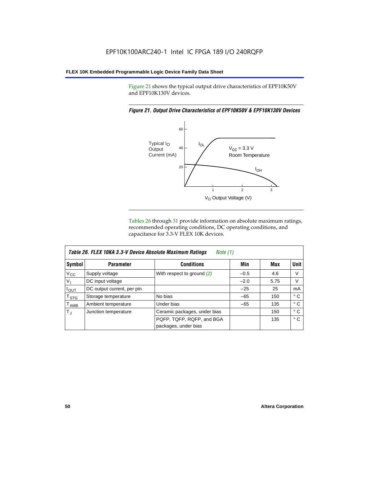Figure 21 shows the typical output drive characteristics of EPF10K50V and EPF10K130V devices.

## *Figure 21. Output Drive Characteristics of EPF10K50V & EPF10K130V Devices*



Tables 26 through 31 provide information on absolute maximum ratings, recommended operating conditions, DC operating conditions, and capacitance for 3.3-V FLEX 10K devices.

| Table 26. FLEX 10KA 3.3-V Device Absolute Maximum Ratings<br>Note (1) |                            |                              |        |      |              |
|-----------------------------------------------------------------------|----------------------------|------------------------------|--------|------|--------------|
| Symbol                                                                | <b>Parameter</b>           | <b>Conditions</b>            | Min    | Max  | Unit         |
| $V_{\rm CC}$                                                          | Supply voltage             | With respect to ground $(2)$ | $-0.5$ | 4.6  | V            |
| $V_{I}$                                                               | DC input voltage           |                              | $-2.0$ | 5.75 | V            |
| $I_{OUT}$                                                             | DC output current, per pin |                              | $-25$  | 25   | mA           |
| $T_{\text{STG}}$                                                      | Storage temperature        | No bias                      | $-65$  | 150  | $^{\circ}$ C |
| $T_{\sf AMB}$                                                         | Ambient temperature        | Under bias                   | $-65$  | 135  | ° C          |
| $T_{\rm J}$                                                           | Junction temperature       | Ceramic packages, under bias |        | 150  | ° C          |
|                                                                       |                            | PQFP, TQFP, RQFP, and BGA    |        | 135  | $^{\circ}$ C |
|                                                                       |                            | packages, under bias         |        |      |              |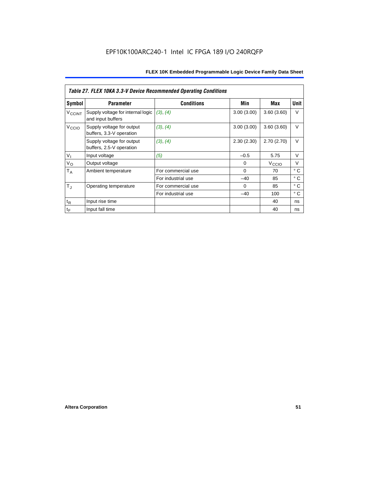|                          | Table 27. FLEX 10KA 3.3-V Device Recommended Operating Conditions |                    |            |                   |              |  |  |
|--------------------------|-------------------------------------------------------------------|--------------------|------------|-------------------|--------------|--|--|
| Symbol                   | <b>Parameter</b>                                                  | <b>Conditions</b>  | Min        | Max               | Unit         |  |  |
| <b>V<sub>CCINT</sub></b> | Supply voltage for internal logic<br>and input buffers            | (3), (4)           | 3.00(3.00) | 3.60(3.60)        | $\vee$       |  |  |
| V <sub>CCIO</sub>        | Supply voltage for output<br>buffers, 3.3-V operation             | (3), (4)           | 3.00(3.00) | 3.60(3.60)        | $\vee$       |  |  |
|                          | Supply voltage for output<br>buffers, 2.5-V operation             | (3), (4)           | 2.30(2.30) | 2.70(2.70)        | $\vee$       |  |  |
| V <sub>1</sub>           | Input voltage                                                     | (5)                | $-0.5$     | 5.75              | $\vee$       |  |  |
| $V_{\rm O}$              | Output voltage                                                    |                    | 0          | V <sub>CCIO</sub> | V            |  |  |
| $T_A$                    | Ambient temperature                                               | For commercial use | $\Omega$   | 70                | ° C          |  |  |
|                          |                                                                   | For industrial use | $-40$      | 85                | $^{\circ}$ C |  |  |
| $T_{\rm J}$              | Operating temperature                                             | For commercial use | $\Omega$   | 85                | °C           |  |  |
|                          |                                                                   | For industrial use | $-40$      | 100               | ° C          |  |  |
| $t_{R}$                  | Input rise time                                                   |                    |            | 40                | ns           |  |  |
| $t_F$                    | Input fall time                                                   |                    |            | 40                | ns           |  |  |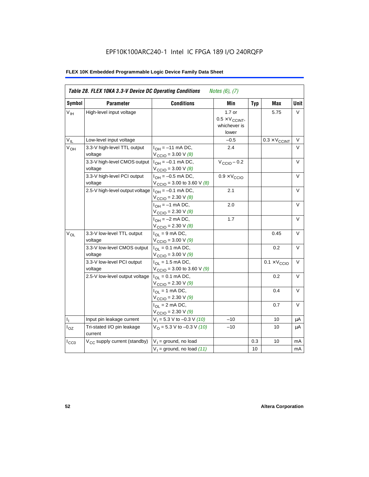## EPF10K100ARC240-1 Intel IC FPGA 189 I/O 240RQFP

| Symbol          | <b>Parameter</b>                         | <b>Conditions</b>                                                 | Min                                                         | <b>Typ</b> | Max                          | <b>Unit</b> |
|-----------------|------------------------------------------|-------------------------------------------------------------------|-------------------------------------------------------------|------------|------------------------------|-------------|
| V <sub>IH</sub> | High-level input voltage                 |                                                                   | $1.7$ or<br>$0.5 \times V_{CCINT}$<br>whichever is<br>lower |            | 5.75                         | V           |
| $V_{IL}$        | Low-level input voltage                  |                                                                   | $-0.5$                                                      |            | $0.3 \times V_{CCINT}$       | V           |
| $V_{OH}$        | 3.3-V high-level TTL output<br>voltage   | $I_{OH} = -11$ mA DC,<br>$V_{\text{CCIO}} = 3.00 V (8)$           | 2.4                                                         |            |                              | $\vee$      |
|                 | 3.3-V high-level CMOS output<br>voltage  | $I_{OH} = -0.1$ mA DC,<br>$V_{\text{CCIO}} = 3.00 \text{ V } (8)$ | $V_{\text{CCIO}} - 0.2$                                     |            |                              | V           |
|                 | 3.3-V high-level PCI output<br>voltage   | $I_{OH} = -0.5$ mA DC,<br>$V_{\text{CCIO}} = 3.00$ to 3.60 V (8)  | $0.9 \times V_{\text{CCIO}}$                                |            |                              | V           |
|                 | 2.5-V high-level output voltage          | $I_{OH} = -0.1$ mA DC,<br>$V_{\text{CCIO}} = 2.30 \text{ V } (8)$ | 2.1                                                         |            |                              | V           |
|                 |                                          | $I_{OH} = -1$ mA DC,<br>$V_{\text{CCIO}} = 2.30 \text{ V } (8)$   | 2.0                                                         |            |                              | V           |
|                 |                                          | $I_{OH} = -2$ mA DC,<br>$V_{\text{CCIO}} = 2.30 V (8)$            | 1.7                                                         |            |                              | V           |
| $V_{OL}$        | 3.3-V low-level TTL output<br>voltage    | $I_{OL}$ = 9 mA DC,<br>$V_{\text{CCIO}} = 3.00 \text{ V} (9)$     |                                                             |            | 0.45                         | $\vee$      |
|                 | 3.3-V low-level CMOS output<br>voltage   | $I_{OL} = 0.1$ mA DC,<br>$V_{\text{CCIO}} = 3.00 V (9)$           |                                                             |            | 0.2                          | $\vee$      |
|                 | 3.3-V low-level PCI output<br>voltage    | $I_{OL}$ = 1.5 mA DC,<br>$V_{\text{CCIO}} = 3.00$ to 3.60 V (9)   |                                                             |            | $0.1 \times V_{\text{CCIO}}$ | $\vee$      |
|                 | 2.5-V low-level output voltage           | $I_{OL} = 0.1$ mA DC,<br>$V_{\text{CCIO}} = 2.30 \text{ V} (9)$   |                                                             |            | 0.2                          | $\vee$      |
|                 |                                          | $I_{OL}$ = 1 mA DC,<br>$V_{\text{CCIO}} = 2.30 V (9)$             |                                                             |            | 0.4                          | V           |
|                 |                                          | $I_{OL} = 2$ mA DC,<br>$V_{\text{CCIO}} = 2.30 V (9)$             |                                                             |            | 0.7                          | V           |
| $I_{\rm L}$     | Input pin leakage current                | $V_1 = 5.3$ V to -0.3 V (10)                                      | $-10$                                                       |            | 10                           | μA          |
| $I_{OZ}$        | Tri-stated I/O pin leakage<br>current    | $VO = 5.3 V to -0.3 V (10)$                                       | $-10$                                                       |            | 10                           | μA          |
| $I_{CC0}$       | V <sub>CC</sub> supply current (standby) | $V_1$ = ground, no load                                           |                                                             | 0.3        | 10                           | mA          |
|                 |                                          | $V_1$ = ground, no load (11)                                      |                                                             | 10         |                              | mA          |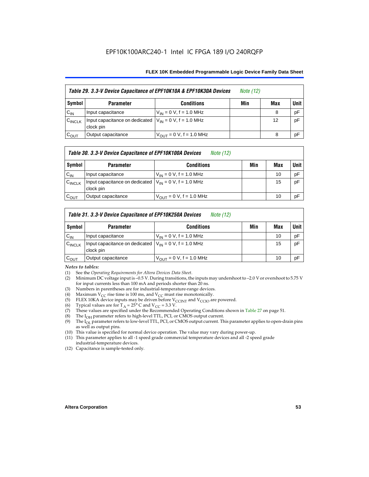## EPF10K100ARC240-1 Intel IC FPGA 189 I/O 240RQFP

#### **FLEX 10K Embedded Programmable Logic Device Family Data Sheet**

| Table 29. 3.3-V Device Capacitance of EPF10K10A & EPF10K30A Devices |                                                                           |                               | <i>Note</i> (12) |     |        |
|---------------------------------------------------------------------|---------------------------------------------------------------------------|-------------------------------|------------------|-----|--------|
| Symbol                                                              | <b>Parameter</b>                                                          | <b>Conditions</b>             | Min              | Max | Unit I |
| $C_{IN}$                                                            | Input capacitance                                                         | $V_{IN} = 0 V$ , f = 1.0 MHz  |                  | 8   | pF     |
| $C_{\text{INCLK}}$                                                  | Input capacitance on dedicated $ V_{IN} = 0 V$ , f = 1.0 MHz<br>clock pin |                               |                  | 12  | pF     |
| $C_{OUT}$                                                           | Output capacitance                                                        | $V_{OUT} = 0 V$ , f = 1.0 MHz |                  | 8   | pF     |

#### *Table 30. 3.3-V Device Capacitance of EPF10K100A Devices Note (12)*

| Symbol    | <b>Parameter</b>                                                          | <b>Conditions</b>                   | Min | Max | <b>Unit</b> |
|-----------|---------------------------------------------------------------------------|-------------------------------------|-----|-----|-------------|
| $C_{IN}$  | Input capacitance                                                         | $V_{IN} = 0 V$ , f = 1.0 MHz        |     | 10  | pF          |
| CINCLK    | Input capacitance on dedicated $ V_{1N}  = 0$ V, f = 1.0 MHz<br>clock pin |                                     |     | 15  | pF          |
| $C_{OUT}$ | Output capacitance                                                        | $V_{\text{OUT}} = 0$ V, f = 1.0 MHz |     | 10  | pF          |

## *Table 31. 3.3-V Device Capacitance of EPF10K250A Devices Note (12)*

| Symbol             | <b>Parameter</b>                                                         | <b>Conditions</b>                   | Min | Max | <b>Unit</b> |
|--------------------|--------------------------------------------------------------------------|-------------------------------------|-----|-----|-------------|
| $C_{\text{IN}}$    | Input capacitance                                                        | $V_{IN} = 0$ V, f = 1.0 MHz         |     | 10  | pF          |
| $C_{\text{INCLK}}$ | Input capacitance on dedicated $V_{IN} = 0 V$ , f = 1.0 MHz<br>clock pin |                                     |     | 15  | pF          |
| $C_{\text{OUT}}$   | Output capacitance                                                       | $V_{\text{OUT}} = 0$ V, f = 1.0 MHz |     | 10  | pF          |

#### *Notes to tables:*

- (1) See the *Operating Requirements for Altera Devices Data Sheet*.
- (2) Minimum DC voltage input is –0.5 V. During transitions, the inputs may undershoot to –2.0 V or overshoot to 5.75 V for input currents less than 100 mA and periods shorter than 20 ns.
- (3) Numbers in parentheses are for industrial-temperature-range devices.
- (4) Maximum V<sub>CC</sub> rise time is 100 ms, and V<sub>CC</sub> must rise monotonically.<br>(5) ELEX 10KA device inputs may be driven before V<sub>CCINT</sub> and V<sub>CCIO</sub> ar
- (5) FLEX 10KA device inputs may be driven before  $V_{CCTN}$  and  $V_{CCTO}$  are powered.<br>(6) Typical values are for T<sub>A</sub> = 25° C and  $V_{CC}$  = 3.3 V.
- (6) Typical values are for  $T_A = 25^\circ$  C and  $V_{CC} = 3.3$  V.<br>(7) These values are specified under the Recommende
- These values are specified under the Recommended Operating Conditions shown in Table 27 on page 51.
- (8) The  $I_{OH}$  parameter refers to high-level TTL, PCI, or CMOS output current. The  $I_{OH}$  parameter refers to low-level TTL, PCI, or CMOS output current. The
- The I<sub>OL</sub> parameter refers to low-level TTL, PCI, or CMOS output current. This parameter applies to open-drain pins as well as output pins.
- (10) This value is specified for normal device operation. The value may vary during power-up.
- (11) This parameter applies to all -1 speed grade commercial temperature devices and all -2 speed grade industrial-temperature devices.
- (12) Capacitance is sample-tested only.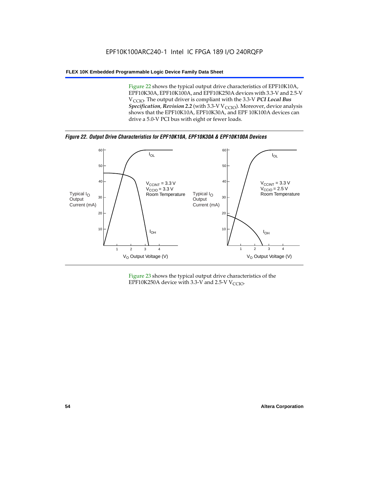Figure 22 shows the typical output drive characteristics of EPF10K10A, EPF10K30A, EPF10K100A, and EPF10K250A devices with 3.3-V and 2.5-V V<sub>CCIO</sub>. The output driver is compliant with the 3.3-V PCI Local Bus *Specification, Revision 2.2* (with 3.3-V V<sub>CCIO</sub>). Moreover, device analysis shows that the EPF10K10A, EPF10K30A, and EPF 10K100A devices can drive a 5.0-V PCI bus with eight or fewer loads.

*Figure 22. Output Drive Characteristics for EPF10K10A, EPF10K30A & EPF10K100A Devices*



Figure 23 shows the typical output drive characteristics of the EPF10K250A device with 3.3-V and 2.5-V  $V_{\text{CCIO}}$ .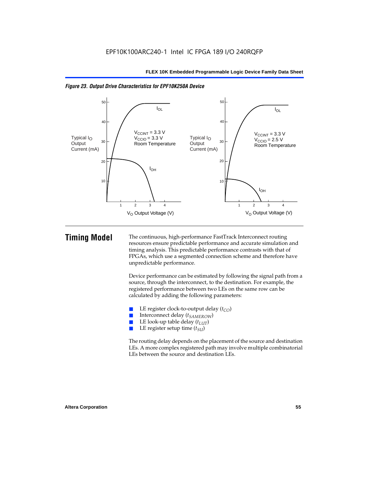

## *Figure 23. Output Drive Characteristics for EPF10K250A Device*

**Timing Model** The continuous, high-performance FastTrack Interconnect routing resources ensure predictable performance and accurate simulation and timing analysis. This predictable performance contrasts with that of FPGAs, which use a segmented connection scheme and therefore have unpredictable performance.

> Device performance can be estimated by following the signal path from a source, through the interconnect, to the destination. For example, the registered performance between two LEs on the same row can be calculated by adding the following parameters:

- **E** LE register clock-to-output delay  $(t_{CO})$ <br> **E** Interconnect delay  $(t_{CMBOW})$
- Interconnect delay (*t<sub>SAMEROW</sub>*)
- LE look-up table delay  $(t_{LUT})$
- LE register setup time ( $t_{SI}$ )

The routing delay depends on the placement of the source and destination LEs. A more complex registered path may involve multiple combinatorial LEs between the source and destination LEs.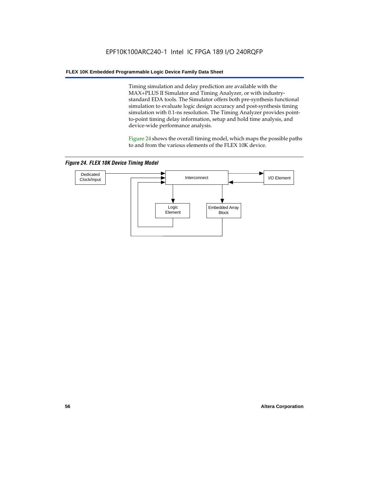Timing simulation and delay prediction are available with the MAX+PLUS II Simulator and Timing Analyzer, or with industrystandard EDA tools. The Simulator offers both pre-synthesis functional simulation to evaluate logic design accuracy and post-synthesis timing simulation with 0.1-ns resolution. The Timing Analyzer provides pointto-point timing delay information, setup and hold time analysis, and device-wide performance analysis.

Figure 24 shows the overall timing model, which maps the possible paths to and from the various elements of the FLEX 10K device.

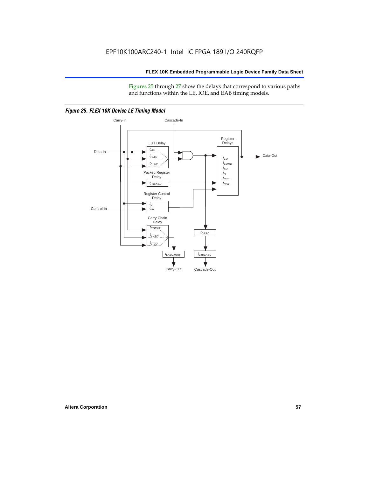Figures 25 through 27 show the delays that correspond to various paths and functions within the LE, IOE, and EAB timing models.



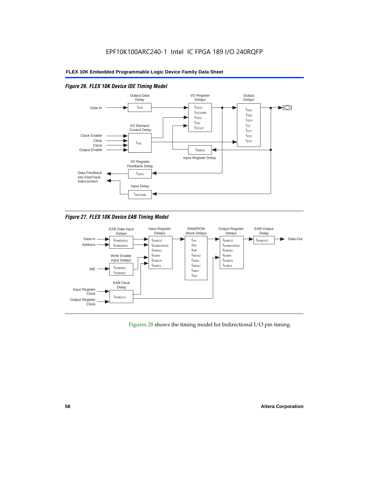

## *Figure 26. FLEX 10K Device IOE Timing Model*

*Figure 27. FLEX 10K Device EAB Timing Model*



Figures 28 shows the timing model for bidirectional I/O pin timing.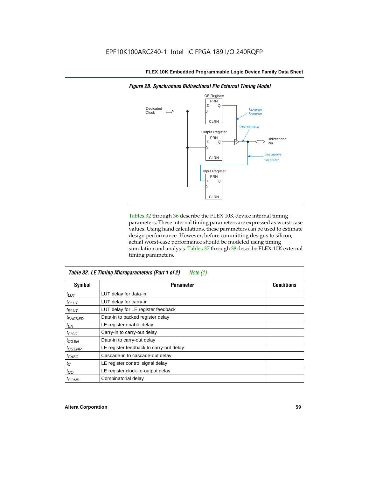

*Figure 28. Synchronous Bidirectional Pin External Timing Model*

Tables 32 through 36 describe the FLEX 10K device internal timing parameters. These internal timing parameters are expressed as worst-case values. Using hand calculations, these parameters can be used to estimate design performance. However, before committing designs to silicon, actual worst-case performance should be modeled using timing simulation and analysis. Tables 37 through 38 describe FLEX 10K external timing parameters.

| Table 32. LE Timing Microparameters (Part 1 of 2)<br>Note $(1)$ |                                         |                   |  |  |
|-----------------------------------------------------------------|-----------------------------------------|-------------------|--|--|
| Symbol                                                          | <b>Parameter</b>                        | <b>Conditions</b> |  |  |
| $t_{LUT}$                                                       | LUT delay for data-in                   |                   |  |  |
| $t_{CLUT}$                                                      | LUT delay for carry-in                  |                   |  |  |
| $t_{RLUT}$                                                      | LUT delay for LE register feedback      |                   |  |  |
| <sup>t</sup> PACKED                                             | Data-in to packed register delay        |                   |  |  |
| $t_{EN}$                                                        | LE register enable delay                |                   |  |  |
| $t_{CICO}$                                                      | Carry-in to carry-out delay             |                   |  |  |
| $t_{\text{GEN}}$                                                | Data-in to carry-out delay              |                   |  |  |
| $t_{GENR}$                                                      | LE register feedback to carry-out delay |                   |  |  |
| t <sub>CASC</sub>                                               | Cascade-in to cascade-out delay         |                   |  |  |
| $t_C$                                                           | LE register control signal delay        |                   |  |  |
| $t_{CO}$                                                        | LE register clock-to-output delay       |                   |  |  |
| $t_{COMB}$                                                      | Combinatorial delay                     |                   |  |  |

Г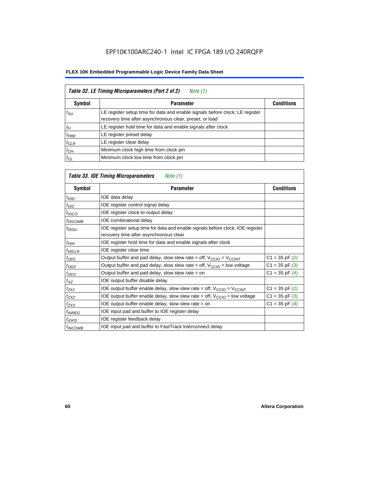| Table 32. LE Timing Microparameters (Part 2 of 2)<br>Note (1) |                                                                                                                                         |                   |  |  |
|---------------------------------------------------------------|-----------------------------------------------------------------------------------------------------------------------------------------|-------------------|--|--|
| <b>Symbol</b>                                                 | <b>Parameter</b>                                                                                                                        | <b>Conditions</b> |  |  |
| $t_{\rm SU}$                                                  | LE register setup time for data and enable signals before clock; LE register<br>recovery time after asynchronous clear, preset, or load |                   |  |  |
| $t_H$                                                         | LE register hold time for data and enable signals after clock                                                                           |                   |  |  |
| $t_{PRE}$                                                     | LE register preset delay                                                                                                                |                   |  |  |
| $t_{CLR}$                                                     | LE register clear delay                                                                                                                 |                   |  |  |
| $t_{CH}$                                                      | Minimum clock high time from clock pin                                                                                                  |                   |  |  |
| $t_{CL}$                                                      | Minimum clock low time from clock pin                                                                                                   |                   |  |  |

# *Table 33. IOE Timing Microparameters Note (1)*

| Symbol              | <b>Parameter</b>                                                                                                         | <b>Conditions</b>  |
|---------------------|--------------------------------------------------------------------------------------------------------------------------|--------------------|
| t <sub>IOD</sub>    | IOE data delay                                                                                                           |                    |
| $t_{\text{IOC}}$    | IOE register control signal delay                                                                                        |                    |
| $t_{\text{IOCO}}$   | IOE register clock-to-output delay                                                                                       |                    |
| t <sub>IOCOMB</sub> | IOE combinatorial delay                                                                                                  |                    |
| $t_{IOSU}$          | IOE register setup time for data and enable signals before clock; IOE register<br>recovery time after asynchronous clear |                    |
| $t_{IOH}$           | IOE register hold time for data and enable signals after clock                                                           |                    |
| $t_{IOCLR}$         | IOE register clear time                                                                                                  |                    |
| $t_{OD1}$           | Output buffer and pad delay, slow slew rate = off, $V_{\text{CCIO}} = V_{\text{CCINT}}$                                  | $C1 = 35$ pF $(2)$ |
| $t_{OD2}$           | Output buffer and pad delay, slow slew rate = off, $V_{\text{CCIO}}$ = low voltage                                       | $C1 = 35$ pF $(3)$ |
| $t_{OD3}$           | Output buffer and pad delay, slow slew rate = on                                                                         | $C1 = 35$ pF $(4)$ |
| $t_{XZ}$            | IOE output buffer disable delay                                                                                          |                    |
| $t_{ZX1}$           | IOE output buffer enable delay, slow slew rate = off, $V_{\text{CCIO}} = V_{\text{CCINT}}$                               | $C1 = 35$ pF $(2)$ |
| $t_{ZX2}$           | IOE output buffer enable delay, slow slew rate = off, $V_{\text{CCIO}}$ = low voltage                                    | $C1 = 35$ pF $(3)$ |
| $t_{ZX3}$           | IOE output buffer enable delay, slow slew rate $=$ on                                                                    | $C1 = 35$ pF $(4)$ |
| <sup>t</sup> INREG  | IOE input pad and buffer to IOE register delay                                                                           |                    |
| $t_{IOFD}$          | IOE register feedback delay                                                                                              |                    |
| $t_{INCOMB}$        | IOE input pad and buffer to FastTrack Interconnect delay                                                                 |                    |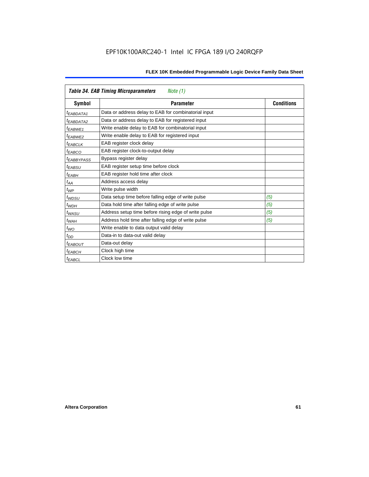| <b>Table 34. EAB Timing Microparameters</b><br>Note (1) |                                                      |                   |  |  |
|---------------------------------------------------------|------------------------------------------------------|-------------------|--|--|
| Symbol                                                  | <b>Parameter</b>                                     | <b>Conditions</b> |  |  |
| $t_{EABDATA1}$                                          | Data or address delay to EAB for combinatorial input |                   |  |  |
| <sup>I</sup> EABDATA2                                   | Data or address delay to EAB for registered input    |                   |  |  |
| $t_{EABWE1}$                                            | Write enable delay to EAB for combinatorial input    |                   |  |  |
| <sup>t</sup> EABWE2                                     | Write enable delay to EAB for registered input       |                   |  |  |
| <sup>t</sup> EABCLK                                     | EAB register clock delay                             |                   |  |  |
| $t_{EABCO}$                                             | EAB register clock-to-output delay                   |                   |  |  |
| <b><i>EABBYPASS</i></b>                                 | Bypass register delay                                |                   |  |  |
| <sup>t</sup> EABSU                                      | EAB register setup time before clock                 |                   |  |  |
| $t_{EABH}$                                              | EAB register hold time after clock                   |                   |  |  |
| $t_{AA}$                                                | Address access delay                                 |                   |  |  |
| $t_{WP}$                                                | Write pulse width                                    |                   |  |  |
| $t_{WDSU}$                                              | Data setup time before falling edge of write pulse   | (5)               |  |  |
| $t_{WDH}$                                               | Data hold time after falling edge of write pulse     | (5)               |  |  |
| $t_{WASU}$                                              | Address setup time before rising edge of write pulse | (5)               |  |  |
| $t_{WAH}$                                               | Address hold time after falling edge of write pulse  | (5)               |  |  |
| $t_{WO}$                                                | Write enable to data output valid delay              |                   |  |  |
| $t_{DD}$                                                | Data-in to data-out valid delay                      |                   |  |  |
| $t_{EABOUT}$                                            | Data-out delay                                       |                   |  |  |
| <sup>t</sup> EABCH                                      | Clock high time                                      |                   |  |  |
| <sup>t</sup> EABCL                                      | Clock low time                                       |                   |  |  |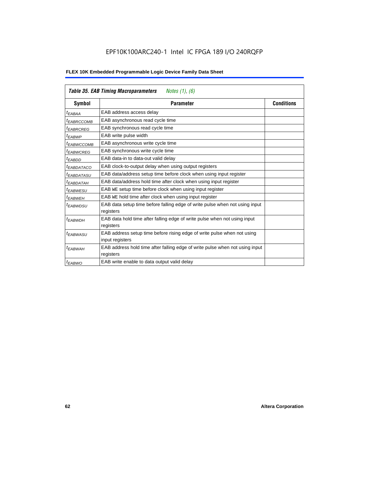|  | FLEX 10K Embedded Programmable Logic Device Family Data Sheet |
|--|---------------------------------------------------------------|
|--|---------------------------------------------------------------|

|                        | <b>Table 35. EAB Timing Macroparameters</b><br><i>Notes (1), (6)</i>                      |                   |  |  |  |  |
|------------------------|-------------------------------------------------------------------------------------------|-------------------|--|--|--|--|
| Symbol                 | <b>Parameter</b>                                                                          | <b>Conditions</b> |  |  |  |  |
| t <sub>EABAA</sub>     | EAB address access delay                                                                  |                   |  |  |  |  |
| <sup>t</sup> EABRCCOMB | EAB asynchronous read cycle time                                                          |                   |  |  |  |  |
| <sup>t</sup> EABRCREG  | EAB synchronous read cycle time                                                           |                   |  |  |  |  |
| <sup>t</sup> EABWP     | EAB write pulse width                                                                     |                   |  |  |  |  |
| <sup>t</sup> EABWCCOMB | EAB asynchronous write cycle time                                                         |                   |  |  |  |  |
| <sup>t</sup> EABWCREG  | EAB synchronous write cycle time                                                          |                   |  |  |  |  |
| <sup>t</sup> EABDD     | EAB data-in to data-out valid delay                                                       |                   |  |  |  |  |
| <sup>t</sup> EABDATACO | EAB clock-to-output delay when using output registers                                     |                   |  |  |  |  |
| <sup>t</sup> EABDATASU | EAB data/address setup time before clock when using input register                        |                   |  |  |  |  |
| <sup>t</sup> EABDATAH  | EAB data/address hold time after clock when using input register                          |                   |  |  |  |  |
| <sup>t</sup> EABWESU   | EAB WE setup time before clock when using input register                                  |                   |  |  |  |  |
| <sup>t</sup> EABWEH    | EAB WE hold time after clock when using input register                                    |                   |  |  |  |  |
| <sup>t</sup> EABWDSU   | EAB data setup time before falling edge of write pulse when not using input<br>registers  |                   |  |  |  |  |
| <sup>t</sup> EABWDH    | EAB data hold time after falling edge of write pulse when not using input                 |                   |  |  |  |  |
|                        | registers                                                                                 |                   |  |  |  |  |
| t <sub>EABWASU</sub>   | EAB address setup time before rising edge of write pulse when not using                   |                   |  |  |  |  |
|                        | input registers                                                                           |                   |  |  |  |  |
| <sup>t</sup> EABWAH    | EAB address hold time after falling edge of write pulse when not using input<br>registers |                   |  |  |  |  |
| $t_{EABWO}$            | EAB write enable to data output valid delay                                               |                   |  |  |  |  |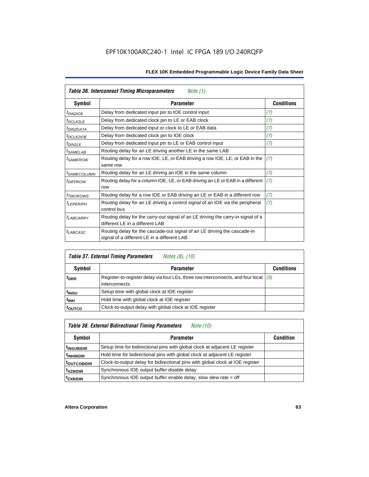| Table 36. Interconnect Timing Microparameters<br>Note (1) |                                                                                                                         |                   |  |  |  |
|-----------------------------------------------------------|-------------------------------------------------------------------------------------------------------------------------|-------------------|--|--|--|
| Symbol                                                    | <b>Parameter</b>                                                                                                        | <b>Conditions</b> |  |  |  |
| <sup>t</sup> DIN2IOE                                      | Delay from dedicated input pin to IOE control input                                                                     | (7)               |  |  |  |
| $t_{DCLK2LE}$                                             | Delay from dedicated clock pin to LE or EAB clock                                                                       | (7)               |  |  |  |
| <sup>t</sup> DIN2DATA                                     | Delay from dedicated input or clock to LE or EAB data                                                                   | (7)               |  |  |  |
| <sup>t</sup> DCLK2IOE                                     | Delay from dedicated clock pin to IOE clock                                                                             | (7)               |  |  |  |
| t <sub>DIN2LE</sub>                                       | Delay from dedicated input pin to LE or EAB control input                                                               | (7)               |  |  |  |
| <sup>t</sup> SAMELAB                                      | Routing delay for an LE driving another LE in the same LAB                                                              |                   |  |  |  |
| <sup>t</sup> SAMEROW                                      | Routing delay for a row IOE, LE, or EAB driving a row IOE, LE, or EAB in the<br>same row                                | (7)               |  |  |  |
| <sup>t</sup> SAMECOLUMN                                   | Routing delay for an LE driving an IOE in the same column                                                               | (7)               |  |  |  |
| <i><b>IDIFFROW</b></i>                                    | Routing delay for a column IOE, LE, or EAB driving an LE or EAB in a different<br>row                                   | (7)               |  |  |  |
| <i>t</i> TWOROWS                                          | Routing delay for a row IOE or EAB driving an LE or EAB in a different row                                              | (7)               |  |  |  |
| <sup>t</sup> LEPERIPH                                     | Routing delay for an LE driving a control signal of an IOE via the peripheral<br>control bus                            | (7)               |  |  |  |
| t <sub>LABCARRY</sub>                                     | Routing delay for the carry-out signal of an LE driving the carry-in signal of a<br>different LE in a different LAB     |                   |  |  |  |
| <i>t<sub>LABCASC</sub></i>                                | Routing delay for the cascade-out signal of an LE driving the cascade-in<br>signal of a different LE in a different LAB |                   |  |  |  |

| <b>Table 37. External Timing Parameters</b><br>Notes (8), (10) |                                                                                                               |                   |  |  |  |
|----------------------------------------------------------------|---------------------------------------------------------------------------------------------------------------|-------------------|--|--|--|
| <b>Symbol</b>                                                  | <b>Parameter</b>                                                                                              | <b>Conditions</b> |  |  |  |
| <sup>t</sup> DRR                                               | Register-to-register delay via four LEs, three row interconnects, and four local $ g\rangle$<br>interconnects |                   |  |  |  |
| t <sub>insu</sub>                                              | Setup time with global clock at IOE register                                                                  |                   |  |  |  |
| <sup>t</sup> INH                                               | Hold time with global clock at IOE register                                                                   |                   |  |  |  |
| <sup>T</sup> OUTCO                                             | Clock-to-output delay with global clock at IOE register                                                       |                   |  |  |  |

## *Table 38. External Bidirectional Timing Parameters Note (10)*

| Symbol                   | <b>Parameter</b>                                                               | <b>Condition</b> |
|--------------------------|--------------------------------------------------------------------------------|------------------|
| <sup>  t</sup> INSUBIDIR | Setup time for bidirectional pins with global clock at adjacent LE register    |                  |
| <sup>t</sup> INHBIDIR    | Hold time for bidirectional pins with global clock at adjacent LE register     |                  |
| <sup>t</sup> outcobidir  | Clock-to-output delay for bidirectional pins with global clock at IOE register |                  |
| <sup>t</sup> xzbidir     | Synchronous IOE output buffer disable delay                                    |                  |
| <sup>t</sup> zxbidir     | Synchronous IOE output buffer enable delay, slow slew rate = off               |                  |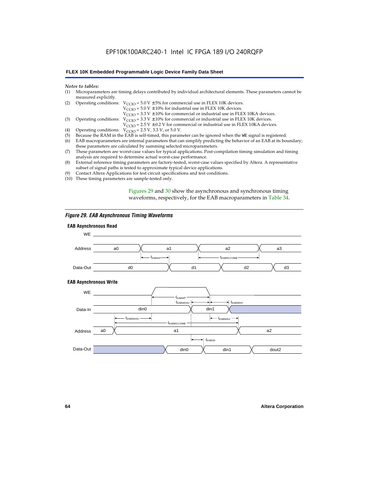## EPF10K100ARC240-1 Intel IC FPGA 189 I/O 240RQFP

#### **FLEX 10K Embedded Programmable Logic Device Family Data Sheet**

#### *Notes to tables:*

| (1) Microparameters are timing delays contributed by individual architectural elements. These parameters cannot be |
|--------------------------------------------------------------------------------------------------------------------|
| measured explicitly.                                                                                               |

| (2) Operating conditions: $V_{CCIO} = 5.0 V \pm 5%$ for commercial use in FLEX 10K devices. |  |  |  |
|---------------------------------------------------------------------------------------------|--|--|--|
|                                                                                             |  |  |  |

 $V<sub>CCIO</sub>$  = 5.0 V  $\pm$  10% for industrial use in FLEX 10K devices.

 $V_{\text{CCIO}} = 3.3 \text{ V} \pm 10\%$  for commercial or industrial use in FLEX 10KA devices.

(3) Operating conditions:  $V_{\text{CCIO}} = 3.3 V \pm 10\%$  for commercial or industrial use in FLEX 10K devices.

 $V_{\text{CCIO}} = 2.5 \text{ V} \pm 0.2 \text{ V}$  for commercial or industrial use in FLEX 10KA devices.

- (4) Operating conditions:  $V_{\text{CCIO}} = 2.5 V$ , 3.3 V, or 5.0 V.<br>(5) Because the RAM in the EAB is self-timed, this param
- (5) Because the RAM in the EAB is self-timed, this parameter can be ignored when the WE signal is registered.<br>(6) EAB macroparameters are internal parameters that can simplify predicting the behavior of an EAB at its bou
- EAB macroparameters are internal parameters that can simplify predicting the behavior of an EAB at its boundary; these parameters are calculated by summing selected microparameters.
- (7) These parameters are worst-case values for typical applications. Post-compilation timing simulation and timing analysis are required to determine actual worst-case performance.
- (8) External reference timing parameters are factory-tested, worst-case values specified by Altera. A representative subset of signal paths is tested to approximate typical device applications.
- (9) Contact Altera Applications for test circuit specifications and test conditions.
- (10) These timing parameters are sample-tested only.

Figures 29 and 30 show the asynchronous and synchronous timing waveforms, respectively, for the EAB macroparameters in Table 34.

#### *Figure 29. EAB Asynchronous Timing Waveforms*

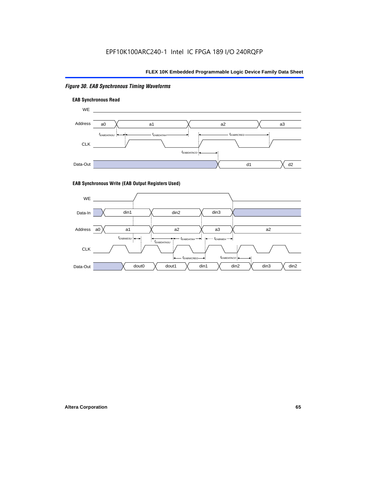## *Figure 30. EAB Synchronous Timing Waveforms*





#### **EAB Synchronous Write (EAB Output Registers Used)**

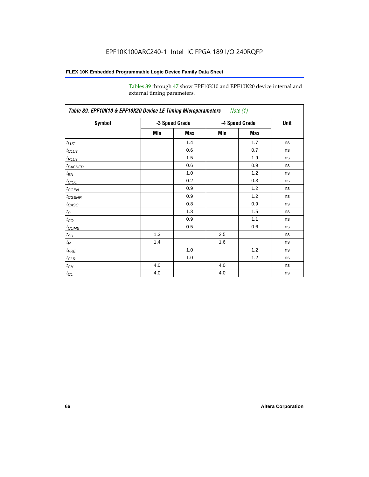Tables 39 through 47 show EPF10K10 and EPF10K20 device internal and external timing parameters.

| Symbol            | -3 Speed Grade |     | -4 Speed Grade |     | <b>Unit</b> |
|-------------------|----------------|-----|----------------|-----|-------------|
|                   | Min            | Max | Min            | Max |             |
| $t_{LUT}$         |                | 1.4 |                | 1.7 | ns          |
| $t_{CLUT}$        |                | 0.6 |                | 0.7 | ns          |
| $t_{RLUT}$        |                | 1.5 |                | 1.9 | ns          |
| <b>t</b> PACKED   |                | 0.6 |                | 0.9 | ns          |
| $t_{EN}$          |                | 1.0 |                | 1.2 | ns          |
| $t_{CICO}$        |                | 0.2 |                | 0.3 | ns          |
| $t_{\text{GEN}}$  |                | 0.9 |                | 1.2 | ns          |
| $t_{GENR}$        |                | 0.9 |                | 1.2 | ns          |
| $t_{CASC}$        |                | 0.8 |                | 0.9 | ns          |
| $t_C$             |                | 1.3 |                | 1.5 | ns          |
| $t_{CO}$          |                | 0.9 |                | 1.1 | ns          |
| $t_{\text{COMB}}$ |                | 0.5 |                | 0.6 | ns          |
| $t_{\text{SU}}$   | 1.3            |     | 2.5            |     | ns          |
| $t_H$             | 1.4            |     | 1.6            |     | ns          |
| $t_{PRE}$         |                | 1.0 |                | 1.2 | ns          |
| $t_{\text{CLR}}$  |                | 1.0 |                | 1.2 | ns          |
| $t_{CH}$          | 4.0            |     | 4.0            |     | ns          |
| $t_{CL}$          | 4.0            |     | 4.0            |     | ns          |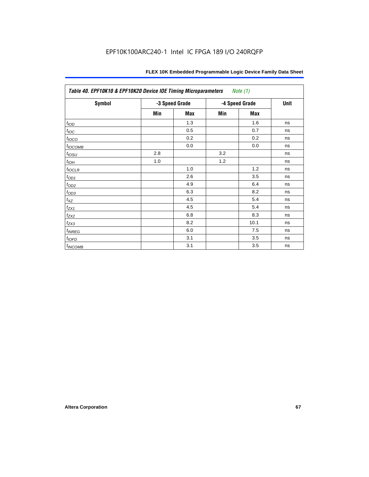| <b>Symbol</b>       | -3 Speed Grade |     | -4 Speed Grade |      | <b>Unit</b> |
|---------------------|----------------|-----|----------------|------|-------------|
|                     | Min            | Max | Min            | Max  |             |
| t <sub>IOD</sub>    |                | 1.3 |                | 1.6  | ns          |
| $t_{\text{IOC}}$    |                | 0.5 |                | 0.7  | ns          |
| $t_{\text{IOCO}}$   |                | 0.2 |                | 0.2  | ns          |
| t <sub>IOCOMB</sub> |                | 0.0 |                | 0.0  | ns          |
| $t_{IOSU}$          | 2.8            |     | 3.2            |      | ns          |
| $t_{IOH}$           | 1.0            |     | 1.2            |      | ns          |
| $t_{IOCLR}$         |                | 1.0 |                | 1.2  | ns          |
| $t_{OD1}$           |                | 2.6 |                | 3.5  | ns          |
| $t_{OD2}$           |                | 4.9 |                | 6.4  | ns          |
| $t_{OD3}$           |                | 6.3 |                | 8.2  | ns          |
| $t_{XZ}$            |                | 4.5 |                | 5.4  | ns          |
| $t_{ZX1}$           |                | 4.5 |                | 5.4  | ns          |
| $t_{ZX2}$           |                | 6.8 |                | 8.3  | ns          |
| $t_{ZX3}$           |                | 8.2 |                | 10.1 | ns          |
| $t_{INREG}$         |                | 6.0 |                | 7.5  | ns          |
| $t_{IOFD}$          |                | 3.1 |                | 3.5  | ns          |
| t <sub>INCOMB</sub> |                | 3.1 |                | 3.5  | ns          |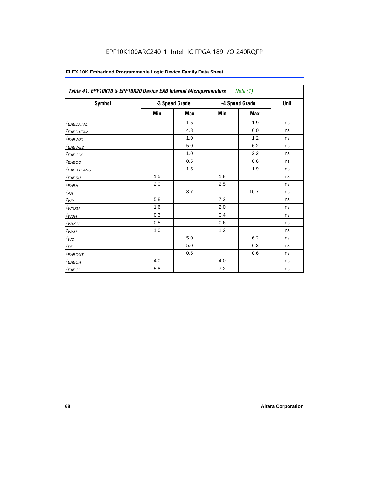| Symbol                  | -3 Speed Grade |            | -4 Speed Grade |            | Unit |
|-------------------------|----------------|------------|----------------|------------|------|
|                         | Min            | <b>Max</b> | Min            | <b>Max</b> |      |
| $t_{EABDATA1}$          |                | 1.5        |                | 1.9        | ns   |
| $t_{EABDATA2}$          |                | 4.8        |                | 6.0        | ns   |
| t <sub>EABWE1</sub>     |                | 1.0        |                | 1.2        | ns   |
| t <sub>EABWE2</sub>     |                | 5.0        |                | 6.2        | ns   |
| $t_{EABCLK}$            |                | 1.0        |                | 2.2        | ns   |
| $t_{EABCO}$             |                | 0.5        |                | 0.6        | ns   |
| <b><i>EABBYPASS</i></b> |                | 1.5        |                | 1.9        | ns   |
| $t_{EABSU}$             | 1.5            |            | 1.8            |            | ns   |
| $t_{EABH}$              | 2.0            |            | 2.5            |            | ns   |
| $t_{AA}$                |                | 8.7        |                | 10.7       | ns   |
| $t_{\mathit{WP}}$       | 5.8            |            | 7.2            |            | ns   |
| $t_{W\!D\!S\!U}$        | 1.6            |            | 2.0            |            | ns   |
| $t_{WDH}$               | 0.3            |            | 0.4            |            | ns   |
| $t_{WASU}$              | 0.5            |            | 0.6            |            | ns   |
| $t_{W\!A H}$            | 1.0            |            | 1.2            |            | ns   |
| $t_{WO}$                |                | 5.0        |                | 6.2        | ns   |
| $t_{DD}$                |                | 5.0        |                | 6.2        | ns   |
| $t_{EABOUT}$            |                | 0.5        |                | 0.6        | ns   |
| $t_{EABCH}$             | 4.0            |            | 4.0            |            | ns   |
| $t_{EABCL}$             | 5.8            |            | 7.2            |            | ns   |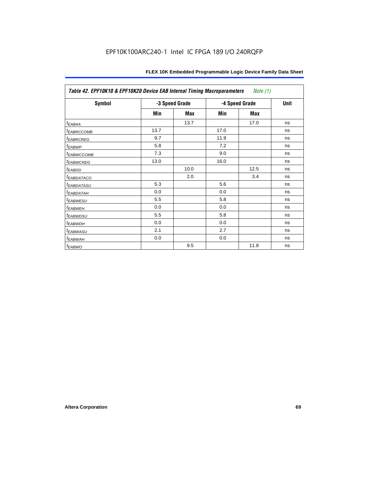| Table 42. EPF10K10 & EPF10K20 Device EAB Internal Timing Macroparameters<br>Note (1) |                |      |      |                |    |
|--------------------------------------------------------------------------------------|----------------|------|------|----------------|----|
| Symbol                                                                               | -3 Speed Grade |      |      | -4 Speed Grade |    |
|                                                                                      | Min            | Max  | Min  | Max            |    |
| $t_{EABA}$                                                                           |                | 13.7 |      | 17.0           | ns |
| <b><i>EABRCCOMB</i></b>                                                              | 13.7           |      | 17.0 |                | ns |
| <b><i>EABRCREG</i></b>                                                               | 9.7            |      | 11.9 |                | ns |
| t <sub>EABWP</sub>                                                                   | 5.8            |      | 7.2  |                | ns |
| <sup>t</sup> EABWCCOMB                                                               | 7.3            |      | 9.0  |                | ns |
| <sup>t</sup> EABWCREG                                                                | 13.0           |      | 16.0 |                | ns |
| <sup>t</sup> EABDD                                                                   |                | 10.0 |      | 12.5           | ns |
| <b><i>EABDATACO</i></b>                                                              |                | 2.0  |      | 3.4            | ns |
| <sup>t</sup> EABDATASU                                                               | 5.3            |      | 5.6  |                | ns |
| <b>EABDATAH</b>                                                                      | 0.0            |      | 0.0  |                | ns |
| <b><i>EABWESU</i></b>                                                                | 5.5            |      | 5.8  |                | ns |
| t <sub>EABWEH</sub>                                                                  | 0.0            |      | 0.0  |                | ns |
| <sup>t</sup> EABWDSU                                                                 | 5.5            |      | 5.8  |                | ns |
| <sup>t</sup> EABWDH                                                                  | 0.0            |      | 0.0  |                | ns |
| <sup>t</sup> EABWASU                                                                 | 2.1            |      | 2.7  |                | ns |
| <sup>t</sup> EABWAH                                                                  | 0.0            |      | 0.0  |                | ns |
| $t_{EABWO}$                                                                          |                | 9.5  |      | 11.8           | ns |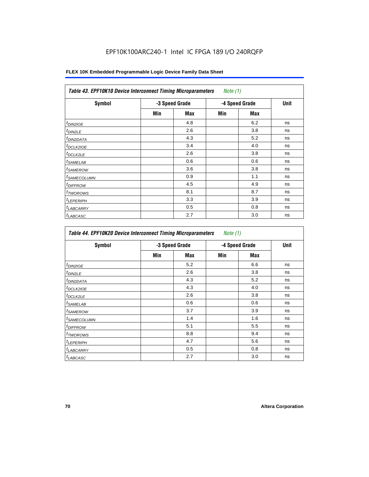| Symbol                        | -3 Speed Grade |            | -4 Speed Grade |            | Unit |
|-------------------------------|----------------|------------|----------------|------------|------|
|                               | Min            | <b>Max</b> | Min            | <b>Max</b> |      |
| t <sub>DIN2IOE</sub>          |                | 4.8        |                | 6.2        | ns   |
| t <sub>DIN2LE</sub>           |                | 2.6        |                | 3.8        | ns   |
| <sup>t</sup> DIN2DATA         |                | 4.3        |                | 5.2        | ns   |
| $t_{DCLK2IOE}$                |                | 3.4        |                | 4.0        | ns   |
| $t_{DCLK2LE}$                 |                | 2.6        |                | 3.8        | ns   |
| <i>t<sub>SAMELAB</sub></i>    |                | 0.6        |                | 0.6        | ns   |
| <i>t<sub>SAMEROW</sub></i>    |                | 3.6        |                | 3.8        | ns   |
| <i>t<sub>SAMECOLUMN</sub></i> |                | 0.9        |                | 1.1        | ns   |
| <i>t<sub>DIFFROW</sub></i>    |                | 4.5        |                | 4.9        | ns   |

 $t_{\text{TWOROWS}}$  8.1 8.7 ns tLEPERIPH 3.3 3.9 ns  $t_{LABCARY}$  0.5 0.8 ns  $t_{LABCASC}$  and the contract term is the contract of  $t_{LABCASC}$  and the contract of  $2.7$  and the contract of  $t_{LABCASC}$  and the contract of  $t_{ABCASC}$  and the contract of  $t_{ABCASC}$  and the contract of  $t_{ABCASC}$  and the contract of

| <b>Table 44. EPF10K20 Device Interconnect Timing Microparameters</b><br><i>Note</i> $(1)$ |                |            |                |     |      |
|-------------------------------------------------------------------------------------------|----------------|------------|----------------|-----|------|
| Symbol                                                                                    | -3 Speed Grade |            | -4 Speed Grade |     | Unit |
|                                                                                           | Min            | <b>Max</b> | Min            | Max |      |
| $t_{DINZIOE}$                                                                             |                | 5.2        |                | 6.6 | ns   |
| $t_{DIN2LE}$                                                                              |                | 2.6        |                | 3.8 | ns   |
| <sup>t</sup> DIN2DATA                                                                     |                | 4.3        |                | 5.2 | ns   |
| <sup>t</sup> DCLK2IOE                                                                     |                | 4.3        |                | 4.0 | ns   |
| t <sub>DCLK2LE</sub>                                                                      |                | 2.6        |                | 3.8 | ns   |
| <sup>t</sup> SAMELAB                                                                      |                | 0.6        |                | 0.6 | ns   |
| <sup>t</sup> SAMEROW                                                                      |                | 3.7        |                | 3.9 | ns   |
| <sup>t</sup> SAMECOLUMN                                                                   |                | 1.4        |                | 1.6 | ns   |
| <sup>t</sup> DIFFROW                                                                      |                | 5.1        |                | 5.5 | ns   |
| <sup>t</sup> TWOROWS                                                                      |                | 8.8        |                | 9.4 | ns   |
| <sup>t</sup> LEPERIPH                                                                     |                | 4.7        |                | 5.6 | ns   |
| <sup>t</sup> LABCARRY                                                                     |                | 0.5        |                | 0.8 | ns   |
| <sup>t</sup> LABCASC                                                                      |                | 2.7        |                | 3.0 | ns   |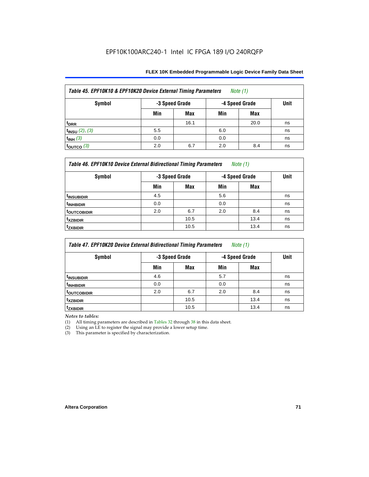| Table 45. EPF10K10 & EPF10K20 Device External Timing Parameters<br><i>Note</i> $(1)$ |                |            |                |            |      |  |
|--------------------------------------------------------------------------------------|----------------|------------|----------------|------------|------|--|
| Symbol                                                                               | -3 Speed Grade |            | -4 Speed Grade |            | Unit |  |
|                                                                                      | Min            | <b>Max</b> | Min            | <b>Max</b> |      |  |
| t <sub>DRR</sub>                                                                     |                | 16.1       |                | 20.0       | ns   |  |
| $t_{INSU}$ (2), (3)                                                                  | 5.5            |            | 6.0            |            | ns   |  |
| $t_{INH}$ (3)                                                                        | 0.0            |            | 0.0            |            | ns   |  |
| $t_{OUTCO}$ (3)                                                                      | 2.0            | 6.7        | 2.0            | 8.4        | ns   |  |

| Table 46. EPF10K10 Device External Bidirectional Timing Parameters<br>Note $(1)$ |                |            |                |      |             |
|----------------------------------------------------------------------------------|----------------|------------|----------------|------|-------------|
| Symbol                                                                           | -3 Speed Grade |            | -4 Speed Grade |      | <b>Unit</b> |
|                                                                                  | Min            | <b>Max</b> | Min            | Max  |             |
| <sup>t</sup> INSUBIDIR                                                           | 4.5            |            | 5.6            |      | ns          |
| <sup>t</sup> INHBIDIR                                                            | 0.0            |            | 0.0            |      | ns          |
| <sup>t</sup> OUTCOBIDIR                                                          | 2.0            | 6.7        | 2.0            | 8.4  | ns          |
| txzbidir                                                                         |                | 10.5       |                | 13.4 | ns          |
| <sup>t</sup> zxbidir                                                             |                | 10.5       |                | 13.4 | ns          |

| Table 47. EPF10K20 Device External Bidirectional Timing Parameters<br><i>Note</i> $(1)$ |     |                |     |                |    |  |
|-----------------------------------------------------------------------------------------|-----|----------------|-----|----------------|----|--|
| <b>Symbol</b>                                                                           |     | -3 Speed Grade |     | -4 Speed Grade |    |  |
|                                                                                         | Min | Max            | Min | Max            |    |  |
| <sup>t</sup> INSUBIDIR                                                                  | 4.6 |                | 5.7 |                | ns |  |
| <sup>t</sup> INHBIDIR                                                                   | 0.0 |                | 0.0 |                | ns |  |
| <b>TOUTCOBIDIR</b>                                                                      | 2.0 | 6.7            | 2.0 | 8.4            | ns |  |
| <sup>t</sup> xzbidir                                                                    |     | 10.5           |     | 13.4           | ns |  |
| <sup>T</sup> ZXBIDIR                                                                    |     | 10.5           |     | 13.4           | ns |  |

*Notes to tables:*

(1) All timing parameters are described in Tables 32 through 38 in this data sheet.

(2) Using an LE to register the signal may provide a lower setup time.

(3) This parameter is specified by characterization.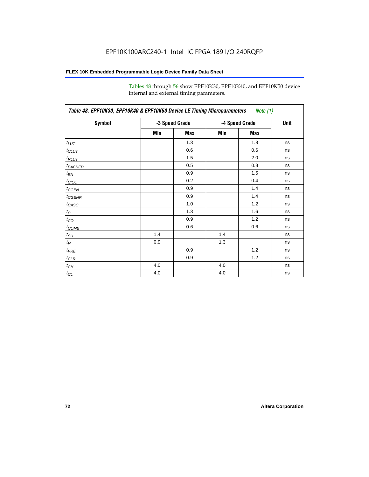Tables 48 through 56 show EPF10K30, EPF10K40, and EPF10K50 device internal and external timing parameters.

| Symbol                     |     | -3 Speed Grade |     | -4 Speed Grade |             |  |
|----------------------------|-----|----------------|-----|----------------|-------------|--|
|                            |     |                |     |                | <b>Unit</b> |  |
|                            | Min | Max            | Min | Max            |             |  |
| $t_{LUT}$                  |     | 1.3            |     | 1.8            | ns          |  |
| $t_{CLUT}$                 |     | 0.6            |     | 0.6            | ns          |  |
| $t_{RLUT}$                 |     | 1.5            |     | 2.0            | ns          |  |
| <b>t</b> <sub>PACKED</sub> |     | 0.5            |     | 0.8            | ns          |  |
| $t_{EM}$                   |     | 0.9            |     | 1.5            | ns          |  |
| $t_{CICO}$                 |     | 0.2            |     | 0.4            | ns          |  |
| $t_{CGEN}$                 |     | 0.9            |     | 1.4            | ns          |  |
| $t_{\text{GENR}}$          |     | 0.9            |     | 1.4            | ns          |  |
| $t_{CASC}$                 |     | 1.0            |     | 1.2            | ns          |  |
| $t_C$                      |     | 1.3            |     | 1.6            | ns          |  |
| $t_{CO}$                   |     | 0.9            |     | 1.2            | ns          |  |
| $t_{\text{COMB}}$          |     | 0.6            |     | 0.6            | ns          |  |
| $t_{\text{SU}}$            | 1.4 |                | 1.4 |                | ns          |  |
| $t_H$                      | 0.9 |                | 1.3 |                | ns          |  |
| $t_{PRE}$                  |     | 0.9            |     | 1.2            | ns          |  |
| $t_{\text{CLR}}$           |     | 0.9            |     | 1.2            | ns          |  |
| $t_{CH}$                   | 4.0 |                | 4.0 |                | ns          |  |
| $t_{CL}$                   | 4.0 |                | 4.0 |                | ns          |  |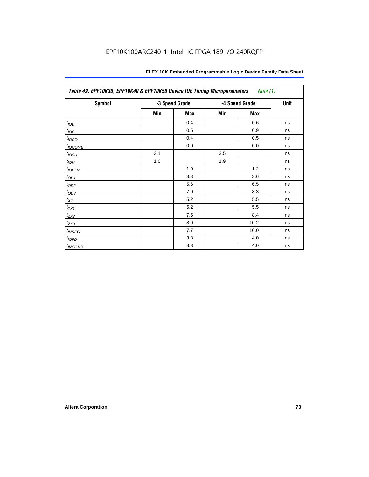| Table 49. EPF10K30, EPF10K40 & EPF10K50 Device IOE Timing Microparameters<br>Note (1) |     |                |                |      |    |  |  |  |  |
|---------------------------------------------------------------------------------------|-----|----------------|----------------|------|----|--|--|--|--|
| <b>Symbol</b>                                                                         |     | -3 Speed Grade | -4 Speed Grade | Unit |    |  |  |  |  |
|                                                                                       | Min | <b>Max</b>     | Min            | Max  |    |  |  |  |  |
| t <sub>IOD</sub>                                                                      |     | 0.4            |                | 0.6  | ns |  |  |  |  |
| $t_{\text{IOC}}$                                                                      |     | 0.5            |                | 0.9  | ns |  |  |  |  |
| $t_{IOCO}$                                                                            |     | 0.4            |                | 0.5  | ns |  |  |  |  |
| t <sub>IOCOMB</sub>                                                                   |     | 0.0            |                | 0.0  | ns |  |  |  |  |
| $t_{IOSU}$                                                                            | 3.1 |                | 3.5            |      | ns |  |  |  |  |
| $t_{IOH}$                                                                             | 1.0 |                | 1.9            |      | ns |  |  |  |  |
| $t_{IOCLR}$                                                                           |     | 1.0            |                | 1.2  | ns |  |  |  |  |
| $t_{OD1}$                                                                             |     | 3.3            |                | 3.6  | ns |  |  |  |  |
| $t_{OD2}$                                                                             |     | 5.6            |                | 6.5  | ns |  |  |  |  |
| $t_{OD3}$                                                                             |     | 7.0            |                | 8.3  | ns |  |  |  |  |
| $t_{\mathsf{XZ}}$                                                                     |     | 5.2            |                | 5.5  | ns |  |  |  |  |
| $t_{ZX1}$                                                                             |     | 5.2            |                | 5.5  | ns |  |  |  |  |
| $t_{ZX2}$                                                                             |     | 7.5            |                | 8.4  | ns |  |  |  |  |
| $t_{ZX3}$                                                                             |     | 8.9            |                | 10.2 | ns |  |  |  |  |
| $t_{INREG}$                                                                           |     | 7.7            |                | 10.0 | ns |  |  |  |  |
| $t_{IOFD}$                                                                            |     | 3.3            |                | 4.0  | ns |  |  |  |  |
| $t_{INCOMB}$                                                                          |     | 3.3            |                | 4.0  | ns |  |  |  |  |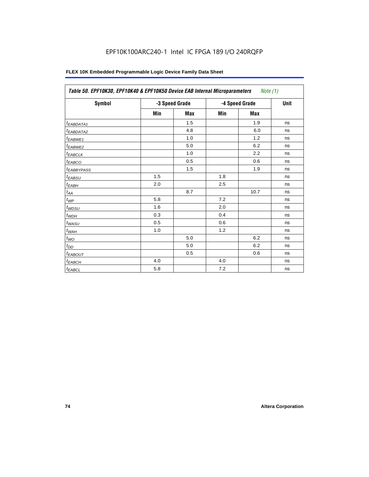| Symbol                   |     | -3 Speed Grade |     | -4 Speed Grade | <b>Unit</b> |
|--------------------------|-----|----------------|-----|----------------|-------------|
|                          | Min | <b>Max</b>     | Min | Max            |             |
| <sup>t</sup> EABDATA1    |     | 1.5            |     | 1.9            | ns          |
| t <sub>EABDATA2</sub>    |     | 4.8            |     | 6.0            | ns          |
| t <sub>EABWE1</sub>      |     | 1.0            |     | 1.2            | ns          |
| t <sub>EABWE2</sub>      |     | 5.0            |     | 6.2            | ns          |
| $t_{EABCLK}$             |     | 1.0            |     | 2.2            | ns          |
| $t_{EABCO}$              |     | 0.5            |     | 0.6            | ns          |
| <i><b>LEABBYPASS</b></i> |     | 1.5            |     | 1.9            | ns          |
| $t_{EABSU}$              | 1.5 |                | 1.8 |                | ns          |
| $t_{EABH}$               | 2.0 |                | 2.5 |                | ns          |
| $t_{AA}$                 |     | 8.7            |     | 10.7           | ns          |
| $t_{WP}$                 | 5.8 |                | 7.2 |                | ns          |
| $t_{WDSU}$               | 1.6 |                | 2.0 |                | ns          |
| $t_{WDH}$                | 0.3 |                | 0.4 |                | ns          |
| $t_{WASU}$               | 0.5 |                | 0.6 |                | ns          |
| $t_{WAH}$                | 1.0 |                | 1.2 |                | ns          |
| $t_{WO}$                 |     | 5.0            |     | 6.2            | ns          |
| $t_{DD}$                 |     | 5.0            |     | 6.2            | ns          |
| <sup>t</sup> EABOUT      |     | 0.5            |     | 0.6            | ns          |
| <sup>t</sup> ЕАВСН       | 4.0 |                | 4.0 |                | ns          |
| $t_{EABCL}$              | 5.8 |                | 7.2 |                | ns          |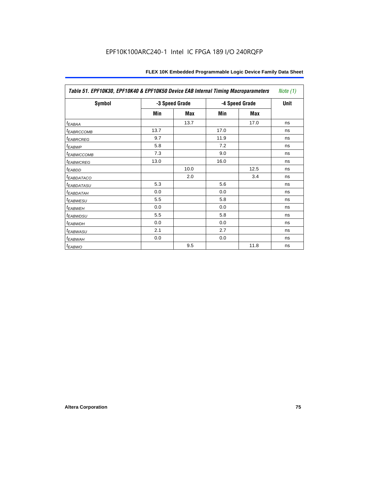| Table 51. EPF10K30, EPF10K40 & EPF10K50 Device EAB Internal Timing Macroparameters |      |                |      |                |             |  |  |  |
|------------------------------------------------------------------------------------|------|----------------|------|----------------|-------------|--|--|--|
| Symbol                                                                             |      | -3 Speed Grade |      | -4 Speed Grade | <b>Unit</b> |  |  |  |
|                                                                                    | Min  | <b>Max</b>     | Min  | Max            |             |  |  |  |
| $t_{EABA}$                                                                         |      | 13.7           |      | 17.0           | ns          |  |  |  |
| <b><i>EABRCCOMB</i></b>                                                            | 13.7 |                | 17.0 |                | ns          |  |  |  |
| <b><i>EABRCREG</i></b>                                                             | 9.7  |                | 11.9 |                | ns          |  |  |  |
| <sup>t</sup> EABWP                                                                 | 5.8  |                | 7.2  |                | ns          |  |  |  |
| <b><i>EABWCCOMB</i></b>                                                            | 7.3  |                | 9.0  |                | ns          |  |  |  |
| <b><i>EABWCREG</i></b>                                                             | 13.0 |                | 16.0 |                | ns          |  |  |  |
| <sup>t</sup> EABDD                                                                 |      | 10.0           |      | 12.5           | ns          |  |  |  |
| <i>EABDATACO</i>                                                                   |      | 2.0            |      | 3.4            | ns          |  |  |  |
| <sup>T</sup> EABDATASU                                                             | 5.3  |                | 5.6  |                | ns          |  |  |  |
| <sup>t</sup> EABDATAH                                                              | 0.0  |                | 0.0  |                | ns          |  |  |  |
| <b><i>EABWESU</i></b>                                                              | 5.5  |                | 5.8  |                | ns          |  |  |  |
| <sup>t</sup> EABWEH                                                                | 0.0  |                | 0.0  |                | ns          |  |  |  |
| <sup>t</sup> EABWDSU                                                               | 5.5  |                | 5.8  |                | ns          |  |  |  |
| <sup>t</sup> EABWDH                                                                | 0.0  |                | 0.0  |                | ns          |  |  |  |
| <sup>t</sup> EABWASU                                                               | 2.1  |                | 2.7  |                | ns          |  |  |  |
| <sup>t</sup> EABWAH                                                                | 0.0  |                | 0.0  |                | ns          |  |  |  |
| $t_{EABWO}$                                                                        |      | 9.5            |      | 11.8           | ns          |  |  |  |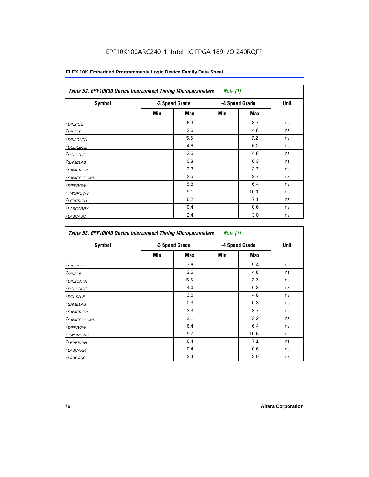| <b>Symbol</b>              |     | -3 Speed Grade |     | -4 Speed Grade | <b>Unit</b> |
|----------------------------|-----|----------------|-----|----------------|-------------|
|                            | Min | Max            | Min | <b>Max</b>     |             |
| <i>t<sub>DIN2IOE</sub></i> |     | 6.9            |     | 8.7            | ns          |
| $t_{DIN2LE}$               |     | 3.6            |     | 4.8            | ns          |
| <sup>t</sup> DIN2DATA      |     | 5.5            |     | 7.2            | ns          |
| <sup>t</sup> DCLK2IOE      |     | 4.6            |     | 6.2            | ns          |
| <sup>t</sup> DCLK2LE       |     | 3.6            |     | 4.8            | ns          |
| <sup>t</sup> SAMELAB       |     | 0.3            |     | 0.3            | ns          |
| <sup>t</sup> SAMEROW       |     | 3.3            |     | 3.7            | ns          |
| <sup>t</sup> SAMECOLUMN    |     | 2.5            |     | 2.7            | ns          |
| <sup>t</sup> DIFFROW       |     | 5.8            |     | 6.4            | ns          |
| <sup>t</sup> TWOROWS       |     | 9.1            |     | 10.1           | ns          |
| <sup>t</sup> LEPERIPH      |     | 6.2            |     | 7.1            | ns          |
| <sup>t</sup> LABCARRY      |     | 0.4            |     | 0.6            | ns          |
| <sup>t</sup> LABCASC       |     | 2.4            |     | 3.0            | ns          |

| Symbol                  |     | -3 Speed Grade |     | -4 Speed Grade | <b>Unit</b> |
|-------------------------|-----|----------------|-----|----------------|-------------|
|                         | Min | Max            | Min | Max            |             |
| $t_{DINZIOE}$           |     | 7.6            |     | 9.4            | ns          |
| <sup>t</sup> DIN2LE     |     | 3.6            |     | 4.8            | ns          |
| <sup>I</sup> DIN2DATA   |     | 5.5            |     | 7.2            | ns          |
| <sup>I</sup> DCLK2IOE   |     | 4.6            |     | 6.2            | ns          |
| <sup>t</sup> DCLK2LE    |     | 3.6            |     | 4.8            | ns          |
| <sup>I</sup> SAMELAB    |     | 0.3            |     | 0.3            | ns          |
| <sup>I</sup> SAMEROW    |     | 3.3            |     | 3.7            | ns          |
| <sup>I</sup> SAMECOLUMN |     | 3.1            |     | 3.2            | ns          |
| <sup>I</sup> DIFFROW    |     | 6.4            |     | 6.4            | ns          |
| <sup>t</sup> TWOROWS    |     | 9.7            |     | 10.6           | ns          |
| <sup>t</sup> LEPERIPH   |     | 6.4            |     | 7.1            | ns          |
| <sup>t</sup> LABCARRY   |     | 0.4            |     | 0.6            | ns          |
| <sup>t</sup> LABCASC    |     | 2.4            |     | 3.0            | ns          |

L,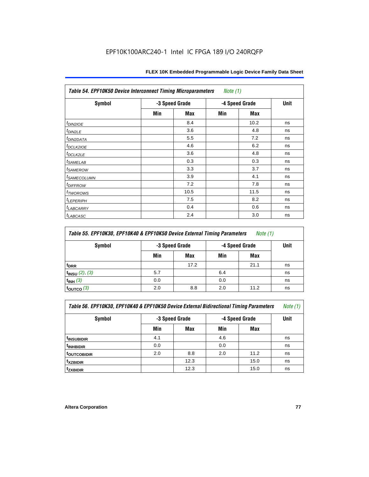| <b>Table 54. EPF10K50 Device Interconnect Timing Microparameters</b><br>Note $(1)$ |                |      |     |                |    |  |  |  |  |
|------------------------------------------------------------------------------------|----------------|------|-----|----------------|----|--|--|--|--|
| <b>Symbol</b>                                                                      | -3 Speed Grade |      |     | -4 Speed Grade |    |  |  |  |  |
|                                                                                    | Min            | Max  | Min | <b>Max</b>     |    |  |  |  |  |
| $t_{DIN2IOE}$                                                                      |                | 8.4  |     | 10.2           | ns |  |  |  |  |
| $t_{DIN2LE}$                                                                       |                | 3.6  |     | 4.8            | ns |  |  |  |  |
| <sup>t</sup> DIN2DATA                                                              |                | 5.5  |     | 7.2            | ns |  |  |  |  |
| t <sub>DCLK2IOE</sub>                                                              |                | 4.6  |     | 6.2            | ns |  |  |  |  |
| t <sub>DCLK2LE</sub>                                                               |                | 3.6  |     | 4.8            | ns |  |  |  |  |
| <i>t<sub>SAMELAB</sub></i>                                                         |                | 0.3  |     | 0.3            | ns |  |  |  |  |
| <i>t</i> SAMEROW                                                                   |                | 3.3  |     | 3.7            | ns |  |  |  |  |
| <i>t<sub>SAMECOLUMN</sub></i>                                                      |                | 3.9  |     | 4.1            | ns |  |  |  |  |
| <i>t<sub>DIFFROW</sub></i>                                                         |                | 7.2  |     | 7.8            | ns |  |  |  |  |
| t <sub>TWOROWS</sub>                                                               |                | 10.5 |     | 11.5           | ns |  |  |  |  |
| $t_{LEPERIPH}$                                                                     |                | 7.5  |     | 8.2            | ns |  |  |  |  |
| $t_{LABCARRY}$                                                                     |                | 0.4  |     | 0.6            | ns |  |  |  |  |
| $t_{LABCASC}$                                                                      |                | 2.4  |     | 3.0            | ns |  |  |  |  |

| Table 55. EPF10K30, EPF10K40 & EPF10K50 Device External Timing Parameters<br>Note $(1)$ |     |                |     |                |    |  |  |  |  |
|-----------------------------------------------------------------------------------------|-----|----------------|-----|----------------|----|--|--|--|--|
| <b>Symbol</b>                                                                           |     | -3 Speed Grade |     | -4 Speed Grade |    |  |  |  |  |
|                                                                                         | Min | Max            | Min | Max            |    |  |  |  |  |
| <sup>t</sup> DRR                                                                        |     | 17.2           |     | 21.1           | ns |  |  |  |  |
| $t_{INSU}$ (2), (3)                                                                     | 5.7 |                | 6.4 |                | ns |  |  |  |  |
| $t_{INH}$ (3)                                                                           | 0.0 |                | 0.0 |                | ns |  |  |  |  |
| $t_{\text{OUTCO}}$ (3)                                                                  | 2.0 | 8.8            | 2.0 | 11.2           | ns |  |  |  |  |

| Table 56. EPF10K30, EPF10K40 & EPF10K50 Device External Bidirectional Timing Parameters<br>Note $(1)$ |     |                |     |                |             |  |  |  |  |  |
|-------------------------------------------------------------------------------------------------------|-----|----------------|-----|----------------|-------------|--|--|--|--|--|
| Symbol                                                                                                |     | -3 Speed Grade |     | -4 Speed Grade | <b>Unit</b> |  |  |  |  |  |
|                                                                                                       | Min | Max            | Min | Max            |             |  |  |  |  |  |
| <sup>t</sup> INSUBIDIR                                                                                | 4.1 |                | 4.6 |                | ns          |  |  |  |  |  |
| <sup>t</sup> INHBIDIR                                                                                 | 0.0 |                | 0.0 |                | ns          |  |  |  |  |  |
| <b><i>LOUTCOBIDIR</i></b>                                                                             | 2.0 | 8.8            | 2.0 | 11.2           | ns          |  |  |  |  |  |
| <sup>t</sup> xzbidir                                                                                  |     | 12.3           |     | 15.0           | ns          |  |  |  |  |  |
| <sup>t</sup> zxbidir                                                                                  |     | 12.3           |     | 15.0           | ns          |  |  |  |  |  |

 $\mathbf{r}$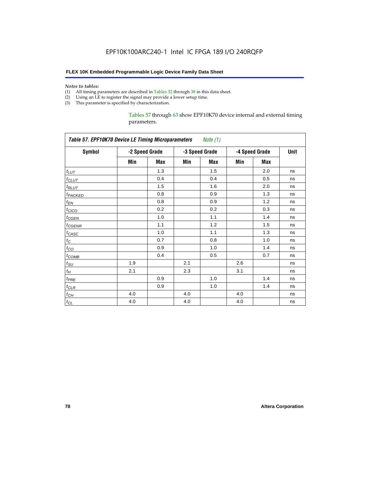#### *Notes to tables:*

- (1) All timing parameters are described in Tables 32 through 38 in this data sheet.
- (2) Using an LE to register the signal may provide a lower setup time.
- (3) This parameter is specified by characterization.

Tables 57 through 63 show EPF10K70 device internal and external timing parameters.

| <b>Symbol</b>              | -2 Speed Grade |     |     | -3 Speed Grade | -4 Speed Grade |            | Unit |
|----------------------------|----------------|-----|-----|----------------|----------------|------------|------|
|                            | Min            | Max | Min | Max            | Min            | <b>Max</b> |      |
| $t_{LUT}$                  |                | 1.3 |     | 1.5            |                | 2.0        | ns   |
| $t_{CLUT}$                 |                | 0.4 |     | 0.4            |                | 0.5        | ns   |
| $t_{RLUT}$                 |                | 1.5 |     | 1.6            |                | 2.0        | ns   |
| <b>t</b> <sub>PACKED</sub> |                | 0.8 |     | 0.9            |                | 1.3        | ns   |
| $t_{EN}$                   |                | 0.8 |     | 0.9            |                | 1.2        | ns   |
| $t_{CICO}$                 |                | 0.2 |     | 0.2            |                | 0.3        | ns   |
| $t_{GEN}$                  |                | 1.0 |     | 1.1            |                | 1.4        | ns   |
| t <sub>CGENR</sub>         |                | 1.1 |     | 1.2            |                | 1.5        | ns   |
| $t_{CASC}$                 |                | 1.0 |     | 1.1            |                | 1.3        | ns   |
| $t_C$                      |                | 0.7 |     | 0.8            |                | 1.0        | ns   |
| $t_{CO}$                   |                | 0.9 |     | 1.0            |                | 1.4        | ns   |
| $t_{COMB}$                 |                | 0.4 |     | 0.5            |                | 0.7        | ns   |
| $t_{\rm SU}$               | 1.9            |     | 2.1 |                | 2.6            |            | ns   |
| $t_H$                      | 2.1            |     | 2.3 |                | 3.1            |            | ns   |
| $t_{PRE}$                  |                | 0.9 |     | 1.0            |                | 1.4        | ns   |
| $t_{\text{CLR}}$           |                | 0.9 |     | 1.0            |                | 1.4        | ns   |
| $t_{CH}$                   | 4.0            |     | 4.0 |                | 4.0            |            | ns   |
| $t_{CL}$                   | 4.0            |     | 4.0 |                | 4.0            |            | ns   |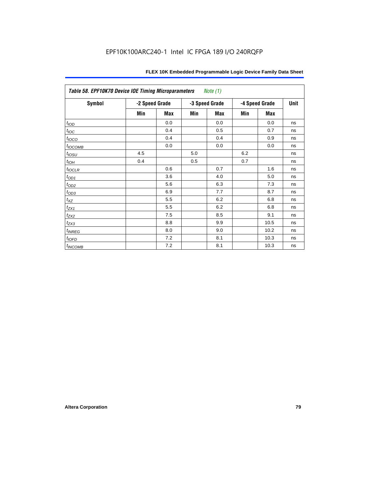| <b>Table 58. EPF10K70 Device IOE Timing Microparameters</b><br><i>Note</i> $(1)$ |                |            |     |                |     |                |    |  |  |  |
|----------------------------------------------------------------------------------|----------------|------------|-----|----------------|-----|----------------|----|--|--|--|
| Symbol                                                                           | -2 Speed Grade |            |     | -3 Speed Grade |     | -4 Speed Grade |    |  |  |  |
|                                                                                  | Min            | <b>Max</b> | Min | <b>Max</b>     | Min | Max            |    |  |  |  |
| t <sub>IOD</sub>                                                                 |                | 0.0        |     | 0.0            |     | 0.0            | ns |  |  |  |
| $t_{\text{loc}}$                                                                 |                | 0.4        |     | 0.5            |     | 0.7            | ns |  |  |  |
| $t_{IOCO}$                                                                       |                | 0.4        |     | 0.4            |     | 0.9            | ns |  |  |  |
| $t_{IOCOMB}$                                                                     |                | 0.0        |     | 0.0            |     | 0.0            | ns |  |  |  |
| $t_{IOSU}$                                                                       | 4.5            |            | 5.0 |                | 6.2 |                | ns |  |  |  |
| $t_{IOH}$                                                                        | 0.4            |            | 0.5 |                | 0.7 |                | ns |  |  |  |
| $t_{IOCLR}$                                                                      |                | 0.6        |     | 0.7            |     | 1.6            | ns |  |  |  |
| $t_{OD1}$                                                                        |                | 3.6        |     | 4.0            |     | 5.0            | ns |  |  |  |
| $t_{OD2}$                                                                        |                | 5.6        |     | 6.3            |     | 7.3            | ns |  |  |  |
| $t_{OD3}$                                                                        |                | 6.9        |     | 7.7            |     | 8.7            | ns |  |  |  |
| $t_{\mathsf{XZ}}$                                                                |                | 5.5        |     | 6.2            |     | 6.8            | ns |  |  |  |
| $t_{ZX1}$                                                                        |                | 5.5        |     | 6.2            |     | 6.8            | ns |  |  |  |
| $t_{ZX2}$                                                                        |                | 7.5        |     | 8.5            |     | 9.1            | ns |  |  |  |
| $t_{ZX3}$                                                                        |                | 8.8        |     | 9.9            |     | 10.5           | ns |  |  |  |
| $t_{INREG}$                                                                      |                | 8.0        |     | 9.0            |     | 10.2           | ns |  |  |  |
| $t_{IOED}$                                                                       |                | 7.2        |     | 8.1            |     | 10.3           | ns |  |  |  |
| t <sub>INCOMB</sub>                                                              |                | 7.2        |     | 8.1            |     | 10.3           | ns |  |  |  |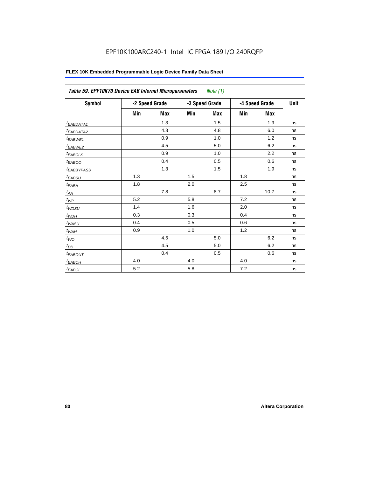| Symbol                 | -2 Speed Grade |            |     | -3 Speed Grade |     | -4 Speed Grade |    |  |
|------------------------|----------------|------------|-----|----------------|-----|----------------|----|--|
|                        | Min            | <b>Max</b> | Min | <b>Max</b>     | Min | <b>Max</b>     |    |  |
| <sup>t</sup> EABDATA1  |                | 1.3        |     | 1.5            |     | 1.9            | ns |  |
| <sup>t</sup> EABDATA2  |                | 4.3        |     | 4.8            |     | 6.0            | ns |  |
| <sup>t</sup> EABWE1    |                | 0.9        |     | 1.0            |     | 1.2            | ns |  |
| t <sub>EABWE2</sub>    |                | 4.5        |     | 5.0            |     | 6.2            | ns |  |
| t <sub>EABCLK</sub>    |                | 0.9        |     | 1.0            |     | 2.2            | ns |  |
| t <sub>EABCO</sub>     |                | 0.4        |     | 0.5            |     | 0.6            | ns |  |
| <sup>t</sup> EABBYPASS |                | 1.3        |     | 1.5            |     | 1.9            | ns |  |
| t <sub>EABSU</sub>     | 1.3            |            | 1.5 |                | 1.8 |                | ns |  |
| $t_{EABH}$             | 1.8            |            | 2.0 |                | 2.5 |                | ns |  |
| $t_{AA}$               |                | 7.8        |     | 8.7            |     | 10.7           | ns |  |
| $t_{WP}$               | 5.2            |            | 5.8 |                | 7.2 |                | ns |  |
| $t_{WDSU}$             | 1.4            |            | 1.6 |                | 2.0 |                | ns |  |
| $t_{WDH}$              | 0.3            |            | 0.3 |                | 0.4 |                | ns |  |
| $t_{WASU}$             | 0.4            |            | 0.5 |                | 0.6 |                | ns |  |
| $t_{W{\!A} H}$         | 0.9            |            | 1.0 |                | 1.2 |                | ns |  |
| $t_{WO}$               |                | 4.5        |     | 5.0            |     | 6.2            | ns |  |
| $t_{DD}$               |                | 4.5        |     | 5.0            |     | 6.2            | ns |  |
| t <sub>EABOUT</sub>    |                | 0.4        |     | 0.5            |     | 0.6            | ns |  |
| $t_{EABCH}$            | 4.0            |            | 4.0 |                | 4.0 |                | ns |  |
| $t_{EABCL}$            | 5.2            |            | 5.8 |                | 7.2 |                | ns |  |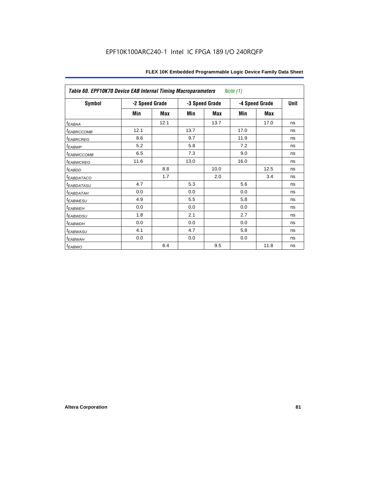| Table 60. EPF10K70 Device EAB Internal Timing Macroparameters |                |      |                |      | Note (1)       |             |    |
|---------------------------------------------------------------|----------------|------|----------------|------|----------------|-------------|----|
| Symbol                                                        | -2 Speed Grade |      | -3 Speed Grade |      | -4 Speed Grade | <b>Unit</b> |    |
|                                                               | Min            | Max  | Min            | Max  | Min            | Max         |    |
| t <sub>EABAA</sub>                                            |                | 12.1 |                | 13.7 |                | 17.0        | ns |
| <sup>t</sup> EABRCCOMB                                        | 12.1           |      | 13.7           |      | 17.0           |             | ns |
| <sup>t</sup> EABRCREG                                         | 8.6            |      | 9.7            |      | 11.9           |             | ns |
| <sup>t</sup> EABWP                                            | 5.2            |      | 5.8            |      | 7.2            |             | ns |
| <sup>t</sup> EABWCCOMB                                        | 6.5            |      | 7.3            |      | 9.0            |             | ns |
| <sup>t</sup> EABWCREG                                         | 11.6           |      | 13.0           |      | 16.0           |             | ns |
| t <sub>EABDD</sub>                                            |                | 8.8  |                | 10.0 |                | 12.5        | ns |
| <sup>t</sup> EABDATACO                                        |                | 1.7  |                | 2.0  |                | 3.4         | ns |
| <sup>t</sup> EABDATASU                                        | 4.7            |      | 5.3            |      | 5.6            |             | ns |
| <sup>t</sup> EABDATAH                                         | 0.0            |      | 0.0            |      | 0.0            |             | ns |
| <sup>t</sup> EABWESU                                          | 4.9            |      | 5.5            |      | 5.8            |             | ns |
| <sup>t</sup> EABWEH                                           | 0.0            |      | 0.0            |      | 0.0            |             | ns |
| <sup>t</sup> EABWDSU                                          | 1.8            |      | 2.1            |      | 2.7            |             | ns |
| <sup>t</sup> EABWDH                                           | 0.0            |      | 0.0            |      | 0.0            |             | ns |
| <sup>t</sup> EABWASU                                          | 4.1            |      | 4.7            |      | 5.8            |             | ns |
| <sup>t</sup> EABWAH                                           | 0.0            |      | 0.0            |      | 0.0            |             | ns |
| t <sub>EABWO</sub>                                            |                | 8.4  |                | 9.5  |                | 11.8        | ns |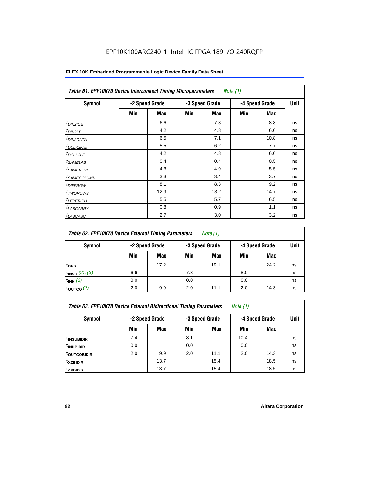| Symbol                  | -2 Speed Grade |      |     | -3 Speed Grade | -4 Speed Grade | Unit       |    |
|-------------------------|----------------|------|-----|----------------|----------------|------------|----|
|                         | Min            | Max  | Min | Max            | Min            | <b>Max</b> |    |
| $t_{DINZIOE}$           |                | 6.6  |     | 7.3            |                | 8.8        | ns |
| $t_{DIN2LE}$            |                | 4.2  |     | 4.8            |                | 6.0        | ns |
| <sup>t</sup> DIN2DATA   |                | 6.5  |     | 7.1            |                | 10.8       | ns |
| t <sub>DCLK2IOE</sub>   |                | 5.5  |     | 6.2            |                | 7.7        | ns |
| <sup>t</sup> DCLK2LE    |                | 4.2  |     | 4.8            |                | 6.0        | ns |
| <sup>t</sup> SAMELAB    |                | 0.4  |     | 0.4            |                | 0.5        | ns |
| <sup>t</sup> SAMEROW    |                | 4.8  |     | 4.9            |                | 5.5        | ns |
| <sup>t</sup> SAMECOLUMN |                | 3.3  |     | 3.4            |                | 3.7        | ns |
| <i><b>IDIFFROW</b></i>  |                | 8.1  |     | 8.3            |                | 9.2        | ns |
| <sup>T</sup> TWOROWS    |                | 12.9 |     | 13.2           |                | 14.7       | ns |
| <sup>t</sup> LEPERIPH   |                | 5.5  |     | 5.7            |                | 6.5        | ns |
| <b>LABCARRY</b>         |                | 0.8  |     | 0.9            |                | 1.1        | ns |
| <sup>t</sup> LABCASC    |                | 2.7  |     | 3.0            |                | 3.2        | ns |

| Table 62. EPF10K70 Device External Timing Parameters<br>Note $(1)$ |                |      |                |            |                |      |             |  |  |  |
|--------------------------------------------------------------------|----------------|------|----------------|------------|----------------|------|-------------|--|--|--|
| Symbol                                                             | -2 Speed Grade |      | -3 Speed Grade |            | -4 Speed Grade |      | <b>Unit</b> |  |  |  |
|                                                                    | Min            | Max  | Min            | <b>Max</b> | Min            | Max  |             |  |  |  |
| <sup>t</sup> DRR                                                   |                | 17.2 |                | 19.1       |                | 24.2 | ns          |  |  |  |
| $t_{INSU}$ (2), (3)                                                | 6.6            |      | 7.3            |            | 8.0            |      | ns          |  |  |  |
| $t_{INH}$ (3)                                                      | 0.0            |      | 0.0            |            | 0.0            |      | ns          |  |  |  |
| $t_{\rm OUTCO}$ $(3)$                                              | 2.0            | 9.9  | 2.0            | 11.1       | 2.0            | 14.3 | ns          |  |  |  |

*Table 63. EPF10K70 Device External Bidirectional Timing Parameters Note (1)*

| <b>Symbol</b>           | -2 Speed Grade |            |     | -3 Speed Grade | -4 Speed Grade | <b>Unit</b> |    |
|-------------------------|----------------|------------|-----|----------------|----------------|-------------|----|
|                         | Min            | <b>Max</b> | Min | <b>Max</b>     | Min            | <b>Max</b>  |    |
| <sup>t</sup> INSUBIDIR  | 7.4            |            | 8.1 |                | 10.4           |             | ns |
| <sup>t</sup> INHBIDIR   | 0.0            |            | 0.0 |                | 0.0            |             | ns |
| <sup>t</sup> OUTCOBIDIR | 2.0            | 9.9        | 2.0 | 11.1           | 2.0            | 14.3        | ns |
| <sup>t</sup> xzbidir    |                | 13.7       |     | 15.4           |                | 18.5        | ns |
| <sup>t</sup> zxbidir    |                | 13.7       |     | 15.4           |                | 18.5        | ns |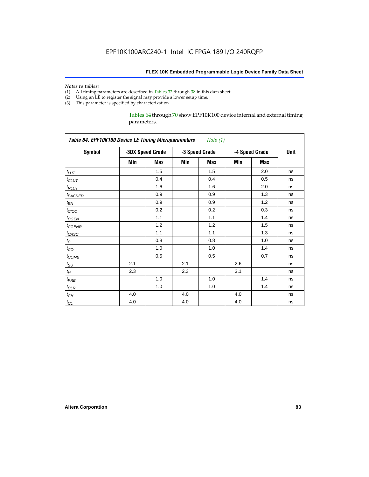#### *Notes to tables:*

- (1) All timing parameters are described in Tables 32 through 38 in this data sheet.
- (2) Using an LE to register the signal may provide a lower setup time.
- (3) This parameter is specified by characterization.

Tables 64 through 70 show EPF10K100 device internal and external timing parameters.

| <b>Symbol</b>       |     | -3DX Speed Grade |     | -3 Speed Grade |     | -4 Speed Grade |    |  |
|---------------------|-----|------------------|-----|----------------|-----|----------------|----|--|
|                     | Min | Max              | Min | Max            | Min | <b>Max</b>     |    |  |
| $t_{LUT}$           |     | 1.5              |     | 1.5            |     | 2.0            | ns |  |
| $t_{CLUT}$          |     | 0.4              |     | 0.4            |     | 0.5            | ns |  |
| $t_{RLUT}$          |     | 1.6              |     | 1.6            |     | 2.0            | ns |  |
| t <sub>PACKED</sub> |     | 0.9              |     | 0.9            |     | 1.3            | ns |  |
| $t_{EN}$            |     | 0.9              |     | 0.9            |     | 1.2            | ns |  |
| $t_{CICO}$          |     | 0.2              |     | 0.2            |     | 0.3            | ns |  |
| $t_{GEN}$           |     | 1.1              |     | 1.1            |     | 1.4            | ns |  |
| $t_{GENR}$          |     | 1.2              |     | 1.2            |     | 1.5            | ns |  |
| $t_{CASC}$          |     | 1.1              |     | 1.1            |     | 1.3            | ns |  |
| $t_C$               |     | 0.8              |     | 0.8            |     | 1.0            | ns |  |
| $t_{CO}$            |     | 1.0              |     | 1.0            |     | 1.4            | ns |  |
| $t_{COMB}$          |     | 0.5              |     | 0.5            |     | 0.7            | ns |  |
| $t_{\rm SU}$        | 2.1 |                  | 2.1 |                | 2.6 |                | ns |  |
| $t_H$               | 2.3 |                  | 2.3 |                | 3.1 |                | ns |  |
| $t_{PRE}$           |     | 1.0              |     | 1.0            |     | 1.4            | ns |  |
| $t_{CLR}$           |     | 1.0              |     | 1.0            |     | 1.4            | ns |  |
| $t_{CH}$            | 4.0 |                  | 4.0 |                | 4.0 |                | ns |  |
| $t_{CL}$            | 4.0 |                  | 4.0 |                | 4.0 |                | ns |  |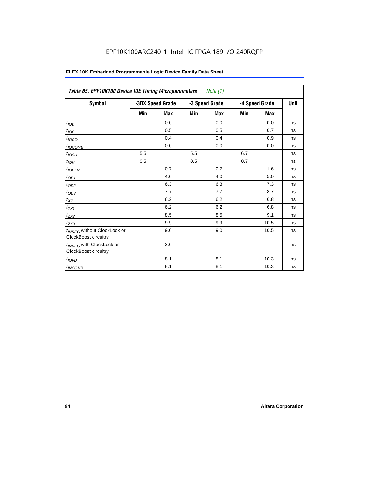| Table 65. EPF10K100 Device IOE Timing Microparameters<br>Note $(1)$    |     |                  |                |            |                |            |    |  |  |  |
|------------------------------------------------------------------------|-----|------------------|----------------|------------|----------------|------------|----|--|--|--|
| <b>Symbol</b>                                                          |     | -3DX Speed Grade | -3 Speed Grade |            | -4 Speed Grade | Unit       |    |  |  |  |
|                                                                        | Min | <b>Max</b>       | Min            | <b>Max</b> | Min            | <b>Max</b> |    |  |  |  |
| t <sub>IOD</sub>                                                       |     | 0.0              |                | 0.0        |                | 0.0        | ns |  |  |  |
| $t_{\text{IOC}}$                                                       |     | 0.5              |                | 0.5        |                | 0.7        | ns |  |  |  |
| $t_{\text{IOCO}}$                                                      |     | 0.4              |                | 0.4        |                | 0.9        | ns |  |  |  |
| $t_{IOCOMB}$                                                           |     | 0.0              |                | 0.0        |                | 0.0        | ns |  |  |  |
| $t_{IOSU}$                                                             | 5.5 |                  | 5.5            |            | 6.7            |            | ns |  |  |  |
| $t_{IOH}$                                                              | 0.5 |                  | 0.5            |            | 0.7            |            | ns |  |  |  |
| $t_{IOCLR}$                                                            |     | 0.7              |                | 0.7        |                | 1.6        | ns |  |  |  |
| $t_{OD1}$                                                              |     | 4.0              |                | 4.0        |                | 5.0        | ns |  |  |  |
| $t_{OD2}$                                                              |     | 6.3              |                | 6.3        |                | 7.3        | ns |  |  |  |
| $t_{OD3}$                                                              |     | 7.7              |                | 7.7        |                | 8.7        | ns |  |  |  |
| $t_{XZ}$                                                               |     | 6.2              |                | 6.2        |                | 6.8        | ns |  |  |  |
| $t_{ZX1}$                                                              |     | 6.2              |                | 6.2        |                | 6.8        | ns |  |  |  |
| $t_{ZX2}$                                                              |     | 8.5              |                | 8.5        |                | 9.1        | ns |  |  |  |
| $t_{ZX3}$                                                              |     | 9.9              |                | 9.9        |                | 10.5       | ns |  |  |  |
| t <sub>INREG</sub> without ClockLock or<br><b>ClockBoost circuitry</b> |     | 9.0              |                | 9.0        |                | 10.5       | ns |  |  |  |
| t <sub>INREG</sub> with ClockLock or<br><b>ClockBoost circuitry</b>    |     | 3.0              |                |            |                |            | ns |  |  |  |
| $t_{IOFD}$                                                             |     | 8.1              |                | 8.1        |                | 10.3       | ns |  |  |  |
| $t_{INCOMB}$                                                           |     | 8.1              |                | 8.1        |                | 10.3       | ns |  |  |  |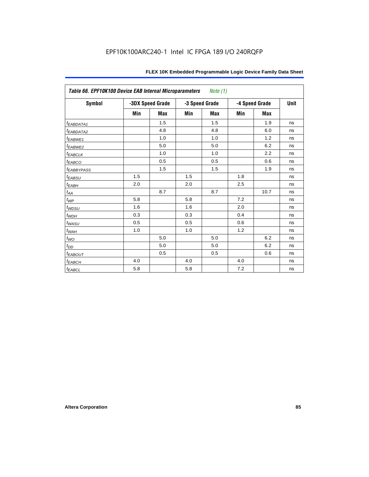| Table 66. EPF10K100 Device EAB Internal Microparameters |     |                  |     | Note (1)       |     |                |      |
|---------------------------------------------------------|-----|------------------|-----|----------------|-----|----------------|------|
| Symbol                                                  |     | -3DX Speed Grade |     | -3 Speed Grade |     | -4 Speed Grade | Unit |
|                                                         | Min | <b>Max</b>       | Min | <b>Max</b>     | Min | <b>Max</b>     |      |
| <i>EABDATA1</i>                                         |     | 1.5              |     | 1.5            |     | 1.9            | ns   |
| $t_{EABDATA2}$                                          |     | 4.8              |     | 4.8            |     | 6.0            | ns   |
| t <sub>EABWE1</sub>                                     |     | 1.0              |     | 1.0            |     | 1.2            | ns   |
| $t_{EABWE2}$                                            |     | 5.0              |     | 5.0            |     | 6.2            | ns   |
| $t_{EABCLK}$                                            |     | 1.0              |     | 1.0            |     | 2.2            | ns   |
| $t_{EABCO}$                                             |     | 0.5              |     | 0.5            |     | 0.6            | ns   |
| <i><b>EABBYPASS</b></i>                                 |     | 1.5              |     | 1.5            |     | 1.9            | ns   |
| $t_{EABSU}$                                             | 1.5 |                  | 1.5 |                | 1.8 |                | ns   |
| $t_{EABH}$                                              | 2.0 |                  | 2.0 |                | 2.5 |                | ns   |
| $t_{\rm AA}$                                            |     | 8.7              |     | 8.7            |     | 10.7           | ns   |
| $t_{WP}$                                                | 5.8 |                  | 5.8 |                | 7.2 |                | ns   |
| $t_{WDSU}$                                              | 1.6 |                  | 1.6 |                | 2.0 |                | ns   |
| $t_{WDH}$                                               | 0.3 |                  | 0.3 |                | 0.4 |                | ns   |
| $t_{WASU}$                                              | 0.5 |                  | 0.5 |                | 0.6 |                | ns   |
| $t_{WAH}$                                               | 1.0 |                  | 1.0 |                | 1.2 |                | ns   |
| $t_{WO}$                                                |     | 5.0              |     | 5.0            |     | 6.2            | ns   |
| $t_{DD}$                                                |     | 5.0              |     | 5.0            |     | 6.2            | ns   |
| $t_{EABOUT}$                                            |     | 0.5              |     | 0.5            |     | 0.6            | ns   |
| $t_{EABCH}$                                             | 4.0 |                  | 4.0 |                | 4.0 |                | ns   |
| $t_{EABCL}$                                             | 5.8 |                  | 5.8 |                | 7.2 |                | ns   |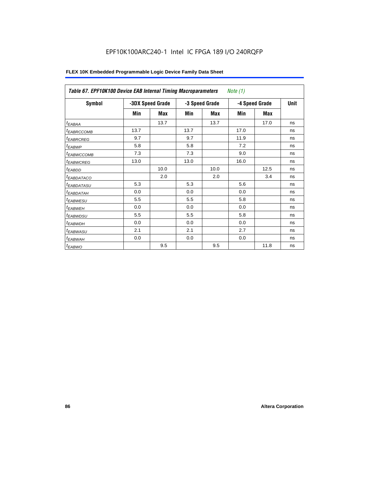| Table 67. EPF10K100 Device EAB Internal Timing Macroparameters |      |                  |      |                | <i>Note</i> $(1)$ |                |    |  |
|----------------------------------------------------------------|------|------------------|------|----------------|-------------------|----------------|----|--|
| Symbol                                                         |      | -3DX Speed Grade |      | -3 Speed Grade |                   | -4 Speed Grade |    |  |
|                                                                | Min  | Max              | Min  | Max            | Min               | Max            |    |  |
| $t_{EABA}$                                                     |      | 13.7             |      | 13.7           |                   | 17.0           | ns |  |
| <sup>t</sup> EABRCCOMB                                         | 13.7 |                  | 13.7 |                | 17.0              |                | ns |  |
| <sup>t</sup> EABRCREG                                          | 9.7  |                  | 9.7  |                | 11.9              |                | ns |  |
| <sup>t</sup> EABWP                                             | 5.8  |                  | 5.8  |                | 7.2               |                | ns |  |
| <sup>I</sup> EABWCCOMB                                         | 7.3  |                  | 7.3  |                | 9.0               |                | ns |  |
| <sup>t</sup> EABWCREG                                          | 13.0 |                  | 13.0 |                | 16.0              |                | ns |  |
| <sup>t</sup> EABDD                                             |      | 10.0             |      | 10.0           |                   | 12.5           | ns |  |
| <sup>t</sup> EABDATACO                                         |      | 2.0              |      | 2.0            |                   | 3.4            | ns |  |
| <sup>t</sup> EABDATASU                                         | 5.3  |                  | 5.3  |                | 5.6               |                | ns |  |
| <sup>I</sup> EABDATAH                                          | 0.0  |                  | 0.0  |                | 0.0               |                | ns |  |
| <sup>t</sup> EABWESU                                           | 5.5  |                  | 5.5  |                | 5.8               |                | ns |  |
| <sup>t</sup> EABWEH                                            | 0.0  |                  | 0.0  |                | 0.0               |                | ns |  |
| <sup>t</sup> EABWDSU                                           | 5.5  |                  | 5.5  |                | 5.8               |                | ns |  |
| <sup>t</sup> EABWDH                                            | 0.0  |                  | 0.0  |                | 0.0               |                | ns |  |
| <sup>t</sup> EABWASU                                           | 2.1  |                  | 2.1  |                | 2.7               |                | ns |  |
| <sup>t</sup> EABWAH                                            | 0.0  |                  | 0.0  |                | 0.0               |                | ns |  |
| <sup>t</sup> EABWO                                             |      | 9.5              |      | 9.5            |                   | 11.8           | ns |  |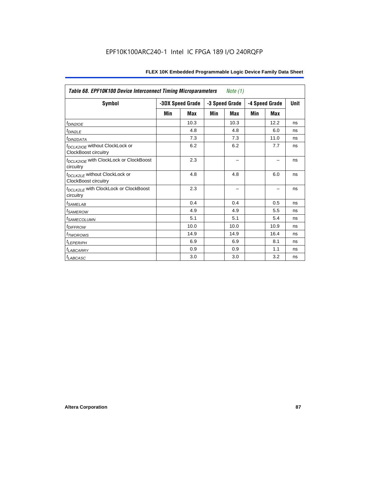| <b>Table 68. EPF10K100 Device Interconnect Timing Microparameters</b><br>Note (1) |     |                  |     |                |     |                |      |  |  |  |
|-----------------------------------------------------------------------------------|-----|------------------|-----|----------------|-----|----------------|------|--|--|--|
| <b>Symbol</b>                                                                     |     | -3DX Speed Grade |     | -3 Speed Grade |     | -4 Speed Grade | Unit |  |  |  |
|                                                                                   | Min | Max              | Min | <b>Max</b>     | Min | <b>Max</b>     |      |  |  |  |
| $t_{DINZIOE}$                                                                     |     | 10.3             |     | 10.3           |     | 12.2           | ns   |  |  |  |
| $t_{DIN2LE}$                                                                      |     | 4.8              |     | 4.8            |     | 6.0            | ns   |  |  |  |
| <sup>t</sup> DIN2DATA                                                             |     | 7.3              |     | 7.3            |     | 11.0           | ns   |  |  |  |
| t <sub>DCLK2IOE</sub> without ClockLock or<br><b>ClockBoost circuitry</b>         |     | 6.2              |     | 6.2            |     | 7.7            | ns   |  |  |  |
| t <sub>DCLK2IOE</sub> with ClockLock or ClockBoost<br>circuitry                   |     | 2.3              |     |                |     |                | ns   |  |  |  |
| t <sub>DCLK2LE</sub> without ClockLock or<br>ClockBoost circuitry                 |     | 4.8              |     | 4.8            |     | 6.0            | ns   |  |  |  |
| t <sub>DCLK2LE</sub> with ClockLock or ClockBoost<br>circuitry                    |     | 2.3              |     |                |     |                | ns   |  |  |  |
| <sup>t</sup> SAMELAB                                                              |     | 0.4              |     | 0.4            |     | 0.5            | ns   |  |  |  |
| t <sub>SAMEROW</sub>                                                              |     | 4.9              |     | 4.9            |     | 5.5            | ns   |  |  |  |
| <sup>t</sup> SAMECOLUMN                                                           |     | 5.1              |     | 5.1            |     | 5.4            | ns   |  |  |  |
| <i>t<sub>DIFFROW</sub></i>                                                        |     | 10.0             |     | 10.0           |     | 10.9           | ns   |  |  |  |
| <sup>t</sup> TWOROWS                                                              |     | 14.9             |     | 14.9           |     | 16.4           | ns   |  |  |  |
| t <sub>LEPERIPH</sub>                                                             |     | 6.9              |     | 6.9            |     | 8.1            | ns   |  |  |  |
| <b><i>LABCARRY</i></b>                                                            |     | 0.9              |     | 0.9            |     | 1.1            | ns   |  |  |  |
| $t_{LABCASC}$                                                                     |     | 3.0              |     | 3.0            |     | 3.2            | ns   |  |  |  |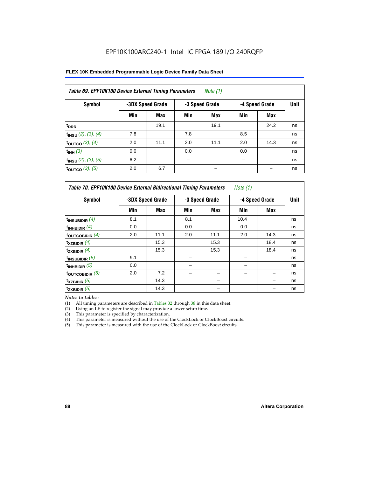| Symbol                   |     | -3DX Speed Grade |     | -3 Speed Grade |     | -4 Speed Grade | Unit |
|--------------------------|-----|------------------|-----|----------------|-----|----------------|------|
|                          | Min | Max              | Min | Max            | Min | Max            |      |
| t <sub>DRR</sub>         |     | 19.1             |     | 19.1           |     | 24.2           | ns   |
| $t_{INSU}$ (2), (3), (4) | 7.8 |                  | 7.8 |                | 8.5 |                | ns   |
| toutco $(3)$ , $(4)$     | 2.0 | 11.1             | 2.0 | 11.1           | 2.0 | 14.3           | ns   |
| $t_{INH}$ (3)            | 0.0 |                  | 0.0 |                | 0.0 |                | ns   |
| $t_{INSU}$ (2), (3), (5) | 6.2 |                  |     |                |     |                | ns   |
| toutco $(3)$ , $(5)$     | 2.0 | 6.7              |     |                |     |                | ns   |

| Table 70. EPF10K100 Device External Bidirectional Timing Parameters<br><i>Note</i> $(1)$ |                  |      |     |                |                |             |    |  |  |  |  |
|------------------------------------------------------------------------------------------|------------------|------|-----|----------------|----------------|-------------|----|--|--|--|--|
| Symbol                                                                                   | -3DX Speed Grade |      |     | -3 Speed Grade | -4 Speed Grade | <b>Unit</b> |    |  |  |  |  |
|                                                                                          | Min              | Max  | Min | Max            | Min            | Max         |    |  |  |  |  |
| t <sub>INSUBIDIR</sub> $(4)$                                                             | 8.1              |      | 8.1 |                | 10.4           |             | ns |  |  |  |  |
| $t_{INHBIDIR}$ (4)                                                                       | 0.0              |      | 0.0 |                | 0.0            |             | ns |  |  |  |  |
| toutcobidir $(4)$                                                                        | 2.0              | 11.1 | 2.0 | 11.1           | 2.0            | 14.3        | ns |  |  |  |  |
| $t_{XZBIDIR}$ (4)                                                                        |                  | 15.3 |     | 15.3           |                | 18.4        | ns |  |  |  |  |
| $t_{ZXBIDIR}$ $(4)$                                                                      |                  | 15.3 |     | 15.3           |                | 18.4        | ns |  |  |  |  |
| $t_{INSUBIDIR}$ (5)                                                                      | 9.1              |      |     |                |                |             | ns |  |  |  |  |
| $t_{INHBIDIR}$ (5)                                                                       | 0.0              |      |     |                |                |             | ns |  |  |  |  |
| toutcobidir $(5)$                                                                        | 2.0              | 7.2  |     |                |                |             | ns |  |  |  |  |
| $t_{XZBIDIR}$ (5)                                                                        |                  | 14.3 |     |                |                |             | ns |  |  |  |  |
| $t_{ZXBIDIR}$ (5)                                                                        |                  | 14.3 |     |                |                |             | ns |  |  |  |  |

*Notes to tables:*

(1) All timing parameters are described in Tables 32 through 38 in this data sheet.

(2) Using an  $LE$  to register the signal may provide a lower setup time.

(3) This parameter is specified by characterization.

(4) This parameter is measured without the use of the ClockLock or ClockBoost circuits.

(5) This parameter is measured with the use of the ClockLock or ClockBoost circuits.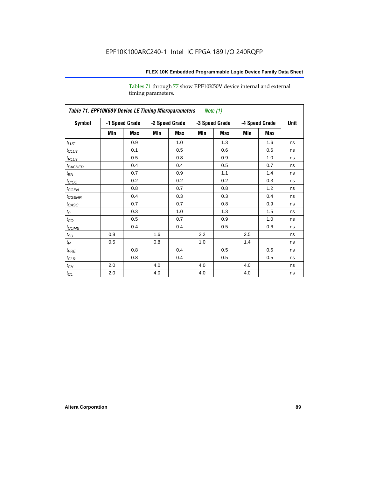Tables 71 through 77 show EPF10K50V device internal and external timing parameters.

| Table 71. EPF10K50V Device LE Timing Microparameters Note (1) |     |                |     |                |     |                |     |                |             |  |
|---------------------------------------------------------------|-----|----------------|-----|----------------|-----|----------------|-----|----------------|-------------|--|
| Symbol                                                        |     | -1 Speed Grade |     | -2 Speed Grade |     | -3 Speed Grade |     | -4 Speed Grade | <b>Unit</b> |  |
|                                                               | Min | Max            | Min | Max            | Min | Max            | Min | Max            |             |  |
| $t_{LUT}$                                                     |     | 0.9            |     | 1.0            |     | 1.3            |     | 1.6            | ns          |  |
| $t_{CLUT}$                                                    |     | 0.1            |     | 0.5            |     | 0.6            |     | 0.6            | ns          |  |
| $t_{RLUT}$                                                    |     | 0.5            |     | 0.8            |     | 0.9            |     | 1.0            | ns          |  |
| t <sub>PACKED</sub>                                           |     | 0.4            |     | 0.4            |     | 0.5            |     | 0.7            | ns          |  |
| $t_{EN}$                                                      |     | 0.7            |     | 0.9            |     | 1.1            |     | 1.4            | ns          |  |
| $t_{CICO}$                                                    |     | 0.2            |     | 0.2            |     | 0.2            |     | 0.3            | ns          |  |
| $t_{CGEN}$                                                    |     | 0.8            |     | 0.7            |     | 0.8            |     | 1.2            | ns          |  |
| $t_{\text{GENR}}$                                             |     | 0.4            |     | 0.3            |     | 0.3            |     | 0.4            | ns          |  |
| $t_{CASC}$                                                    |     | 0.7            |     | 0.7            |     | 0.8            |     | 0.9            | ns          |  |
| $t_C$                                                         |     | 0.3            |     | 1.0            |     | 1.3            |     | 1.5            | ns          |  |
| $t_{CO}$                                                      |     | 0.5            |     | 0.7            |     | 0.9            |     | 1.0            | ns          |  |
| $t_{COMB}$                                                    |     | 0.4            |     | 0.4            |     | 0.5            |     | 0.6            | ns          |  |
| $t_{\rm SU}$                                                  | 0.8 |                | 1.6 |                | 2.2 |                | 2.5 |                | ns          |  |
| $t_{\!H}$                                                     | 0.5 |                | 0.8 |                | 1.0 |                | 1.4 |                | ns          |  |
| $t_{PRE}$                                                     |     | 0.8            |     | 0.4            |     | 0.5            |     | 0.5            | ns          |  |
| $t_{CLR}$                                                     |     | 0.8            |     | 0.4            |     | 0.5            |     | 0.5            | ns          |  |
| $t_{\mathit{CH}}$                                             | 2.0 |                | 4.0 |                | 4.0 |                | 4.0 |                | ns          |  |
| $t_{\rm CL}$                                                  | 2.0 |                | 4.0 |                | 4.0 |                | 4.0 |                | ns          |  |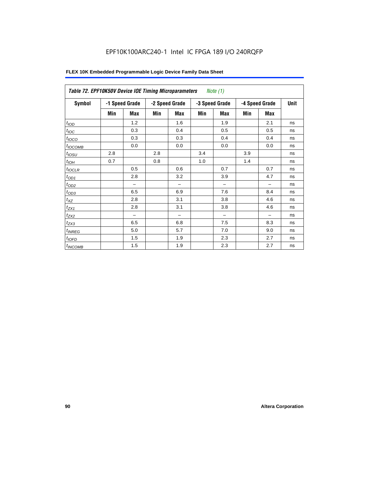| <b>Table 72. EPF10K50V Device IOE Timing Microparameters</b> |     |                          |     |                          |     | Note (1)                 |                |                          |             |
|--------------------------------------------------------------|-----|--------------------------|-----|--------------------------|-----|--------------------------|----------------|--------------------------|-------------|
| Symbol                                                       |     | -1 Speed Grade           |     | -2 Speed Grade           |     | -3 Speed Grade           | -4 Speed Grade |                          | <b>Unit</b> |
|                                                              | Min | Max                      | Min | Max                      | Min | Max                      | Min            | Max                      |             |
| t <sub>IOD</sub>                                             |     | 1.2                      |     | 1.6                      |     | 1.9                      |                | 2.1                      | ns          |
| $t_{\text{IOC}}$                                             |     | 0.3                      |     | 0.4                      |     | 0.5                      |                | 0.5                      | ns          |
| $t_{IOCO}$                                                   |     | 0.3                      |     | 0.3                      |     | 0.4                      |                | 0.4                      | ns          |
| $t_{IOCOMB}$                                                 |     | 0.0                      |     | 0.0                      |     | 0.0                      |                | 0.0                      | ns          |
| $t_{IOSU}$                                                   | 2.8 |                          | 2.8 |                          | 3.4 |                          | 3.9            |                          | ns          |
| $t_{IOH}$                                                    | 0.7 |                          | 0.8 |                          | 1.0 |                          | 1.4            |                          | ns          |
| $t_{IOCLR}$                                                  |     | 0.5                      |     | 0.6                      |     | 0.7                      |                | 0.7                      | ns          |
| $t_{OD1}$                                                    |     | 2.8                      |     | 3.2                      |     | 3.9                      |                | 4.7                      | ns          |
| $t_{OD2}$                                                    |     | $\overline{\phantom{0}}$ |     | $\overline{\phantom{0}}$ |     | $\overline{\phantom{0}}$ |                | $\overline{\phantom{0}}$ | ns          |
| $t_{OD3}$                                                    |     | 6.5                      |     | 6.9                      |     | 7.6                      |                | 8.4                      | ns          |
| $t_{XZ}$                                                     |     | 2.8                      |     | 3.1                      |     | 3.8                      |                | 4.6                      | ns          |
| $t_{ZX1}$                                                    |     | 2.8                      |     | 3.1                      |     | 3.8                      |                | 4.6                      | ns          |
| $t_{ZX2}$                                                    |     |                          |     |                          |     |                          |                |                          | ns          |
| $t_{ZX3}$                                                    |     | 6.5                      |     | 6.8                      |     | 7.5                      |                | 8.3                      | ns          |
| $t_{INREG}$                                                  |     | 5.0                      |     | 5.7                      |     | 7.0                      |                | 9.0                      | ns          |
| $t_{IOFD}$                                                   |     | 1.5                      |     | 1.9                      |     | 2.3                      |                | 2.7                      | ns          |
| $t_{INCOMB}$                                                 |     | 1.5                      |     | 1.9                      |     | 2.3                      |                | 2.7                      | ns          |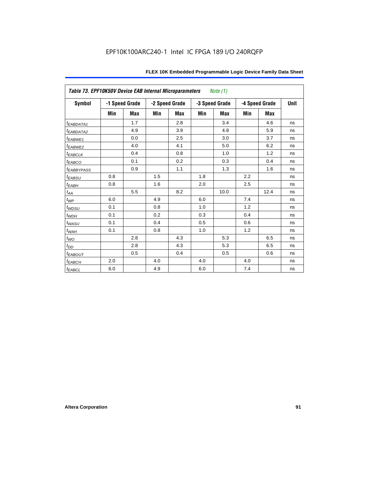| Table 73. EPF10K50V Device EAB Internal Microparameters |     |                |     |                |     | Note (1)       |     |                |             |
|---------------------------------------------------------|-----|----------------|-----|----------------|-----|----------------|-----|----------------|-------------|
| Symbol                                                  |     | -1 Speed Grade |     | -2 Speed Grade |     | -3 Speed Grade |     | -4 Speed Grade | <b>Unit</b> |
|                                                         | Min | <b>Max</b>     | Min | Max            | Min | Max            | Min | Max            |             |
| t <sub>EABDATA1</sub>                                   |     | 1.7            |     | 2.8            |     | 3.4            |     | 4.6            | ns          |
| t <sub>EABDATA2</sub>                                   |     | 4.9            |     | 3.9            |     | 4.8            |     | 5.9            | ns          |
| t <sub>EABWE1</sub>                                     |     | 0.0            |     | 2.5            |     | 3.0            |     | 3.7            | ns          |
| t <sub>EABWE2</sub>                                     |     | 4.0            |     | 4.1            |     | 5.0            |     | 6.2            | ns          |
| $t_{EABCLK}$                                            |     | 0.4            |     | 0.8            |     | 1.0            |     | 1.2            | ns          |
| $t_{EABCO}$                                             |     | 0.1            |     | 0.2            |     | 0.3            |     | 0.4            | ns          |
| <i><b>EABBYPASS</b></i>                                 |     | 0.9            |     | 1.1            |     | 1.3            |     | 1.6            | ns          |
| t <sub>EABSU</sub>                                      | 0.8 |                | 1.5 |                | 1.8 |                | 2.2 |                | ns          |
| $t_{EABH}$                                              | 0.8 |                | 1.6 |                | 2.0 |                | 2.5 |                | ns          |
| $t_{AA}$                                                |     | 5.5            |     | 8.2            |     | 10.0           |     | 12.4           | ns          |
| $t_{WP}$                                                | 6.0 |                | 4.9 |                | 6.0 |                | 7.4 |                | ns          |
| $t_{WDSU}$                                              | 0.1 |                | 0.8 |                | 1.0 |                | 1.2 |                | ns          |
| $t_{WDH}$                                               | 0.1 |                | 0.2 |                | 0.3 |                | 0.4 |                | ns          |
| $t_{WASU}$                                              | 0.1 |                | 0.4 |                | 0.5 |                | 0.6 |                | ns          |
| $t_{W\!\!AH}$                                           | 0.1 |                | 0.8 |                | 1.0 |                | 1.2 |                | ns          |
| $t_{WO}$                                                |     | 2.8            |     | 4.3            |     | 5.3            |     | 6.5            | ns          |
| $t_{DD}$                                                |     | 2.8            |     | 4.3            |     | 5.3            |     | 6.5            | ns          |
| <b><i>EABOUT</i></b>                                    |     | 0.5            |     | 0.4            |     | 0.5            |     | 0.6            | ns          |
| $t_{EABCH}$                                             | 2.0 |                | 4.0 |                | 4.0 |                | 4.0 |                | ns          |
| $t_{EABCL}$                                             | 6.0 |                | 4.9 |                | 6.0 |                | 7.4 |                | ns          |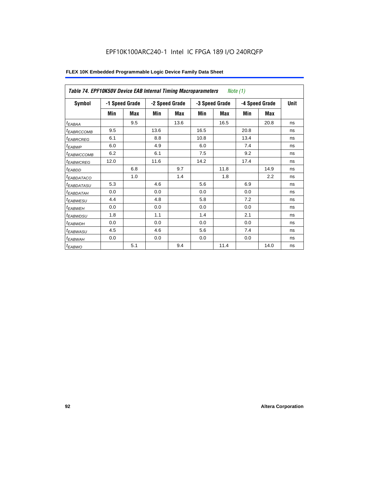| Table 74. EPF10K50V Device EAB Internal Timing Macroparameters |      |                |      |                |      | Note (1)       |      |                |    |
|----------------------------------------------------------------|------|----------------|------|----------------|------|----------------|------|----------------|----|
| Symbol                                                         |      | -1 Speed Grade |      | -2 Speed Grade |      | -3 Speed Grade |      | -4 Speed Grade |    |
|                                                                | Min  | Max            | Min  | Max            | Min  | <b>Max</b>     | Min  | Max            |    |
| $t_{EABA}$                                                     |      | 9.5            |      | 13.6           |      | 16.5           |      | 20.8           | ns |
| <sup>t</sup> EABRCCOMB                                         | 9.5  |                | 13.6 |                | 16.5 |                | 20.8 |                | ns |
| <sup>t</sup> EABRCREG                                          | 6.1  |                | 8.8  |                | 10.8 |                | 13.4 |                | ns |
| <sup>t</sup> EABWP                                             | 6.0  |                | 4.9  |                | 6.0  |                | 7.4  |                | ns |
| <sup>t</sup> EABWCCOMB                                         | 6.2  |                | 6.1  |                | 7.5  |                | 9.2  |                | ns |
| <sup>t</sup> EABWCREG                                          | 12.0 |                | 11.6 |                | 14.2 |                | 17.4 |                | ns |
| <sup>t</sup> EABDD                                             |      | 6.8            |      | 9.7            |      | 11.8           |      | 14.9           | ns |
| <sup>t</sup> EABDATACO                                         |      | 1.0            |      | 1.4            |      | 1.8            |      | 2.2            | ns |
| <sup>t</sup> EABDATASU                                         | 5.3  |                | 4.6  |                | 5.6  |                | 6.9  |                | ns |
| <sup>t</sup> EABDATAH                                          | 0.0  |                | 0.0  |                | 0.0  |                | 0.0  |                | ns |
| <sup>t</sup> EABWESU                                           | 4.4  |                | 4.8  |                | 5.8  |                | 7.2  |                | ns |
| <sup>t</sup> EABWEH                                            | 0.0  |                | 0.0  |                | 0.0  |                | 0.0  |                | ns |
| <sup>t</sup> EABWDSU                                           | 1.8  |                | 1.1  |                | 1.4  |                | 2.1  |                | ns |
| <sup>t</sup> EABWDH                                            | 0.0  |                | 0.0  |                | 0.0  |                | 0.0  |                | ns |
| <sup>t</sup> EABWASU                                           | 4.5  |                | 4.6  |                | 5.6  |                | 7.4  |                | ns |
| <sup>t</sup> EABWAH                                            | 0.0  |                | 0.0  |                | 0.0  |                | 0.0  |                | ns |
| $t_{EABWO}$                                                    |      | 5.1            |      | 9.4            |      | 11.4           |      | 14.0           | ns |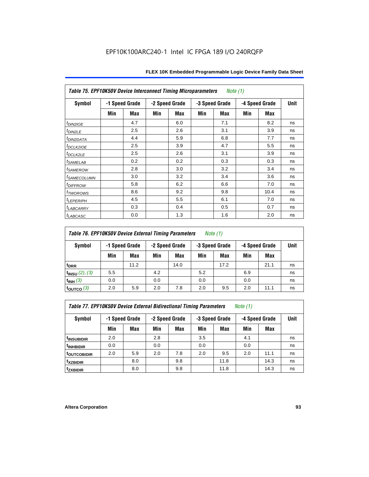| <b>Table 75. EPF10K50V Device Interconnect Timing Microparameters</b> |     |                |     |                |                | Note (1) |                |      |             |
|-----------------------------------------------------------------------|-----|----------------|-----|----------------|----------------|----------|----------------|------|-------------|
| Symbol                                                                |     | -1 Speed Grade |     | -2 Speed Grade | -3 Speed Grade |          | -4 Speed Grade |      | <b>Unit</b> |
|                                                                       | Min | Max            | Min | <b>Max</b>     | Min            | Max      | Min            | Max  |             |
| $t_{DINZIOE}$                                                         |     | 4.7            |     | 6.0            |                | 7.1      |                | 8.2  | ns          |
| $t_{DIN2LE}$                                                          |     | 2.5            |     | 2.6            |                | 3.1      |                | 3.9  | ns          |
| <sup>t</sup> DIN2DATA                                                 |     | 4.4            |     | 5.9            |                | 6.8      |                | 7.7  | ns          |
| t <sub>DCLK2IOE</sub>                                                 |     | 2.5            |     | 3.9            |                | 4.7      |                | 5.5  | ns          |
| t <sub>DCLK2LE</sub>                                                  |     | 2.5            |     | 2.6            |                | 3.1      |                | 3.9  | ns          |
| <i>t</i> SAMELAB                                                      |     | 0.2            |     | 0.2            |                | 0.3      |                | 0.3  | ns          |
| <i>t<sub>SAMEROW</sub></i>                                            |     | 2.8            |     | 3.0            |                | 3.2      |                | 3.4  | ns          |
| <sup>t</sup> SAMECOLUMN                                               |     | 3.0            |     | 3.2            |                | 3.4      |                | 3.6  | ns          |
| <i>t<sub>DIFFROW</sub></i>                                            |     | 5.8            |     | 6.2            |                | 6.6      |                | 7.0  | ns          |
| t <sub>TWOROWS</sub>                                                  |     | 8.6            |     | 9.2            |                | 9.8      |                | 10.4 | ns          |
| <b><i>ILEPERIPH</i></b>                                               |     | 4.5            |     | 5.5            |                | 6.1      |                | 7.0  | ns          |
| t <sub>LABCARRY</sub>                                                 |     | 0.3            |     | 0.4            |                | 0.5      |                | 0.7  | ns          |
| $t_{LABCASC}$                                                         |     | 0.0            |     | 1.3            |                | 1.6      |                | 2.0  | ns          |

# *Table 76. EPF10K50V Device External Timing Parameters Note (1)*

| Symbol              |     | -1 Speed Grade |     | -2 Speed Grade |     | -3 Speed Grade |     | -4 Speed Grade |    |
|---------------------|-----|----------------|-----|----------------|-----|----------------|-----|----------------|----|
|                     | Min | Max            | Min | Max            | Min | Max            | Min | Max            |    |
| t <sub>DRR</sub>    |     | 11.2           |     | 14.0           |     | 17.2           |     | 21.1           | ns |
| $t_{INSU}$ (2), (3) | 5.5 |                | 4.2 |                | 5.2 |                | 6.9 |                | ns |
| $t_{INH}$ (3)       | 0.0 |                | 0.0 |                | 0.0 |                | 0.0 |                | ns |
| $\vert$ toutco (3)  | 2.0 | 5.9            | 2.0 | 7.8            | 2.0 | 9.5            | 2.0 | 11.1           | ns |

*Table 77. EPF10K50V Device External Bidirectional Timing Parameters Note (1)*

| Symbol                 |     | -1 Speed Grade | -2 Speed Grade |     | -3 Speed Grade |      | -4 Speed Grade |      | <b>Unit</b> |
|------------------------|-----|----------------|----------------|-----|----------------|------|----------------|------|-------------|
|                        | Min | Max            | Min            | Max | Min            | Max  | Min            | Max  |             |
| <sup>t</sup> INSUBIDIR | 2.0 |                | 2.8            |     | 3.5            |      | 4.1            |      | ns          |
| <sup>t</sup> INHBIDIR  | 0.0 |                | 0.0            |     | 0.0            |      | 0.0            |      | ns          |
| <b>toutcobidir</b>     | 2.0 | 5.9            | 2.0            | 7.8 | 2.0            | 9.5  | 2.0            | 11.1 | ns          |
| <sup>t</sup> xzbidir   |     | 8.0            |                | 9.8 |                | 11.8 |                | 14.3 | ns          |
| <sup>t</sup> zxbidir   |     | 8.0            |                | 9.8 |                | 11.8 |                | 14.3 | ns          |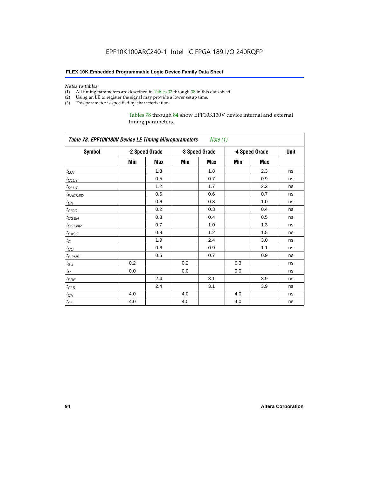#### *Notes to tables:*

- (1) All timing parameters are described in Tables 32 through 38 in this data sheet.
- (2) Using an LE to register the signal may provide a lower setup time.
- (3) This parameter is specified by characterization.

## Tables 78 through 84 show EPF10K130V device internal and external timing parameters.

| Table 78. EPF10K130V Device LE Timing Microparameters Note (1) |     |                |     |                |     |                |    |  |  |
|----------------------------------------------------------------|-----|----------------|-----|----------------|-----|----------------|----|--|--|
| Symbol                                                         |     | -2 Speed Grade |     | -3 Speed Grade |     | -4 Speed Grade |    |  |  |
|                                                                | Min | Max            | Min | Max            | Min | Max            |    |  |  |
| $t_{LUT}$                                                      |     | 1.3            |     | 1.8            |     | 2.3            | ns |  |  |
| $t_{CLUT}$                                                     |     | 0.5            |     | 0.7            |     | 0.9            | ns |  |  |
| $t_{RLUT}$                                                     |     | 1.2            |     | 1.7            |     | 2.2            | ns |  |  |
| t <sub>PACKED</sub>                                            |     | 0.5            |     | 0.6            |     | 0.7            | ns |  |  |
| $t_{EN}$                                                       |     | 0.6            |     | 0.8            |     | 1.0            | ns |  |  |
| $t_{CICO}$                                                     |     | 0.2            |     | 0.3            |     | 0.4            | ns |  |  |
| $t_{GEN}$                                                      |     | 0.3            |     | 0.4            |     | 0.5            | ns |  |  |
| t <sub>CGENR</sub>                                             |     | 0.7            |     | 1.0            |     | 1.3            | ns |  |  |
| $t_{CASC}$                                                     |     | 0.9            |     | 1.2            |     | 1.5            | ns |  |  |
| $t_C$                                                          |     | 1.9            |     | 2.4            |     | 3.0            | ns |  |  |
| $t_{CO}$                                                       |     | 0.6            |     | 0.9            |     | 1.1            | ns |  |  |
| $t_{COMB}$                                                     |     | 0.5            |     | 0.7            |     | 0.9            | ns |  |  |
| $t_{\rm SU}$                                                   | 0.2 |                | 0.2 |                | 0.3 |                | ns |  |  |
| $t_H$                                                          | 0.0 |                | 0.0 |                | 0.0 |                | ns |  |  |
| $t_{PRE}$                                                      |     | 2.4            |     | 3.1            |     | 3.9            | ns |  |  |
| $t_{CLR}$                                                      |     | 2.4            |     | 3.1            |     | 3.9            | ns |  |  |
| $t_{CH}$                                                       | 4.0 |                | 4.0 |                | 4.0 |                | ns |  |  |
| $t_{CL}$                                                       | 4.0 |                | 4.0 |                | 4.0 |                | ns |  |  |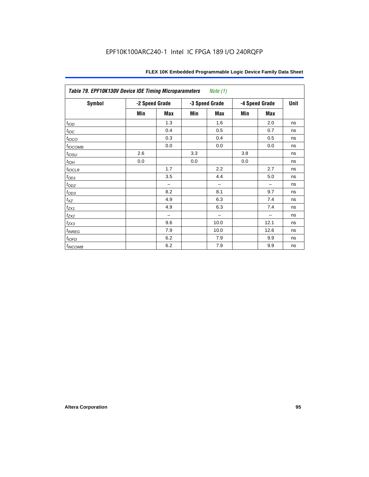| Table 79. EPF10K130V Device IOE Timing Microparameters |                |            |     | Note (1)       |     |                |      |
|--------------------------------------------------------|----------------|------------|-----|----------------|-----|----------------|------|
| Symbol                                                 | -2 Speed Grade |            |     | -3 Speed Grade |     | -4 Speed Grade | Unit |
|                                                        | Min            | <b>Max</b> | Min | <b>Max</b>     | Min | <b>Max</b>     |      |
| t <sub>IOD</sub>                                       |                | 1.3        |     | 1.6            |     | 2.0            | ns   |
| $t_{\text{loc}}$                                       |                | 0.4        |     | 0.5            |     | 0.7            | ns   |
| $t_{IOCO}$                                             |                | 0.3        |     | 0.4            |     | 0.5            | ns   |
| $t_{IOCOMB}$                                           |                | 0.0        |     | 0.0            |     | 0.0            | ns   |
| $t_{IOSU}$                                             | 2.6            |            | 3.3 |                | 3.8 |                | ns   |
| $t_{IOH}$                                              | 0.0            |            | 0.0 |                | 0.0 |                | ns   |
| $t_{IOCLR}$                                            |                | 1.7        |     | 2.2            |     | 2.7            | ns   |
| $t_{OD1}$                                              |                | 3.5        |     | 4.4            |     | 5.0            | ns   |
| $t_{OD2}$                                              |                | -          |     |                |     |                | ns   |
| $t_{OD3}$                                              |                | 8.2        |     | 8.1            |     | 9.7            | ns   |
| $t_{XZ}$                                               |                | 4.9        |     | 6.3            |     | 7.4            | ns   |
| $t_{ZX1}$                                              |                | 4.9        |     | 6.3            |     | 7.4            | ns   |
| $t_{ZX2}$                                              |                |            |     |                |     |                | ns   |
| $t_{ZX3}$                                              |                | 9.6        |     | 10.0           |     | 12.1           | ns   |
| $t_{INREG}$                                            |                | 7.9        |     | 10.0           |     | 12.6           | ns   |
| $t_{IOED}$                                             |                | 6.2        |     | 7.9            |     | 9.9            | ns   |
| $t_{INCOMB}$                                           |                | 6.2        |     | 7.9            |     | 9.9            | ns   |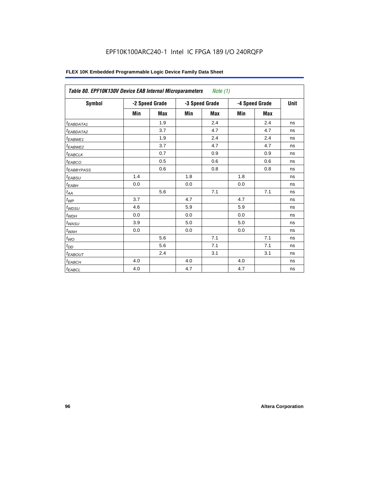| Symbol                 |     | -2 Speed Grade |     | -3 Speed Grade | -4 Speed Grade | Unit       |    |
|------------------------|-----|----------------|-----|----------------|----------------|------------|----|
|                        | Min | <b>Max</b>     | Min | Max            | Min            | <b>Max</b> |    |
| <sup>t</sup> EABDATA1  |     | 1.9            |     | 2.4            |                | 2.4        | ns |
| <sup>t</sup> EABDATA2  |     | 3.7            |     | 4.7            |                | 4.7        | ns |
| <sup>t</sup> EABWE1    |     | 1.9            |     | 2.4            |                | 2.4        | ns |
| <sup>t</sup> EABWE2    |     | 3.7            |     | 4.7            |                | 4.7        | ns |
| <sup>t</sup> EABCLK    |     | 0.7            |     | 0.9            |                | 0.9        | ns |
| <sup>t</sup> EABCO     |     | 0.5            |     | 0.6            |                | 0.6        | ns |
| <sup>t</sup> EABBYPASS |     | 0.6            |     | 0.8            |                | 0.8        | ns |
| $t_{EABSU}$            | 1.4 |                | 1.8 |                | 1.8            |            | ns |
| $t_{EABH}$             | 0.0 |                | 0.0 |                | 0.0            |            | ns |
| $t_{AA}$               |     | 5.6            |     | 7.1            |                | 7.1        | ns |
| $t_{WP}$               | 3.7 |                | 4.7 |                | 4.7            |            | ns |
| $t_{WDSU}$             | 4.6 |                | 5.9 |                | 5.9            |            | ns |
| $t_{WDH}$              | 0.0 |                | 0.0 |                | 0.0            |            | ns |
| $t_{WASU}$             | 3.9 |                | 5.0 |                | 5.0            |            | ns |
| $t_{WAH}$              | 0.0 |                | 0.0 |                | 0.0            |            | ns |
| $t_{WO}$               |     | 5.6            |     | 7.1            |                | 7.1        | ns |
| $t_{DD}$               |     | 5.6            |     | 7.1            |                | 7.1        | ns |
| <sup>t</sup> EABOUT    |     | 2.4            |     | 3.1            |                | 3.1        | ns |
| t <sub>EABCH</sub>     | 4.0 |                | 4.0 |                | 4.0            |            | ns |
| $t_{EABCL}$            | 4.0 |                | 4.7 |                | 4.7            |            | ns |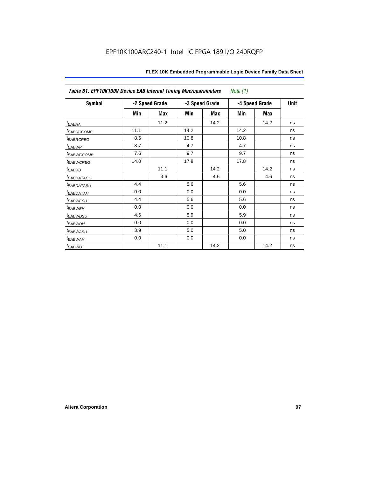| Table 81. EPF10K130V Device EAB Internal Timing Macroparameters |      |                |      |                | Note $(1)$     |             |    |
|-----------------------------------------------------------------|------|----------------|------|----------------|----------------|-------------|----|
| <b>Symbol</b>                                                   |      | -2 Speed Grade |      | -3 Speed Grade | -4 Speed Grade | <b>Unit</b> |    |
|                                                                 | Min  | <b>Max</b>     | Min  | Max            | Min            | <b>Max</b>  |    |
| t <sub>EABAA</sub>                                              |      | 11.2           |      | 14.2           |                | 14.2        | ns |
| <b><i>EABRCCOMB</i></b>                                         | 11.1 |                | 14.2 |                | 14.2           |             | ns |
| <b><i>EABRCREG</i></b>                                          | 8.5  |                | 10.8 |                | 10.8           |             | ns |
| <i>EABWP</i>                                                    | 3.7  |                | 4.7  |                | 4.7            |             | ns |
| <b><i>EABWCCOMB</i></b>                                         | 7.6  |                | 9.7  |                | 9.7            |             | ns |
| <sup>t</sup> EABWCREG                                           | 14.0 |                | 17.8 |                | 17.8           |             | ns |
| t <sub>EABDD</sub>                                              |      | 11.1           |      | 14.2           |                | 14.2        | ns |
| <b><i>EABDATACO</i></b>                                         |      | 3.6            |      | 4.6            |                | 4.6         | ns |
| <sup>t</sup> EABDATASU                                          | 4.4  |                | 5.6  |                | 5.6            |             | ns |
| <b>EABDATAH</b>                                                 | 0.0  |                | 0.0  |                | 0.0            |             | ns |
| <sup>t</sup> EABWESU                                            | 4.4  |                | 5.6  |                | 5.6            |             | ns |
| <sup>t</sup> EABWEH                                             | 0.0  |                | 0.0  |                | 0.0            |             | ns |
| <sup>t</sup> EABWDSU                                            | 4.6  |                | 5.9  |                | 5.9            |             | ns |
| <sup>t</sup> EABWDH                                             | 0.0  |                | 0.0  |                | 0.0            |             | ns |
| <sup>t</sup> EABWASU                                            | 3.9  |                | 5.0  |                | 5.0            |             | ns |
| <sup>t</sup> EABWAH                                             | 0.0  |                | 0.0  |                | 0.0            |             | ns |
| <sup>t</sup> EABWO                                              |      | 11.1           |      | 14.2           |                | 14.2        | ns |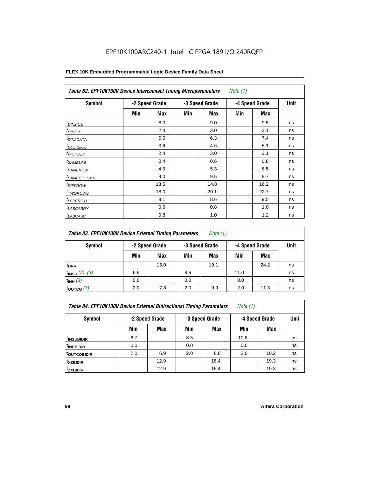| Symbol                     |     | -2 Speed Grade |     | -3 Speed Grade | -4 Speed Grade | <b>Unit</b> |    |
|----------------------------|-----|----------------|-----|----------------|----------------|-------------|----|
|                            | Min | Max            | Min | Max            | Min            | Max         |    |
| $t_{DINZIOE}$              |     | 8.0            |     | 9.0            |                | 9.5         | ns |
| $t_{DIN2LE}$               |     | 2.4            |     | 3.0            |                | 3.1         | ns |
| <sup>t</sup> DIN2DATA      |     | 5.0            |     | 6.3            |                | 7.4         | ns |
| <sup>t</sup> DCLK2IOE      |     | 3.6            |     | 4.6            |                | 5.1         | ns |
| ${}^t$ DCLK2LE             |     | 2.4            |     | 3.0            |                | 3.1         | ns |
| <sup>t</sup> SAMELAB       |     | 0.4            |     | 0.6            |                | 0.8         | ns |
| <sup>t</sup> SAMEROW       |     | 4.5            |     | 5.3            |                | 6.5         | ns |
| <sup>t</sup> SAMECOLUMN    |     | 9.0            |     | 9.5            |                | 9.7         | ns |
| <i>t<sub>DIFFROW</sub></i> |     | 13.5           |     | 14.8           |                | 16.2        | ns |
| <sup>t</sup> TWOROWS       |     | 18.0           |     | 20.1           |                | 22.7        | ns |
| <sup>t</sup> LEPERIPH      |     | 8.1            |     | 8.6            |                | 9.5         | ns |
| <sup>t</sup> LABCARRY      |     | 0.6            |     | 0.8            |                | 1.0         | ns |
| <sup>t</sup> LABCASC       |     | 0.8            |     | 1.0            |                | 1.2         | ns |

# **FLEX 10K Embedded Programmable Logic Device Family Data Sheet**

| Table 83. EPF10K130V Device External Timing Parameters | Note (1) |
|--------------------------------------------------------|----------|
|--------------------------------------------------------|----------|

| Symbol                 | -2 Speed Grade |      | -3 Speed Grade |      | -4 Speed Grade |      | Unit |
|------------------------|----------------|------|----------------|------|----------------|------|------|
|                        | Min            | Max  | Min            | Max  | Min            | Max  |      |
| t <sub>DRR</sub>       |                | 15.0 |                | 19.1 |                | 24.2 | ns   |
| $t_{INSU}$ (2), (3)    | 6.9            |      | 8.6            |      | 11.0           |      | ns   |
| $t_{INH}$ (3)          | 0.0            |      | 0.0            |      | 0.0            |      | ns   |
| $t_{\text{OUTCO}}$ (3) | 2.0            | 7.8  | 2.0            | 9.9  | 2.0            | 11.3 | ns   |

| Table 84. EPF10K130V Device External Bidirectional Timing Parameters | Note (1) |  |
|----------------------------------------------------------------------|----------|--|
|----------------------------------------------------------------------|----------|--|

**Symbol -2 Speed Grade -3 Speed Grade -4 Speed Grade Unit** Min | Max | Min | Max | Min | Max

| t <sub>INSUBIDIR</sub>    | 6.7 |      | 8.5 |      | 10.8 |      | ns |
|---------------------------|-----|------|-----|------|------|------|----|
| t <sub>INHBIDIR</sub>     | 0.0 |      | 0.0 |      | 0.0  |      | ns |
| <sup>I t</sup> outcobidir | 2.0 | 6.9  | 2.0 | 8.8  | 2.0  | 10.2 | ns |
| t <sub>XZBIDIR</sub>      |     | 12.9 |     | 16.4 |      | 19.3 | ns |
| tzxbidir                  |     | 12.9 |     | 16.4 |      | 19.3 | ns |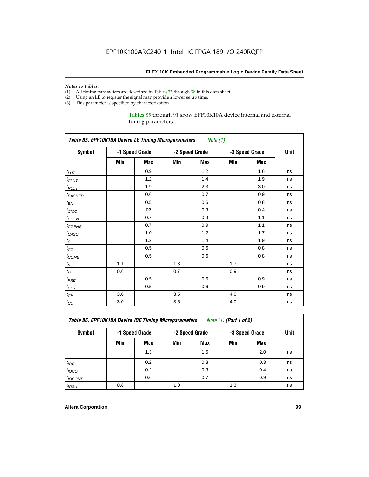# *Notes to tables:*<br>(1) All timing p

- All timing parameters are described in Tables 32 through 38 in this data sheet.
- (2) Using an LE to register the signal may provide a lower setup time.
- (3) This parameter is specified by characterization.

## Tables 85 through 91 show EPF10K10A device internal and external timing parameters.

| <b>Table 85. EPF10K10A Device LE Timing Microparameters</b> Note (1) |     |                |     |                |                |      |    |  |  |
|----------------------------------------------------------------------|-----|----------------|-----|----------------|----------------|------|----|--|--|
| <b>Symbol</b>                                                        |     | -1 Speed Grade |     | -2 Speed Grade | -3 Speed Grade | Unit |    |  |  |
|                                                                      | Min | Max            | Min | Max            | Min            | Max  |    |  |  |
| $t_{LUT}$                                                            |     | 0.9            |     | 1.2            |                | 1.6  | ns |  |  |
| $t_{CLUT}$                                                           |     | 1.2            |     | 1.4            |                | 1.9  | ns |  |  |
| $t_{RLUT}$                                                           |     | 1.9            |     | 2.3            |                | 3.0  | ns |  |  |
| <b>t</b> <sub>PACKED</sub>                                           |     | 0.6            |     | 0.7            |                | 0.9  | ns |  |  |
| $t_{EN}$                                                             |     | 0.5            |     | 0.6            |                | 0.8  | ns |  |  |
| $t_{CICO}$                                                           |     | 02             |     | 0.3            |                | 0.4  | ns |  |  |
| $t_{GEN}$                                                            |     | 0.7            |     | 0.9            |                | 1.1  | ns |  |  |
| $t_{GENR}$                                                           |     | 0.7            |     | 0.9            |                | 1.1  | ns |  |  |
| $t_{CASC}$                                                           |     | 1.0            |     | 1.2            |                | 1.7  | ns |  |  |
| $t_{\rm C}$                                                          |     | 1.2            |     | 1.4            |                | 1.9  | ns |  |  |
| $t_{\rm CO}$                                                         |     | 0.5            |     | 0.6            |                | 0.8  | ns |  |  |
| $t_{\text{COMB}}$                                                    |     | 0.5            |     | 0.6            |                | 0.8  | ns |  |  |
| $t_{\rm SU}$                                                         | 1.1 |                | 1.3 |                | 1.7            |      | ns |  |  |
| $t_{\!H}$                                                            | 0.6 |                | 0.7 |                | 0.9            |      | ns |  |  |
| $t_{PRE}$                                                            |     | 0.5            |     | 0.6            |                | 0.9  | ns |  |  |
| $t_{CLR}$                                                            |     | 0.5            |     | 0.6            |                | 0.9  | ns |  |  |
| $t_{\mathit{CH}}$                                                    | 3.0 |                | 3.5 |                | 4.0            |      | ns |  |  |
| $t_{CL}$                                                             | 3.0 |                | 3.5 |                | 4.0            |      | ns |  |  |

*Table 86. EPF10K10A Device IOE Timing Microparameters Note (1) (Part 1 of 2)*

| Symbol            | -1 Speed Grade |            | -2 Speed Grade |     | -3 Speed Grade | Unit       |    |  |  |  |
|-------------------|----------------|------------|----------------|-----|----------------|------------|----|--|--|--|
|                   | Min            | <b>Max</b> | Min            | Max | Min            | <b>Max</b> |    |  |  |  |
|                   |                | 1.3        |                | 1.5 |                | 2.0        | ns |  |  |  |
| $t_{\text{IOC}}$  |                | 0.2        |                | 0.3 |                | 0.3        | ns |  |  |  |
| $t_{IOCO}$        |                | 0.2        |                | 0.3 |                | 0.4        | ns |  |  |  |
| $t_{IOCOMB}$      |                | 0.6        |                | 0.7 |                | 0.9        | ns |  |  |  |
| t <sub>IOSU</sub> | 0.8            |            | 1.0            |     | 1.3            |            | ns |  |  |  |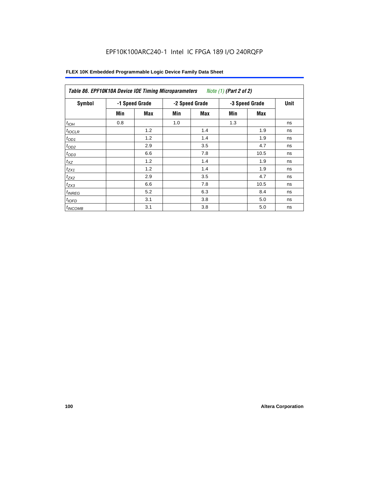| Symbol             |     | -1 Speed Grade |     | -2 Speed Grade | -3 Speed Grade | <b>Unit</b> |    |
|--------------------|-----|----------------|-----|----------------|----------------|-------------|----|
|                    | Min | Max            | Min | Max            | Min            | Max         |    |
| $t_{IOH}$          | 0.8 |                | 1.0 |                | 1.3            |             | ns |
| $t_{IOCLR}$        |     | 1.2            |     | 1.4            |                | 1.9         | ns |
| $t_{OD1}$          |     | 1.2            |     | 1.4            |                | 1.9         | ns |
| $t_{OD2}$          |     | 2.9            |     | 3.5            |                | 4.7         | ns |
| $t_{OD3}$          |     | 6.6            |     | 7.8            |                | 10.5        | ns |
| $t_{XZ}$           |     | 1.2            |     | 1.4            |                | 1.9         | ns |
| $t_{ZX1}$          |     | 1.2            |     | 1.4            |                | 1.9         | ns |
| $t_{ZX2}$          |     | 2.9            |     | 3.5            |                | 4.7         | ns |
| $t_{ZX3}$          |     | 6.6            |     | 7.8            |                | 10.5        | ns |
| <sup>t</sup> INREG |     | 5.2            |     | 6.3            |                | 8.4         | ns |
| $t_{IOFD}$         |     | 3.1            |     | 3.8            |                | 5.0         | ns |
| $t_{INCOMB}$       |     | 3.1            |     | 3.8            |                | 5.0         | ns |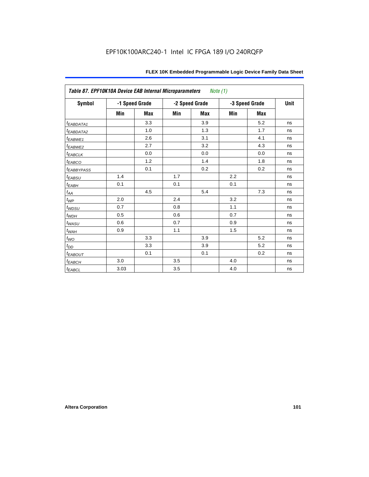| Table 87. EPF10K10A Device EAB Internal Microparameters<br>Note (1) |      |                |     |                |                |      |    |  |
|---------------------------------------------------------------------|------|----------------|-----|----------------|----------------|------|----|--|
| <b>Symbol</b>                                                       |      | -1 Speed Grade |     | -2 Speed Grade | -3 Speed Grade | Unit |    |  |
|                                                                     | Min  | Max            | Min | <b>Max</b>     | Min            | Max  |    |  |
| $t_{EABDATA1}$                                                      |      | 3.3            |     | 3.9            |                | 5.2  | ns |  |
| t <sub>EABDATA2</sub>                                               |      | 1.0            |     | 1.3            |                | 1.7  | ns |  |
| $t_{EABWE1}$                                                        |      | 2.6            |     | 3.1            |                | 4.1  | ns |  |
| $t_{EABWE2}$                                                        |      | 2.7            |     | 3.2            |                | 4.3  | ns |  |
| $t_{EABCLK}$                                                        |      | 0.0            |     | 0.0            |                | 0.0  | ns |  |
| $t_{EABCO}$                                                         |      | 1.2            |     | 1.4            |                | 1.8  | ns |  |
| <i><b><i>EABBYPASS</i></b></i>                                      |      | 0.1            |     | 0.2            |                | 0.2  | ns |  |
| $t_{EABSU}$                                                         | 1.4  |                | 1.7 |                | 2.2            |      | ns |  |
| $t_{EABH}$                                                          | 0.1  |                | 0.1 |                | 0.1            |      | ns |  |
| $t_{AA}$                                                            |      | 4.5            |     | 5.4            |                | 7.3  | ns |  |
| $t_{WP}$                                                            | 2.0  |                | 2.4 |                | 3.2            |      | ns |  |
| $t_{W\!D\!S\!U}$                                                    | 0.7  |                | 0.8 |                | 1.1            |      | ns |  |
| $t_{WDH}$                                                           | 0.5  |                | 0.6 |                | 0.7            |      | ns |  |
| $t_{WASU}$                                                          | 0.6  |                | 0.7 |                | 0.9            |      | ns |  |
| $t_{W\!\!AH}$                                                       | 0.9  |                | 1.1 |                | 1.5            |      | ns |  |
| $t_{WQ}$                                                            |      | 3.3            |     | 3.9            |                | 5.2  | ns |  |
| $t_{DD}$                                                            |      | 3.3            |     | 3.9            |                | 5.2  | ns |  |
| $t_{EABOUT}$                                                        |      | 0.1            |     | 0.1            |                | 0.2  | ns |  |
| $t_{EABCH}$                                                         | 3.0  |                | 3.5 |                | 4.0            |      | ns |  |
| $t_{EABCL}$                                                         | 3.03 |                | 3.5 |                | 4.0            |      | ns |  |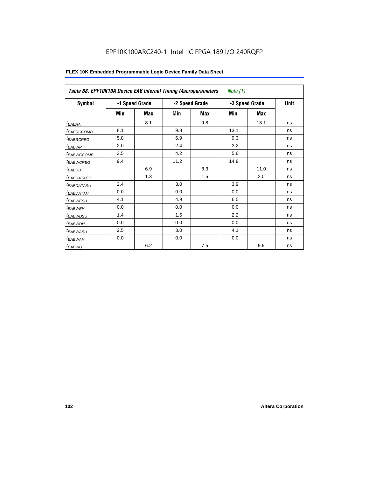| Table 88. EPF10K10A Device EAB Internal Timing Macroparameters |                |            |      |                | Note (1)       |      |    |
|----------------------------------------------------------------|----------------|------------|------|----------------|----------------|------|----|
| Symbol                                                         | -1 Speed Grade |            |      | -2 Speed Grade | -3 Speed Grade | Unit |    |
|                                                                | Min            | <b>Max</b> | Min  | Max            | Min            | Max  |    |
| $t_{EABA}$                                                     |                | 8.1        |      | 9.8            |                | 13.1 | ns |
| <sup>t</sup> EABRCCOMB                                         | 8.1            |            | 9.8  |                | 13.1           |      | ns |
| <sup>t</sup> EABRCREG                                          | 5.8            |            | 6.9  |                | 9.3            |      | ns |
| <sup>t</sup> EABWP                                             | 2.0            |            | 2.4  |                | 3.2            |      | ns |
| <sup>t</sup> EABWCCOMB                                         | 3.5            |            | 4.2  |                | 5.6            |      | ns |
| <sup>t</sup> EABWCREG                                          | 9.4            |            | 11.2 |                | 14.8           |      | ns |
| <sup>t</sup> EABDD                                             |                | 6.9        |      | 8.3            |                | 11.0 | ns |
| <sup>t</sup> EABDATACO                                         |                | 1.3        |      | 1.5            |                | 2.0  | ns |
| <sup>t</sup> EABDATASU                                         | 2.4            |            | 3.0  |                | 3.9            |      | ns |
| <sup>t</sup> EABDATAH                                          | 0.0            |            | 0.0  |                | 0.0            |      | ns |
| <sup>t</sup> EABWESU                                           | 4.1            |            | 4.9  |                | 6.5            |      | ns |
| <sup>t</sup> EABWEH                                            | 0.0            |            | 0.0  |                | 0.0            |      | ns |
| <sup>t</sup> EABWDSU                                           | 1.4            |            | 1.6  |                | 2.2            |      | ns |
| <sup>t</sup> EABWDH                                            | 0.0            |            | 0.0  |                | 0.0            |      | ns |
| <sup>t</sup> EABWASU                                           | 2.5            |            | 3.0  |                | 4.1            |      | ns |
| <sup>t</sup> EABWAH                                            | 0.0            |            | 0.0  |                | 0.0            |      | ns |
| t <sub>EABWO</sub>                                             |                | 6.2        |      | 7.5            |                | 9.9  | ns |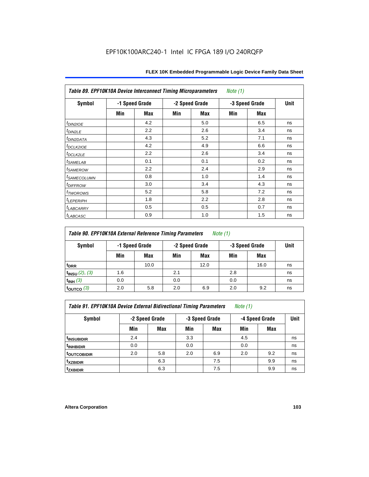| Table 89. EPF10K10A Device Interconnect Timing Microparameters<br>Note $(1)$ |                |     |     |                |                |      |    |  |  |
|------------------------------------------------------------------------------|----------------|-----|-----|----------------|----------------|------|----|--|--|
| Symbol                                                                       | -1 Speed Grade |     |     | -2 Speed Grade | -3 Speed Grade | Unit |    |  |  |
|                                                                              | Min            | Max | Min | Max            | Min            | Max  |    |  |  |
| $t_{DINZIOE}$                                                                |                | 4.2 |     | 5.0            |                | 6.5  | ns |  |  |
| $t_{DIN2LE}$                                                                 |                | 2.2 |     | 2.6            |                | 3.4  | ns |  |  |
| <sup>t</sup> DIN2DATA                                                        |                | 4.3 |     | 5.2            |                | 7.1  | ns |  |  |
| t <sub>DCLK2IOE</sub>                                                        |                | 4.2 |     | 4.9            |                | 6.6  | ns |  |  |
| $t_{DCLK2LE}$                                                                |                | 2.2 |     | 2.6            |                | 3.4  | ns |  |  |
| <i>t</i> SAMELAB                                                             |                | 0.1 |     | 0.1            |                | 0.2  | ns |  |  |
| <i>t</i> SAMEROW                                                             |                | 2.2 |     | 2.4            |                | 2.9  | ns |  |  |
| <i>t<sub>SAMECOLUMN</sub></i>                                                |                | 0.8 |     | 1.0            |                | 1.4  | ns |  |  |
| <i>t<sub>DIFFROW</sub></i>                                                   |                | 3.0 |     | 3.4            |                | 4.3  | ns |  |  |
| t <sub>TWOROWS</sub>                                                         |                | 5.2 |     | 5.8            |                | 7.2  | ns |  |  |
| <sup>t</sup> LEPERIPH                                                        |                | 1.8 |     | 2.2            |                | 2.8  | ns |  |  |
| <sup>t</sup> LABCARRY                                                        |                | 0.5 |     | 0.5            |                | 0.7  | ns |  |  |
| t <sub>LABCASC</sub>                                                         |                | 0.9 |     | 1.0            |                | 1.5  | ns |  |  |

| Table 90. EPF10K10A External Reference Timing Parameters | Note (1) |
|----------------------------------------------------------|----------|
|----------------------------------------------------------|----------|

| Symbol                 | -1 Speed Grade |      | -2 Speed Grade |      | -3 Speed Grade | Unit       |    |
|------------------------|----------------|------|----------------|------|----------------|------------|----|
|                        | Min            | Max  | Min            | Max  | Min            | <b>Max</b> |    |
| t <sub>DRR</sub>       |                | 10.0 |                | 12.0 |                | 16.0       | ns |
| $t_{INSU}$ (2), (3)    | 1.6            |      | 2.1            |      | 2.8            |            | ns |
| $t_{INH}$ (3)          | 0.0            |      | 0.0            |      | 0.0            |            | ns |
| $t_{\text{OUTCO}}$ (3) | 2.0            | 5.8  | 2.0            | 6.9  | 2.0            | 9.2        | ns |

*Table 91. EPF10K10A Device External Bidirectional Timing Parameters Note (1)*

| <b>Symbol</b>           | -2 Speed Grade |     |     | -3 Speed Grade | -4 Speed Grade | Unit       |    |
|-------------------------|----------------|-----|-----|----------------|----------------|------------|----|
|                         | Min            | Max | Min | <b>Max</b>     | Min            | <b>Max</b> |    |
| <sup>t</sup> insubidir  | 2.4            |     | 3.3 |                | 4.5            |            | ns |
| <sup>T</sup> INHBIDIR   | 0.0            |     | 0.0 |                | 0.0            |            | ns |
| <sup>t</sup> OUTCOBIDIR | 2.0            | 5.8 | 2.0 | 6.9            | 2.0            | 9.2        | ns |
| <sup>t</sup> xzbidir    |                | 6.3 |     | 7.5            |                | 9.9        | ns |
| <sup>t</sup> zxbidir    |                | 6.3 |     | 7.5            |                | 9.9        | ns |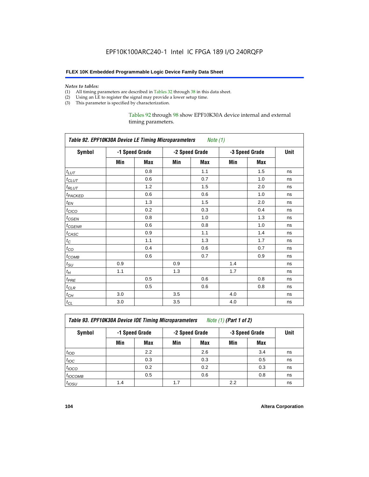#### *Notes to tables:*

- (1) All timing parameters are described in Tables 32 through 38 in this data sheet.
- (2) Using an LE to register the signal may provide a lower setup time.
- (3) This parameter is specified by characterization.

Tables 92 through 98 show EPF10K30A device internal and external timing parameters.

| Table 92. EPF10K30A Device LE Timing Microparameters Note (1) |     |                |     |                |     |                |    |  |  |
|---------------------------------------------------------------|-----|----------------|-----|----------------|-----|----------------|----|--|--|
| <b>Symbol</b>                                                 |     | -1 Speed Grade |     | -2 Speed Grade |     | -3 Speed Grade |    |  |  |
|                                                               | Min | <b>Max</b>     | Min | <b>Max</b>     | Min | Max            |    |  |  |
| $t_{LUT}$                                                     |     | 0.8            |     | 1.1            |     | 1.5            | ns |  |  |
| $t_{CLUT}$                                                    |     | 0.6            |     | 0.7            |     | 1.0            | ns |  |  |
| $t_{RLUT}$                                                    |     | 1.2            |     | 1.5            |     | 2.0            | ns |  |  |
| t <sub>PACKED</sub>                                           |     | 0.6            |     | 0.6            |     | 1.0            | ns |  |  |
| $t_{EN}$                                                      |     | 1.3            |     | 1.5            |     | 2.0            | ns |  |  |
| $t_{CICO}$                                                    |     | 0.2            |     | 0.3            |     | 0.4            | ns |  |  |
| $t_{\text{GEN}}$                                              |     | 0.8            |     | 1.0            |     | 1.3            | ns |  |  |
| $t_{\text{GENR}}$                                             |     | 0.6            |     | 0.8            |     | 1.0            | ns |  |  |
| $t_{CASC}$                                                    |     | 0.9            |     | 1.1            |     | 1.4            | ns |  |  |
| $t_C$                                                         |     | 1.1            |     | 1.3            |     | 1.7            | ns |  |  |
| $t_{CO}$                                                      |     | 0.4            |     | 0.6            |     | 0.7            | ns |  |  |
| $t_{\text{COMB}}$                                             |     | 0.6            |     | 0.7            |     | 0.9            | ns |  |  |
| $t_{\rm SU}$                                                  | 0.9 |                | 0.9 |                | 1.4 |                | ns |  |  |
| $t_H$                                                         | 1.1 |                | 1.3 |                | 1.7 |                | ns |  |  |
| $t_{PRE}$                                                     |     | 0.5            |     | 0.6            |     | 0.8            | ns |  |  |
| $t_{CLR}$                                                     |     | 0.5            |     | 0.6            |     | 0.8            | ns |  |  |
| $t_{CH}$                                                      | 3.0 |                | 3.5 |                | 4.0 |                | ns |  |  |
| $t_{\rm CL}$                                                  | 3.0 |                | 3.5 |                | 4.0 |                | ns |  |  |

*Table 93. EPF10K30A Device IOE Timing Microparameters Note (1) (Part 1 of 2)*

| Symbol            |     | -1 Speed Grade |     | -2 Speed Grade | -3 Speed Grade |            | <b>Unit</b> |  |  |  |
|-------------------|-----|----------------|-----|----------------|----------------|------------|-------------|--|--|--|
|                   | Min | Max            | Min | <b>Max</b>     | Min            | <b>Max</b> |             |  |  |  |
| t <sub>IOD</sub>  |     | 2.2            |     | 2.6            |                | 3.4        | ns          |  |  |  |
| $t_{\text{IOC}}$  |     | 0.3            |     | 0.3            |                | 0.5        | ns          |  |  |  |
| $t_{IOCO}$        |     | 0.2            |     | 0.2            |                | 0.3        | ns          |  |  |  |
| $t_{IOCOMB}$      |     | 0.5            |     | 0.6            |                | 0.8        | ns          |  |  |  |
| t <sub>IOSU</sub> | 1.4 |                | 1.7 |                | 2.2            |            | ns          |  |  |  |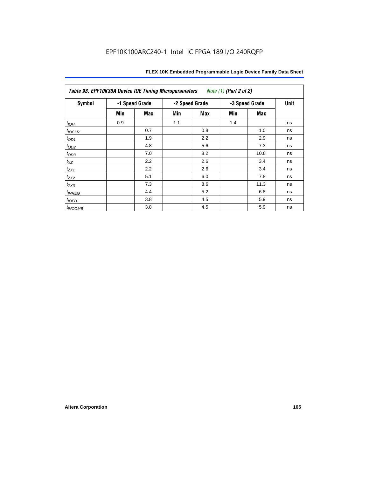| Table 93. EPF10K30A Device IOE Timing Microparameters<br>Note (1) (Part 2 of 2) |     |                |     |                |                |      |      |  |  |
|---------------------------------------------------------------------------------|-----|----------------|-----|----------------|----------------|------|------|--|--|
| <b>Symbol</b>                                                                   |     | -1 Speed Grade |     | -2 Speed Grade | -3 Speed Grade |      | Unit |  |  |
|                                                                                 | Min | <b>Max</b>     | Min | Max            | Min            | Max  |      |  |  |
| $t_{IOH}$                                                                       | 0.9 |                | 1.1 |                | 1.4            |      | ns   |  |  |
| $t_{IOCLR}$                                                                     |     | 0.7            |     | 0.8            |                | 1.0  | ns   |  |  |
| $t_{OD1}$                                                                       |     | 1.9            |     | 2.2            |                | 2.9  | ns   |  |  |
| $t_{OD2}$                                                                       |     | 4.8            |     | 5.6            |                | 7.3  | ns   |  |  |
| $t_{OD3}$                                                                       |     | 7.0            |     | 8.2            |                | 10.8 | ns   |  |  |
| $t_{XZ}$                                                                        |     | 2.2            |     | 2.6            |                | 3.4  | ns   |  |  |
| $t_{ZX1}$                                                                       |     | 2.2            |     | 2.6            |                | 3.4  | ns   |  |  |
| $t_{ZX2}$                                                                       |     | 5.1            |     | 6.0            |                | 7.8  | ns   |  |  |
| $t_{ZX3}$                                                                       |     | 7.3            |     | 8.6            |                | 11.3 | ns   |  |  |
| $t_{INREG}$                                                                     |     | 4.4            |     | 5.2            |                | 6.8  | ns   |  |  |
| $t_{IOFD}$                                                                      |     | 3.8            |     | 4.5            |                | 5.9  | ns   |  |  |
| $t_{INCOMB}$                                                                    |     | 3.8            |     | 4.5            |                | 5.9  | ns   |  |  |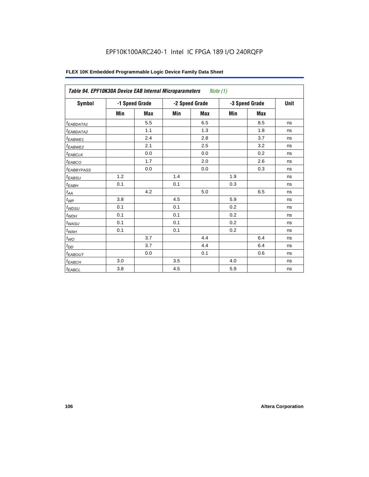| <b>Symbol</b>          | -1 Speed Grade |            |     | -2 Speed Grade |     | -3 Speed Grade |    |
|------------------------|----------------|------------|-----|----------------|-----|----------------|----|
|                        | Min            | <b>Max</b> | Min | <b>Max</b>     | Min | <b>Max</b>     |    |
| <sup>t</sup> EABDATA1  |                | 5.5        |     | 6.5            |     | 8.5            | ns |
| <sup>t</sup> EABDATA2  |                | 1.1        |     | 1.3            |     | 1.8            | ns |
| <sup>t</sup> EABWE1    |                | 2.4        |     | 2.8            |     | 3.7            | ns |
| <sup>t</sup> EABWE2    |                | 2.1        |     | 2.5            |     | 3.2            | ns |
| <sup>t</sup> EABCLK    |                | 0.0        |     | 0.0            |     | 0.2            | ns |
| <sup>t</sup> EABCO     |                | 1.7        |     | 2.0            |     | 2.6            | ns |
| <sup>t</sup> EABBYPASS |                | 0.0        |     | 0.0            |     | 0.3            | ns |
| <sup>t</sup> EABSU     | 1.2            |            | 1.4 |                | 1.9 |                | ns |
| $t_{EABH}$             | 0.1            |            | 0.1 |                | 0.3 |                | ns |
| $t_{AA}$               |                | 4.2        |     | 5.0            |     | 6.5            | ns |
| $t_{WP}$               | 3.8            |            | 4.5 |                | 5.9 |                | ns |
| t <sub>WDSU</sub>      | 0.1            |            | 0.1 |                | 0.2 |                | ns |
| $t_{WDH}$              | 0.1            |            | 0.1 |                | 0.2 |                | ns |
| t <sub>WASU</sub>      | 0.1            |            | 0.1 |                | 0.2 |                | ns |
| $t_{WAH}$              | 0.1            |            | 0.1 |                | 0.2 |                | ns |
| $t_{WO}$               |                | 3.7        |     | 4.4            |     | 6.4            | ns |
| $t_{DD}$               |                | 3.7        |     | 4.4            |     | 6.4            | ns |
| <sup>t</sup> EABOUT    |                | 0.0        |     | 0.1            |     | 0.6            | ns |
| t <sub>EABCH</sub>     | 3.0            |            | 3.5 |                | 4.0 |                | ns |
| $t_{EABCL}$            | 3.8            |            | 4.5 |                | 5.9 |                | ns |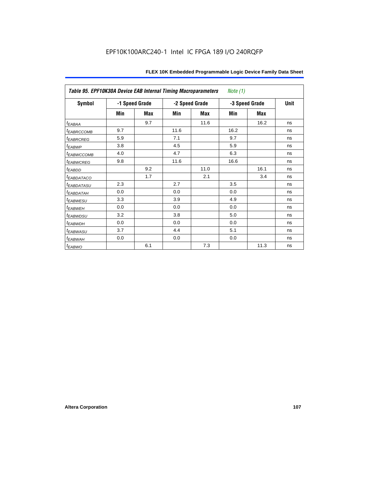| Table 95. EPF10K30A Device EAB Internal Timing Macroparameters<br>Note $(1)$ |                |     |                |      |                |      |      |  |  |
|------------------------------------------------------------------------------|----------------|-----|----------------|------|----------------|------|------|--|--|
| Symbol                                                                       | -1 Speed Grade |     | -2 Speed Grade |      | -3 Speed Grade |      | Unit |  |  |
|                                                                              | Min            | Max | Min            | Max  | Min            | Max  |      |  |  |
| $t_{EABA}$                                                                   |                | 9.7 |                | 11.6 |                | 16.2 | ns   |  |  |
| <sup>t</sup> EABRCCOMB                                                       | 9.7            |     | 11.6           |      | 16.2           |      | ns   |  |  |
| <sup>t</sup> EABRCREG                                                        | 5.9            |     | 7.1            |      | 9.7            |      | ns   |  |  |
| t <sub>EABWP</sub>                                                           | 3.8            |     | 4.5            |      | 5.9            |      | ns   |  |  |
| <sup>t</sup> ЕАВWССОМВ                                                       | 4.0            |     | 4.7            |      | 6.3            |      | ns   |  |  |
| <sup>t</sup> EABWCREG                                                        | 9.8            |     | 11.6           |      | 16.6           |      | ns   |  |  |
| t <sub>EABDD</sub>                                                           |                | 9.2 |                | 11.0 |                | 16.1 | ns   |  |  |
| t <sub>EABDATACO</sub>                                                       |                | 1.7 |                | 2.1  |                | 3.4  | ns   |  |  |
| <sup>t</sup> EABDATASU                                                       | 2.3            |     | 2.7            |      | 3.5            |      | ns   |  |  |
| <sup>t</sup> EABDATAH                                                        | 0.0            |     | 0.0            |      | 0.0            |      | ns   |  |  |
| <sup>t</sup> EABWESU                                                         | 3.3            |     | 3.9            |      | 4.9            |      | ns   |  |  |
| <sup>t</sup> EABWEH                                                          | 0.0            |     | 0.0            |      | 0.0            |      | ns   |  |  |
| <sup>t</sup> EABWDSU                                                         | 3.2            |     | 3.8            |      | 5.0            |      | ns   |  |  |
| t <sub>EABWDH</sub>                                                          | 0.0            |     | 0.0            |      | 0.0            |      | ns   |  |  |
| <sup>t</sup> EABWASU                                                         | 3.7            |     | 4.4            |      | 5.1            |      | ns   |  |  |
| <sup>t</sup> EABWAH                                                          | 0.0            |     | 0.0            |      | 0.0            |      | ns   |  |  |
| $t_{EABWO}$                                                                  |                | 6.1 |                | 7.3  |                | 11.3 | ns   |  |  |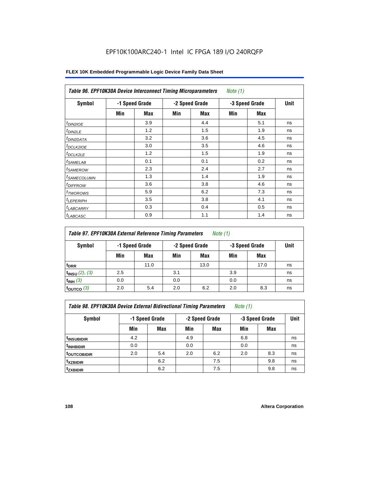| <b>Symbol</b>              |     | -1 Speed Grade |     | -2 Speed Grade | -3 Speed Grade | <b>Unit</b> |    |
|----------------------------|-----|----------------|-----|----------------|----------------|-------------|----|
|                            | Min | Max            | Min | Max            | Min            | Max         |    |
| $t_{DINZIOE}$              |     | 3.9            |     | 4.4            |                | 5.1         | ns |
| t <sub>DIN2LE</sub>        |     | 1.2            |     | 1.5            |                | 1.9         | ns |
| <sup>t</sup> DIN2DATA      |     | 3.2            |     | 3.6            |                | 4.5         | ns |
| t <sub>DCLK2IOE</sub>      |     | 3.0            |     | 3.5            |                | 4.6         | ns |
| <sup>t</sup> DCLK2LE       |     | 1.2            |     | 1.5            |                | 1.9         | ns |
| <sup>t</sup> SAMELAB       |     | 0.1            |     | 0.1            |                | 0.2         | ns |
| <sup>t</sup> SAMEROW       |     | 2.3            |     | 2.4            |                | 2.7         | ns |
| <sup>t</sup> SAMECOLUMN    |     | 1.3            |     | 1.4            |                | 1.9         | ns |
| <i>t<sub>DIFFROW</sub></i> |     | 3.6            |     | 3.8            |                | 4.6         | ns |
| <sup>t</sup> TWOROWS       |     | 5.9            |     | 6.2            |                | 7.3         | ns |
| <sup>t</sup> LEPERIPH      |     | 3.5            |     | 3.8            |                | 4.1         | ns |
| <b>LABCARRY</b>            |     | 0.3            |     | 0.4            |                | 0.5         | ns |
| <sup>t</sup> LABCASC       |     | 0.9            |     | 1.1            |                | 1.4         | ns |

## **FLEX 10K Embedded Programmable Logic Device Family Data Sheet**

| Table 97. EPF10K30A External Reference Timing Parameters<br><i>Note</i> $(1)$ |     |                |     |                |     |                |      |  |  |  |
|-------------------------------------------------------------------------------|-----|----------------|-----|----------------|-----|----------------|------|--|--|--|
| Symbol                                                                        |     | -1 Speed Grade |     | -2 Speed Grade |     | -3 Speed Grade | Unit |  |  |  |
|                                                                               | Min | Max            | Min | Max            | Min | <b>Max</b>     |      |  |  |  |
| t <sub>DRR</sub>                                                              |     | 11.0           |     | 13.0           |     | 17.0           | ns   |  |  |  |
| $t_{INSU}$ (2), (3)                                                           | 2.5 |                | 3.1 |                | 3.9 |                | ns   |  |  |  |
| $t_{INH}$ (3)                                                                 | 0.0 |                | 0.0 |                | 0.0 |                | ns   |  |  |  |
| $t_{\text{OUTCO}}$ (3)                                                        | 2.0 | 5.4            | 2.0 | 6.2            | 2.0 | 8.3            | ns   |  |  |  |

*Table 98. EPF10K30A Device External Bidirectional Timing Parameters Note (1)*

| Symbol                 |     | -1 Speed Grade |     | -2 Speed Grade |     | -3 Speed Grade |    |  |
|------------------------|-----|----------------|-----|----------------|-----|----------------|----|--|
|                        | Min | <b>Max</b>     | Min | <b>Max</b>     | Min | <b>Max</b>     |    |  |
| <sup>t</sup> INSUBIDIR | 4.2 |                | 4.9 |                | 6.8 |                | ns |  |
| <sup>t</sup> INHBIDIR  | 0.0 |                | 0.0 |                | 0.0 |                | ns |  |
| <b>toutcobidir</b>     | 2.0 | 5.4            | 2.0 | 6.2            | 2.0 | 8.3            | ns |  |
| <sup>t</sup> xzbidir   |     | 6.2            |     | 7.5            |     | 9.8            | ns |  |
| <i>t</i> zxbidir       |     | 6.2            |     | 7.5            |     | 9.8            | ns |  |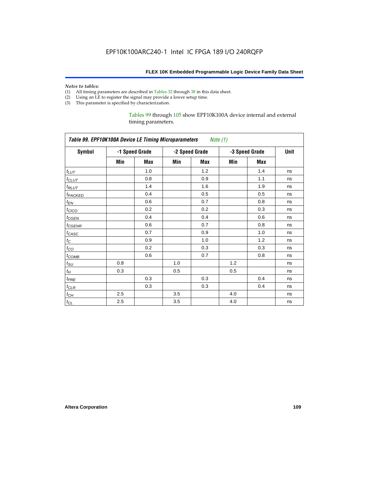#### *Notes to tables:*

- (1) All timing parameters are described in Tables 32 through 38 in this data sheet.
- (2) Using an LE to register the signal may provide a lower setup time.
- (3) This parameter is specified by characterization.

Tables 99 through 105 show EPF10K100A device internal and external timing parameters.

| Table 99. EPF10K100A Device LE Timing Microparameters Note (1) |     |                |     |                                  |     |     |      |
|----------------------------------------------------------------|-----|----------------|-----|----------------------------------|-----|-----|------|
| <b>Symbol</b>                                                  |     | -1 Speed Grade |     | -2 Speed Grade<br>-3 Speed Grade |     |     | Unit |
|                                                                | Min | <b>Max</b>     | Min | Max                              | Min | Max |      |
| $t_{LUT}$                                                      |     | 1.0            |     | 1.2                              |     | 1.4 | ns   |
| $t_{CLUT}$                                                     |     | 0.8            |     | 0.9                              |     | 1.1 | ns   |
| $t_{RLUT}$                                                     |     | 1.4            |     | 1.6                              |     | 1.9 | ns   |
| t <sub>PACKED</sub>                                            |     | 0.4            |     | 0.5                              |     | 0.5 | ns   |
| $t_{EN}$                                                       |     | 0.6            |     | 0.7                              |     | 0.8 | ns   |
| $t_{CICO}$                                                     |     | 0.2            |     | 0.2                              |     | 0.3 | ns   |
| $t_{\text{CGEN}}$                                              |     | 0.4            |     | 0.4                              |     | 0.6 | ns   |
| $t_{GENR}$                                                     |     | 0.6            |     | 0.7                              |     | 0.8 | ns   |
| $t_{CASC}$                                                     |     | 0.7            |     | 0.9                              |     | 1.0 | ns   |
| $t_{\rm C}$                                                    |     | 0.9            |     | 1.0                              |     | 1.2 | ns   |
| $t_{CO}$                                                       |     | 0.2            |     | 0.3                              |     | 0.3 | ns   |
| $t_{COMB}$                                                     |     | 0.6            |     | 0.7                              |     | 0.8 | ns   |
| $t_{\rm SU}$                                                   | 0.8 |                | 1.0 |                                  | 1.2 |     | ns   |
| $t_H\,$                                                        | 0.3 |                | 0.5 |                                  | 0.5 |     | ns   |
| $t_{PRE}$                                                      |     | 0.3            |     | 0.3                              |     | 0.4 | ns   |
| $t_{CLR}$                                                      |     | 0.3            |     | 0.3                              |     | 0.4 | ns   |
| $t_{CH}$                                                       | 2.5 |                | 3.5 |                                  | 4.0 |     | ns   |
| $t_{CL}$                                                       | 2.5 |                | 3.5 |                                  | 4.0 |     | ns   |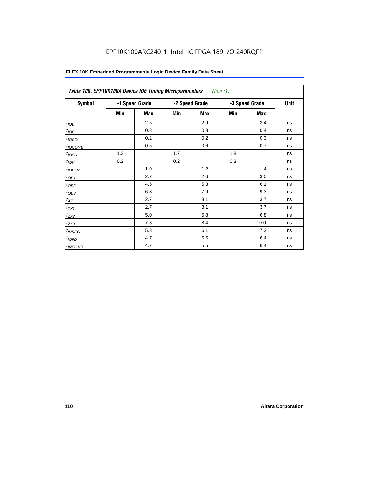| Symbol           | -1 Speed Grade |     |     | -2 Speed Grade | -3 Speed Grade | Unit |    |
|------------------|----------------|-----|-----|----------------|----------------|------|----|
|                  | Min            | Max | Min | <b>Max</b>     | Min            | Max  |    |
| t <sub>IOD</sub> |                | 2.5 |     | 2.9            |                | 3.4  | ns |
| $t_{\text{IOC}}$ |                | 0.3 |     | 0.3            |                | 0.4  | ns |
| $t_{IOCO}$       |                | 0.2 |     | 0.2            |                | 0.3  | ns |
| $t_{IOCOMB}$     |                | 0.5 |     | 0.6            |                | 0.7  | ns |
| $t_{IOSU}$       | 1.3            |     | 1.7 |                | 1.8            |      | ns |
| $t_{IOH}$        | 0.2            |     | 0.2 |                | 0.3            |      | ns |
| $t_{IOCLR}$      |                | 1.0 |     | 1.2            |                | 1.4  | ns |
| $t_{OD1}$        |                | 2.2 |     | 2.6            |                | 3.0  | ns |
| $t_{OD2}$        |                | 4.5 |     | 5.3            |                | 6.1  | ns |
| $t_{OD3}$        |                | 6.8 |     | 7.9            |                | 9.3  | ns |
| $t_{XZ}$         |                | 2.7 |     | 3.1            |                | 3.7  | ns |
| $t_{ZX1}$        |                | 2.7 |     | 3.1            |                | 3.7  | ns |
| $t_{ZX2}$        |                | 5.0 |     | 5.8            |                | 6.8  | ns |
| $t_{ZX3}$        |                | 7.3 |     | 8.4            |                | 10.0 | ns |
| $t_{INREG}$      |                | 5.3 |     | 6.1            |                | 7.2  | ns |
| $t_{IOFD}$       |                | 4.7 |     | 5.5            |                | 6.4  | ns |
| $t_{INCOMB}$     |                | 4.7 |     | 5.5            |                | 6.4  | ns |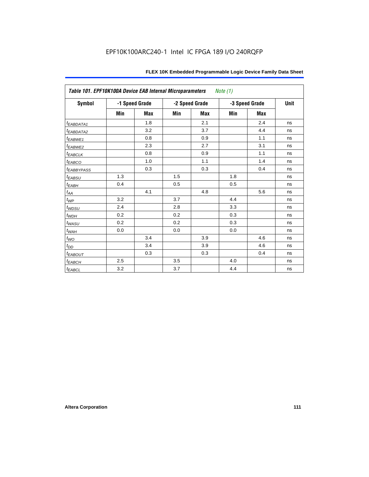| Table 101. EPF10K100A Device EAB Internal Microparameters |     |                |     |                | Note (1) |                |      |
|-----------------------------------------------------------|-----|----------------|-----|----------------|----------|----------------|------|
| Symbol                                                    |     | -1 Speed Grade |     | -2 Speed Grade |          | -3 Speed Grade | Unit |
|                                                           | Min | Max            | Min | <b>Max</b>     | Min      | <b>Max</b>     |      |
| $t_{EABDATA1}$                                            |     | 1.8            |     | 2.1            |          | 2.4            | ns   |
| $t_{EABDATA2}$                                            |     | 3.2            |     | 3.7            |          | 4.4            | ns   |
| $t_{EABWE1}$                                              |     | 0.8            |     | 0.9            |          | 1.1            | ns   |
| $t_{EABWE2}$                                              |     | 2.3            |     | 2.7            |          | 3.1            | ns   |
| $t_{EABCLK}$                                              |     | 0.8            |     | 0.9            |          | 1.1            | ns   |
| $t_{EABCO}$                                               |     | 1.0            |     | 1.1            |          | 1.4            | ns   |
| <b><i>t<sub>EABBYPASS</sub></i></b>                       |     | 0.3            |     | 0.3            |          | 0.4            | ns   |
| $t_{EABSU}$                                               | 1.3 |                | 1.5 |                | 1.8      |                | ns   |
| $t_{EABH}$                                                | 0.4 |                | 0.5 |                | 0.5      |                | ns   |
| $t_{\mathit{AA}}$                                         |     | 4.1            |     | 4.8            |          | 5.6            | ns   |
| $t_{WP}$                                                  | 3.2 |                | 3.7 |                | 4.4      |                | ns   |
| $t_{WDSU}$                                                | 2.4 |                | 2.8 |                | 3.3      |                | ns   |
| $t_{WDH}$                                                 | 0.2 |                | 0.2 |                | 0.3      |                | ns   |
| $t_{WASU}$                                                | 0.2 |                | 0.2 |                | 0.3      |                | ns   |
| $t_{WAH}$                                                 | 0.0 |                | 0.0 |                | 0.0      |                | ns   |
| $t_{WO}$                                                  |     | 3.4            |     | 3.9            |          | 4.6            | ns   |
| $t_{DD}$                                                  |     | 3.4            |     | 3.9            |          | 4.6            | ns   |
| $t_{EABOUT}$                                              |     | 0.3            |     | 0.3            |          | 0.4            | ns   |
| $t_{EABCH}$                                               | 2.5 |                | 3.5 |                | 4.0      |                | ns   |
| $t_{EABCL}$                                               | 3.2 |                | 3.7 |                | 4.4      |                | ns   |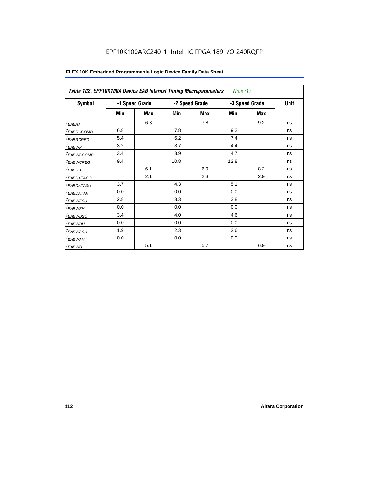| Table 102. EPF10K100A Device EAB Internal Timing Macroparameters |                |            |      |                | Note (1)       |      |    |
|------------------------------------------------------------------|----------------|------------|------|----------------|----------------|------|----|
| Symbol                                                           | -1 Speed Grade |            |      | -2 Speed Grade | -3 Speed Grade | Unit |    |
|                                                                  | Min            | <b>Max</b> | Min  | Max            | Min            | Max  |    |
| $t_{EABA}$                                                       |                | 6.8        |      | 7.8            |                | 9.2  | ns |
| <sup>t</sup> EABRCCOMB                                           | 6.8            |            | 7.8  |                | 9.2            |      | ns |
| <sup>t</sup> EABRCREG                                            | 5.4            |            | 6.2  |                | 7.4            |      | ns |
| <sup>t</sup> EABWP                                               | 3.2            |            | 3.7  |                | 4.4            |      | ns |
| <sup>t</sup> EABWCCOMB                                           | 3.4            |            | 3.9  |                | 4.7            |      | ns |
| <sup>t</sup> EABWCREG                                            | 9.4            |            | 10.8 |                | 12.8           |      | ns |
| <sup>t</sup> EABDD                                               |                | 6.1        |      | 6.9            |                | 8.2  | ns |
| <sup>t</sup> EABDATACO                                           |                | 2.1        |      | 2.3            |                | 2.9  | ns |
| <sup>t</sup> EABDATASU                                           | 3.7            |            | 4.3  |                | 5.1            |      | ns |
| <sup>t</sup> EABDATAH                                            | 0.0            |            | 0.0  |                | 0.0            |      | ns |
| <sup>t</sup> EABWESU                                             | 2.8            |            | 3.3  |                | 3.8            |      | ns |
| <sup>t</sup> EABWEH                                              | 0.0            |            | 0.0  |                | 0.0            |      | ns |
| <sup>t</sup> EABWDSU                                             | 3.4            |            | 4.0  |                | 4.6            |      | ns |
| <sup>t</sup> EABWDH                                              | 0.0            |            | 0.0  |                | 0.0            |      | ns |
| <sup>t</sup> EABWASU                                             | 1.9            |            | 2.3  |                | 2.6            |      | ns |
| <sup>t</sup> EABWAH                                              | 0.0            |            | 0.0  |                | 0.0            |      | ns |
| t <sub>EABWO</sub>                                               |                | 5.1        |      | 5.7            |                | 6.9  | ns |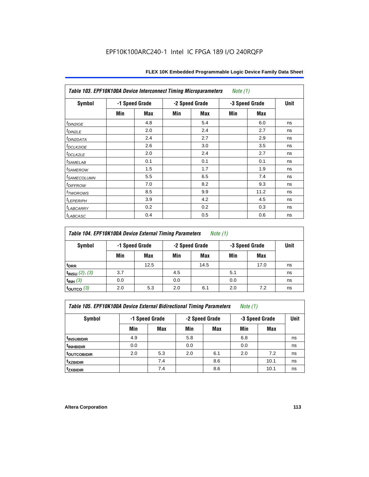| Table 103. EPF10K100A Device Interconnect Timing Microparameters<br>Note $(1)$ |                |     |     |                |                |            |    |  |  |  |
|--------------------------------------------------------------------------------|----------------|-----|-----|----------------|----------------|------------|----|--|--|--|
| <b>Symbol</b>                                                                  | -1 Speed Grade |     |     | -2 Speed Grade | -3 Speed Grade | Unit       |    |  |  |  |
|                                                                                | Min            | Max | Min | Max            | Min            | <b>Max</b> |    |  |  |  |
| $t_{DINZIOE}$                                                                  |                | 4.8 |     | 5.4            |                | 6.0        | ns |  |  |  |
| t <sub>DIN2LE</sub>                                                            |                | 2.0 |     | 2.4            |                | 2.7        | ns |  |  |  |
| <sup>t</sup> DIN2DATA                                                          |                | 2.4 |     | 2.7            |                | 2.9        | ns |  |  |  |
| t <sub>DCLK2IOE</sub>                                                          |                | 2.6 |     | 3.0            |                | 3.5        | ns |  |  |  |
| t <sub>DCLK2LE</sub>                                                           |                | 2.0 |     | 2.4            |                | 2.7        | ns |  |  |  |
| <i>t<sub>SAMELAB</sub></i>                                                     |                | 0.1 |     | 0.1            |                | 0.1        | ns |  |  |  |
| <i>t<sub>SAMEROW</sub></i>                                                     |                | 1.5 |     | 1.7            |                | 1.9        | ns |  |  |  |
| <sup>t</sup> SAMECOLUMN                                                        |                | 5.5 |     | 6.5            |                | 7.4        | ns |  |  |  |
| t <sub>DIFFROW</sub>                                                           |                | 7.0 |     | 8.2            |                | 9.3        | ns |  |  |  |
| <i>t</i> <sub>TWOROWS</sub>                                                    |                | 8.5 |     | 9.9            |                | 11.2       | ns |  |  |  |
| <b><i>LEPERIPH</i></b>                                                         |                | 3.9 |     | 4.2            |                | 4.5        | ns |  |  |  |
| t <sub>LABCARRY</sub>                                                          |                | 0.2 |     | 0.2            |                | 0.3        | ns |  |  |  |
| $t_{LABCASC}$                                                                  |                | 0.4 |     | 0.5            |                | 0.6        | ns |  |  |  |

| Table 104. EPF10K100A Device External Timing Parameters | Note (1) |
|---------------------------------------------------------|----------|
|---------------------------------------------------------|----------|

| Symbol                 | -1 Speed Grade |      |     | -2 Speed Grade |     | -3 Speed Grade |    |
|------------------------|----------------|------|-----|----------------|-----|----------------|----|
|                        | Min            | Max  | Min | Max            | Min | <b>Max</b>     |    |
| t <sub>DRR</sub>       |                | 12.5 |     | 14.5           |     | 17.0           | ns |
| $t_{INSU}$ (2), (3)    | 3.7            |      | 4.5 |                | 5.1 |                | ns |
| $t_{INH}$ (3)          | 0.0            |      | 0.0 |                | 0.0 |                | ns |
| $t_{\text{OUTCO}}$ (3) | 2.0            | 5.3  | 2.0 | 6.1            | 2.0 | 7.2            | ns |

| Table 105. EPF10K100A Device External Bidirectional Timing Parameters | Note (1) |  |  |
|-----------------------------------------------------------------------|----------|--|--|
|-----------------------------------------------------------------------|----------|--|--|

| Symbol                  | -1 Speed Grade |     |     | -2 Speed Grade | -3 Speed Grade | <b>Unit</b> |    |
|-------------------------|----------------|-----|-----|----------------|----------------|-------------|----|
|                         | Min            | Max | Min | <b>Max</b>     | Min            | Max         |    |
| <sup>t</sup> INSUBIDIR  | 4.9            |     | 5.8 |                | 6.8            |             | ns |
| <sup>t</sup> inhbidir   | 0.0            |     | 0.0 |                | 0.0            |             | ns |
| <sup>t</sup> OUTCOBIDIR | 2.0            | 5.3 | 2.0 | 6.1            | 2.0            | 7.2         | ns |
| <sup>t</sup> xzbidir    |                | 7.4 |     | 8.6            |                | 10.1        | ns |
| <sup>t</sup> zxbidir    |                | 7.4 |     | 8.6            |                | 10.1        | ns |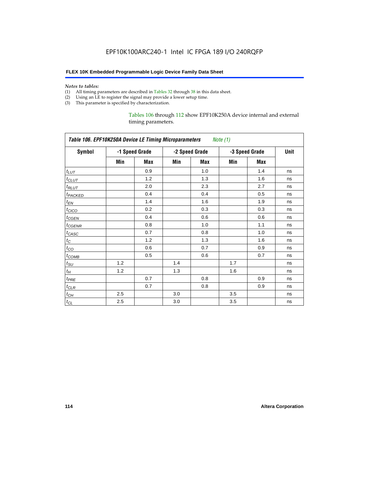#### *Notes to tables:*

- (1) All timing parameters are described in Tables 32 through 38 in this data sheet.
- (2) Using an LE to register the signal may provide a lower setup time.
- (3) This parameter is specified by characterization.

Tables 106 through 112 show EPF10K250A device internal and external timing parameters.

| Table 106. EPF10K250A Device LE Timing Microparameters Note (1) |     |                |     |                |     |                |    |  |
|-----------------------------------------------------------------|-----|----------------|-----|----------------|-----|----------------|----|--|
| <b>Symbol</b>                                                   |     | -1 Speed Grade |     | -2 Speed Grade |     | -3 Speed Grade |    |  |
|                                                                 | Min | <b>Max</b>     | Min | <b>Max</b>     | Min | <b>Max</b>     |    |  |
| $t_{LUT}$                                                       |     | 0.9            |     | 1.0            |     | 1.4            | ns |  |
| $t_{CLUT}$                                                      |     | 1.2            |     | 1.3            |     | 1.6            | ns |  |
| $t_{RLUT}$                                                      |     | 2.0            |     | 2.3            |     | 2.7            | ns |  |
| t <sub>PACKED</sub>                                             |     | 0.4            |     | 0.4            |     | 0.5            | ns |  |
| $t_{EN}$                                                        |     | 1.4            |     | 1.6            |     | 1.9            | ns |  |
| $t_{CICO}$                                                      |     | 0.2            |     | 0.3            |     | 0.3            | ns |  |
| $t_{CGEN}$                                                      |     | 0.4            |     | 0.6            |     | 0.6            | ns |  |
| t <sub>CGENR</sub>                                              |     | 0.8            |     | 1.0            |     | 1.1            | ns |  |
| $t_{CASC}$                                                      |     | 0.7            |     | 0.8            |     | 1.0            | ns |  |
| $t_{\rm C}$                                                     |     | 1.2            |     | 1.3            |     | 1.6            | ns |  |
| $t_{CO}$                                                        |     | 0.6            |     | 0.7            |     | 0.9            | ns |  |
| $t_{COMB}$                                                      |     | 0.5            |     | 0.6            |     | 0.7            | ns |  |
| $t_{\text{SU}}$                                                 | 1.2 |                | 1.4 |                | 1.7 |                | ns |  |
| $t_H$                                                           | 1.2 |                | 1.3 |                | 1.6 |                | ns |  |
| $t_{PRE}$                                                       |     | 0.7            |     | 0.8            |     | 0.9            | ns |  |
| $t_{CLR}$                                                       |     | 0.7            |     | 0.8            |     | 0.9            | ns |  |
| $t_{CH}$                                                        | 2.5 |                | 3.0 |                | 3.5 |                | ns |  |
| $t_{CL}$                                                        | 2.5 |                | 3.0 |                | 3.5 |                | ns |  |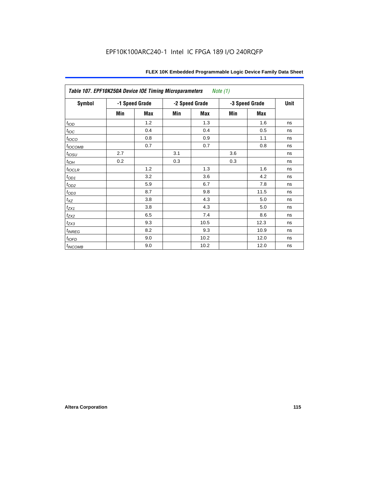| Table 107. EPF10K250A Device IOE Timing Microparameters<br><i>Note</i> $(1)$ |     |                |                |      |                |            |    |
|------------------------------------------------------------------------------|-----|----------------|----------------|------|----------------|------------|----|
| <b>Symbol</b>                                                                |     | -1 Speed Grade | -2 Speed Grade |      | -3 Speed Grade | Unit       |    |
|                                                                              | Min | Max            | Min            | Max  | Min            | <b>Max</b> |    |
| t <sub>IOD</sub>                                                             |     | 1.2            |                | 1.3  |                | 1.6        | ns |
| $t_{\text{loc}}$                                                             |     | 0.4            |                | 0.4  |                | 0.5        | ns |
| $t_{IOCO}$                                                                   |     | 0.8            |                | 0.9  |                | 1.1        | ns |
| $t_{IOCOMB}$                                                                 |     | 0.7            |                | 0.7  |                | 0.8        | ns |
| $t_{IOSU}$                                                                   | 2.7 |                | 3.1            |      | 3.6            |            | ns |
| $t_{IOH}$                                                                    | 0.2 |                | 0.3            |      | 0.3            |            | ns |
| $t_{IOCLR}$                                                                  |     | 1.2            |                | 1.3  |                | 1.6        | ns |
| $t_{OD1}$                                                                    |     | 3.2            |                | 3.6  |                | 4.2        | ns |
| $t_{OD2}$                                                                    |     | 5.9            |                | 6.7  |                | 7.8        | ns |
| $t_{OD3}$                                                                    |     | 8.7            |                | 9.8  |                | 11.5       | ns |
| $t_{\mathsf{XZ}}$                                                            |     | 3.8            |                | 4.3  |                | 5.0        | ns |
| $t_{ZX1}$                                                                    |     | 3.8            |                | 4.3  |                | 5.0        | ns |
| $t_{ZX2}$                                                                    |     | 6.5            |                | 7.4  |                | 8.6        | ns |
| $t_{ZX3}$                                                                    |     | 9.3            |                | 10.5 |                | 12.3       | ns |
| $t_{INREG}$                                                                  |     | 8.2            |                | 9.3  |                | 10.9       | ns |
| $t_{IOFD}$                                                                   |     | 9.0            |                | 10.2 |                | 12.0       | ns |
| t <sub>INCOMB</sub>                                                          |     | 9.0            |                | 10.2 |                | 12.0       | ns |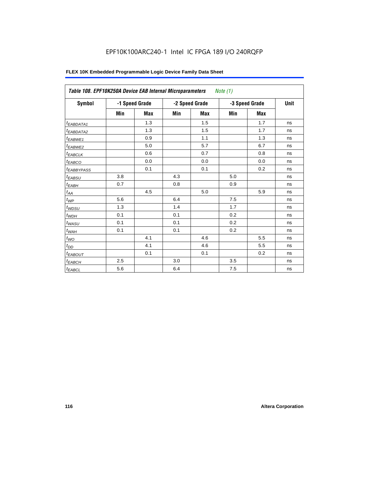| Symbol                 |     | -1 Speed Grade |     | -2 Speed Grade | -3 Speed Grade | <b>Unit</b> |    |
|------------------------|-----|----------------|-----|----------------|----------------|-------------|----|
|                        | Min | <b>Max</b>     | Min | Max            | Min            | Max         |    |
| <sup>t</sup> EABDATA1  |     | 1.3            |     | 1.5            |                | 1.7         | ns |
| <sup>t</sup> EABDATA2  |     | 1.3            |     | 1.5            |                | 1.7         | ns |
| <sup>t</sup> EABWE1    |     | 0.9            |     | 1.1            |                | 1.3         | ns |
| <sup>t</sup> EABWE2    |     | 5.0            |     | 5.7            |                | 6.7         | ns |
| <sup>t</sup> EABCLK    |     | 0.6            |     | 0.7            |                | 0.8         | ns |
| <sup>t</sup> EABCO     |     | 0.0            |     | 0.0            |                | 0.0         | ns |
| <sup>t</sup> EABBYPASS |     | 0.1            |     | 0.1            |                | 0.2         | ns |
| t <sub>EABSU</sub>     | 3.8 |                | 4.3 |                | 5.0            |             | ns |
| t <sub>EABH</sub>      | 0.7 |                | 0.8 |                | 0.9            |             | ns |
| $t_{AA}$               |     | 4.5            |     | 5.0            |                | 5.9         | ns |
| $t_{\mathcal{WP}}$     | 5.6 |                | 6.4 |                | 7.5            |             | ns |
| t <sub>WDSU</sub>      | 1.3 |                | 1.4 |                | 1.7            |             | ns |
| $t_{WDH}$              | 0.1 |                | 0.1 |                | 0.2            |             | ns |
| $t_{WASU}$             | 0.1 |                | 0.1 |                | 0.2            |             | ns |
| $t_{WAH}$              | 0.1 |                | 0.1 |                | 0.2            |             | ns |
| $t_{WO}$               |     | 4.1            |     | 4.6            |                | 5.5         | ns |
| $t_{DD}$               |     | 4.1            |     | 4.6            |                | 5.5         | ns |
| <sup>t</sup> EABOUT    |     | 0.1            |     | 0.1            |                | 0.2         | ns |
| $t_{EABCH}$            | 2.5 |                | 3.0 |                | 3.5            |             | ns |
| $t_{EABCL}$            | 5.6 |                | 6.4 |                | 7.5            |             | ns |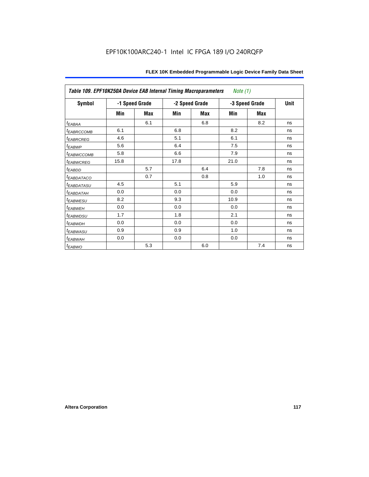| Table 109. EPF10K250A Device EAB Internal Timing Macroparameters<br><i>Note</i> $(1)$ |      |                |                |     |                |            |    |
|---------------------------------------------------------------------------------------|------|----------------|----------------|-----|----------------|------------|----|
| Symbol                                                                                |      | -1 Speed Grade | -2 Speed Grade |     | -3 Speed Grade | Unit       |    |
|                                                                                       | Min  | <b>Max</b>     | Min            | Max | Min            | <b>Max</b> |    |
| $t_{EABA}$                                                                            |      | 6.1            |                | 6.8 |                | 8.2        | ns |
| <sup>t</sup> EABRCCOMB                                                                | 6.1  |                | 6.8            |     | 8.2            |            | ns |
| <sup>t</sup> EABRCREG                                                                 | 4.6  |                | 5.1            |     | 6.1            |            | ns |
| t <sub>EABWP</sub>                                                                    | 5.6  |                | 6.4            |     | 7.5            |            | ns |
| <sup>t</sup> ЕАВWССОМВ                                                                | 5.8  |                | 6.6            |     | 7.9            |            | ns |
| <sup>t</sup> EABWCREG                                                                 | 15.8 |                | 17.8           |     | 21.0           |            | ns |
| $t_{EABDD}$                                                                           |      | 5.7            |                | 6.4 |                | 7.8        | ns |
| <sup>t</sup> EABDATACO                                                                |      | 0.7            |                | 0.8 |                | 1.0        | ns |
| <sup>t</sup> EABDATASU                                                                | 4.5  |                | 5.1            |     | 5.9            |            | ns |
| t <sub>eabdatah</sub>                                                                 | 0.0  |                | 0.0            |     | 0.0            |            | ns |
| <sup>t</sup> EABWESU                                                                  | 8.2  |                | 9.3            |     | 10.9           |            | ns |
| <sup>t</sup> EABWEH                                                                   | 0.0  |                | 0.0            |     | 0.0            |            | ns |
| <i>t<sub>EABWDSU</sub></i>                                                            | 1.7  |                | 1.8            |     | 2.1            |            | ns |
| t <sub>EABWDH</sub>                                                                   | 0.0  |                | 0.0            |     | 0.0            |            | ns |
| <sup>t</sup> EABWASU                                                                  | 0.9  |                | 0.9            |     | 1.0            |            | ns |
| <sup>t</sup> EABWAH                                                                   | 0.0  |                | 0.0            |     | 0.0            |            | ns |
| $t_{EABWO}$                                                                           |      | 5.3            |                | 6.0 |                | 7.4        | ns |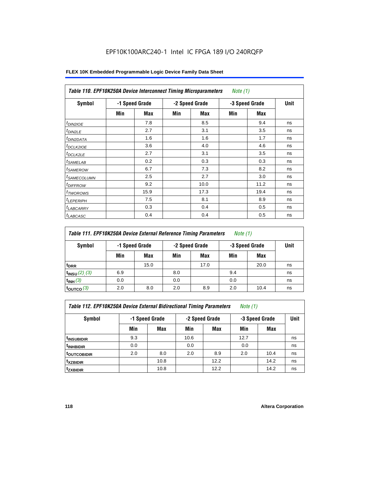| Symbol                     |     | -1 Speed Grade |     | -2 Speed Grade |     | -3 Speed Grade | Unit |  |
|----------------------------|-----|----------------|-----|----------------|-----|----------------|------|--|
|                            | Min | <b>Max</b>     | Min | <b>Max</b>     | Min | <b>Max</b>     |      |  |
| <i>t<sub>DIN2IOE</sub></i> |     | 7.8            |     | 8.5            |     | 9.4            | ns   |  |
| t <sub>DIN2LE</sub>        |     | 2.7            |     | 3.1            |     | 3.5            | ns   |  |
| <sup>t</sup> DIN2DATA      |     | 1.6            |     | 1.6            |     | 1.7            | ns   |  |
| <sup>t</sup> DCLK2IOE      |     | 3.6            |     | 4.0            |     | 4.6            | ns   |  |
| <sup>t</sup> DCLK2LE       |     | 2.7            |     | 3.1            |     | 3.5            | ns   |  |
| <sup>t</sup> SAMELAB       |     | 0.2            |     | 0.3            |     | 0.3            | ns   |  |
| <sup>t</sup> SAMEROW       |     | 6.7            |     | 7.3            |     | 8.2            | ns   |  |
| <sup>t</sup> SAMECOLUMN    |     | 2.5            |     | 2.7            |     | 3.0            | ns   |  |
| <i>t<sub>DIFFROW</sub></i> |     | 9.2            |     | 10.0           |     | 11.2           | ns   |  |
| <sup>t</sup> TWOROWS       |     | 15.9           |     | 17.3           |     | 19.4           | ns   |  |
| <sup>t</sup> LEPERIPH      |     | 7.5            |     | 8.1            |     | 8.9            | ns   |  |
| <sup>t</sup> LABCARRY      |     | 0.3            |     | 0.4            |     | 0.5            | ns   |  |
| <sup>t</sup> LABCASC       |     | 0.4            |     | 0.4            |     | 0.5            | ns   |  |

| Table 111. EPF10K250A Device External Reference Timing Parameters<br><i>Note</i> $(1)$ |     |                |     |                |                |      |    |  |
|----------------------------------------------------------------------------------------|-----|----------------|-----|----------------|----------------|------|----|--|
| Symbol                                                                                 |     | -1 Speed Grade |     | -2 Speed Grade | -3 Speed Grade | Unit |    |  |
|                                                                                        | Min | Max            | Min | Max            | Min            | Max  |    |  |
| <sup>t</sup> DRR                                                                       |     | 15.0           |     | 17.0           |                | 20.0 | ns |  |
| $t_{INSU}(2)$ (3)                                                                      | 6.9 |                | 8.0 |                | 9.4            |      | ns |  |
| $t_{INH}$ (3)                                                                          | 0.0 |                | 0.0 |                | 0.0            |      | ns |  |
| $t_{\rm OUTCO}$ (3)                                                                    | 2.0 | 8.0            | 2.0 | 8.9            | 2.0            | 10.4 | ns |  |

|  | Table 112. EPF10K250A Device External Bidirectional Timing Parameters | Note (1) |  |
|--|-----------------------------------------------------------------------|----------|--|
|--|-----------------------------------------------------------------------|----------|--|

| Symbol                |     | -1 Speed Grade |      | -2 Speed Grade | -3 Speed Grade | <b>Unit</b> |    |
|-----------------------|-----|----------------|------|----------------|----------------|-------------|----|
|                       | Min | Max            | Min  | <b>Max</b>     | Min            | Max         |    |
| <b>t</b> INSUBIDIR    | 9.3 |                | 10.6 |                | 12.7           |             | ns |
| t <sub>INHBIDIR</sub> | 0.0 |                | 0.0  |                | 0.0            |             | ns |
| <b>toutcobidir</b>    | 2.0 | 8.0            | 2.0  | 8.9            | 2.0            | 10.4        | ns |
| t <sub>XZBIDIR</sub>  |     | 10.8           |      | 12.2           |                | 14.2        | ns |
| tzxbidir              |     | 10.8           |      | 12.2           |                | 14.2        | ns |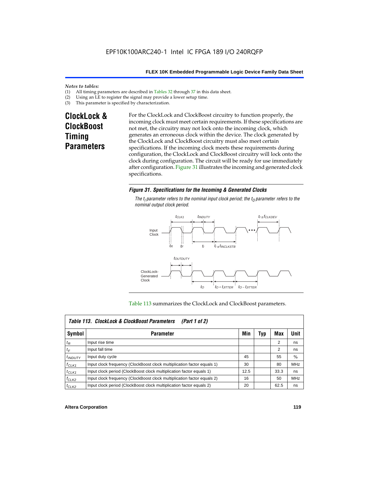#### *Notes to tables:*

- (1) All timing parameters are described in Tables  $32$  through  $37$  in this data sheet.<br>(2) Using an LE to register the signal may provide a lower setup time.
- (2) Using an LE to register the signal may provide a lower setup time.<br>(3) This parameter is specified by characterization.
- This parameter is specified by characterization.

# **ClockLock & ClockBoost Timing Parameters**

For the ClockLock and ClockBoost circuitry to function properly, the incoming clock must meet certain requirements. If these specifications are not met, the circuitry may not lock onto the incoming clock, which generates an erroneous clock within the device. The clock generated by the ClockLock and ClockBoost circuitry must also meet certain specifications. If the incoming clock meets these requirements during configuration, the ClockLock and ClockBoost circuitry will lock onto the clock during configuration. The circuit will be ready for use immediately after configuration. Figure 31 illustrates the incoming and generated clock specifications.

#### *Figure 31. Specifications for the Incoming & Generated Clocks*

The  $t_i$  parameter refers to the nominal input clock period; the  $t_0$  parameter refers to the *nominal output clock period.*



#### Table 113 summarizes the ClockLock and ClockBoost parameters.

|              | Table 113. ClockLock & ClockBoost Parameters<br>(Part 1 of 2)           |      |     |                |            |  |  |  |
|--------------|-------------------------------------------------------------------------|------|-----|----------------|------------|--|--|--|
| Symbol       | <b>Parameter</b>                                                        | Min  | Typ | Max            | Unit       |  |  |  |
| $t_{R}$      | Input rise time                                                         |      |     | $\overline{2}$ | ns         |  |  |  |
| $t_F$        | Input fall time                                                         |      |     | 2              | ns         |  |  |  |
| $t_{INDUTY}$ | Input duty cycle                                                        | 45   |     | 55             | $\%$       |  |  |  |
| $f_{CLK1}$   | Input clock frequency (ClockBoost clock multiplication factor equals 1) | 30   |     | 80             | <b>MHz</b> |  |  |  |
| $t$ CLK1     | Input clock period (ClockBoost clock multiplication factor equals 1)    | 12.5 |     | 33.3           | ns         |  |  |  |
| $f_{CLK2}$   | Input clock frequency (ClockBoost clock multiplication factor equals 2) | 16   |     | 50             | <b>MHz</b> |  |  |  |
| $t_{CLK2}$   | Input clock period (ClockBoost clock multiplication factor equals 2)    | 20   |     | 62.5           | ns         |  |  |  |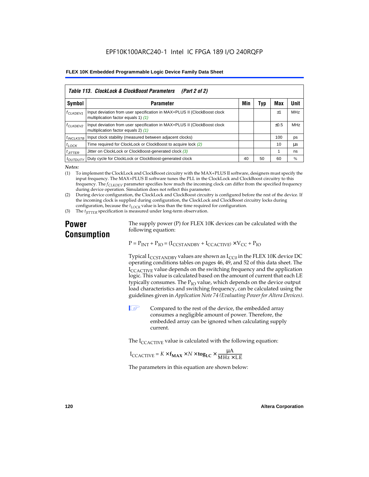|                               | Table 113. ClockLock & ClockBoost Parameters<br>(Part 2 of 2)                                                   |     |     |           |            |  |  |  |  |
|-------------------------------|-----------------------------------------------------------------------------------------------------------------|-----|-----|-----------|------------|--|--|--|--|
| Symbol                        | <b>Parameter</b>                                                                                                | Min | Typ | Max       | Unit       |  |  |  |  |
| <b><i><u>LCLKDEV1</u></i></b> | Input deviation from user specification in MAX+PLUS II (ClockBoost clock<br>multiplication factor equals 1) (1) |     |     | $\pm 1$   | <b>MHz</b> |  |  |  |  |
| <sup>f</sup> CLKDEV2          | Input deviation from user specification in MAX+PLUS II (ClockBoost clock<br>multiplication factor equals 2) (1) |     |     | $\pm 0.5$ | MHz        |  |  |  |  |
| <sup>t</sup> INCLKSTB         | Input clock stability (measured between adjacent clocks)                                                        |     |     | 100       | ps         |  |  |  |  |
| $t_{LOCK}$                    | Time required for ClockLock or ClockBoost to acquire lock (2)                                                   |     |     | 10        | μs         |  |  |  |  |
| $t_{JITTER}$                  | Jitter on ClockLock or ClockBoost-generated clock (3)                                                           |     |     |           | ns         |  |  |  |  |
| <i>toutbuty</i>               | Duty cycle for ClockLock or ClockBoost-generated clock                                                          | 40  | 50  | 60        | %          |  |  |  |  |

*Notes:*

(1) To implement the ClockLock and ClockBoost circuitry with the MAX+PLUS II software, designers must specify the input frequency. The MAX+PLUS II software tunes the PLL in the ClockLock and ClockBoost circuitry to this frequency. The *fCLKDEV* parameter specifies how much the incoming clock can differ from the specified frequency during device operation. Simulation does not reflect this parameter.

(2) During device configuration, the ClockLock and ClockBoost circuitry is configured before the rest of the device. If the incoming clock is supplied during configuration, the ClockLock and ClockBoost circuitry locks during configuration, because the  $t_{LOCK}$  value is less than the time required for configuration.

(3) The *t<sub>IITTER</sub>* specification is measured under long-term observation.

# **Power Consumption**

The supply power (P) for FLEX 10K devices can be calculated with the following equation:

 $P = P_{INT} + P_{IO} = (I_{CCSTANDBY} + I_{CCACTIVE}) \times V_{CC} + P_{IO}$ 

Typical  $I_{CCSTANDBY}$  values are shown as  $I_{CC0}$  in the FLEX 10K device DC operating conditions tables on pages 46, 49, and 52 of this data sheet. The  $I_{\text{CCACTIVE}}$  value depends on the switching frequency and the application logic. This value is calculated based on the amount of current that each LE typically consumes. The  $P_{IO}$  value, which depends on the device output load characteristics and switching frequency, can be calculated using the guidelines given in *Application Note 74 (Evaluating Power for Altera Devices)*.

 $\Box$  Compared to the rest of the device, the embedded array consumes a negligible amount of power. Therefore, the embedded array can be ignored when calculating supply current.

The  $I_{\text{CCACTIVE}}$  value is calculated with the following equation:

$$
I_{\text{CCACTIVE}} = K \times f_{\text{MAX}} \times N \times \text{tog}_{\text{LC}} \times \frac{\mu A}{\text{MHz} \times \text{LE}}
$$

The parameters in this equation are shown below: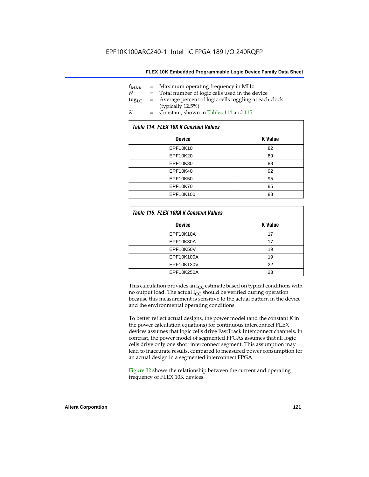| $f_{MAX}$   | $=$ | Maximum operating frequency in MHz                    |
|-------------|-----|-------------------------------------------------------|
| N           |     | Total number of logic cells used in the device        |
| $\log_{LC}$ | $=$ | Average percent of logic cells toggling at each clock |
|             |     | (typically 12.5%)                                     |
| K           | $=$ | Constant, shown in Tables 114 and 115                 |

| Table 114. FLEX 10K K Constant Values |                |  |  |  |  |
|---------------------------------------|----------------|--|--|--|--|
| <b>Device</b>                         | <b>K</b> Value |  |  |  |  |
| EPF10K10                              | 82             |  |  |  |  |
| EPF10K20                              | 89             |  |  |  |  |
| EPF10K30                              | 88             |  |  |  |  |
| EPF10K40                              | 92             |  |  |  |  |
| EPF10K50                              | 95             |  |  |  |  |
| EPF10K70                              | 85             |  |  |  |  |
| EPF10K100                             | 88             |  |  |  |  |

| Table 115. FLEX 10KA K Constant Values |                |
|----------------------------------------|----------------|
| <b>Device</b>                          | <b>K</b> Value |
| <b>EPF10K10A</b>                       | 17             |
| EPF10K30A                              | 17             |
| EPF10K50V                              | 19             |
| EPF10K100A                             | 19             |
| EPF10K130V                             | 22             |
| EPF10K250A                             | 23             |

This calculation provides an  $I_{CC}$  estimate based on typical conditions with no output load. The actual  $I_{CC}$  should be verified during operation because this measurement is sensitive to the actual pattern in the device and the environmental operating conditions.

To better reflect actual designs, the power model (and the constant *K* in the power calculation equations) for continuous interconnect FLEX devices assumes that logic cells drive FastTrack Interconnect channels. In contrast, the power model of segmented FPGAs assumes that all logic cells drive only one short interconnect segment. This assumption may lead to inaccurate results, compared to measured power consumption for an actual design in a segmented interconnect FPGA.

Figure 32 shows the relationship between the current and operating frequency of FLEX 10K devices.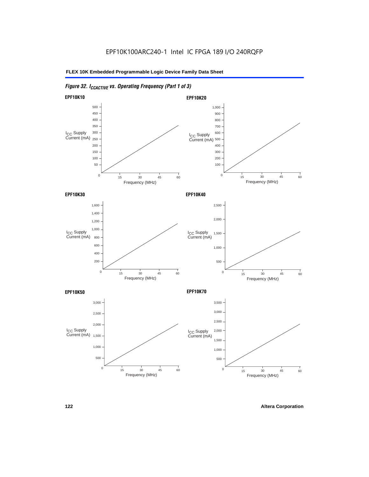# *Figure 32. ICCACTIVE vs. Operating Frequency (Part 1 of 3)*

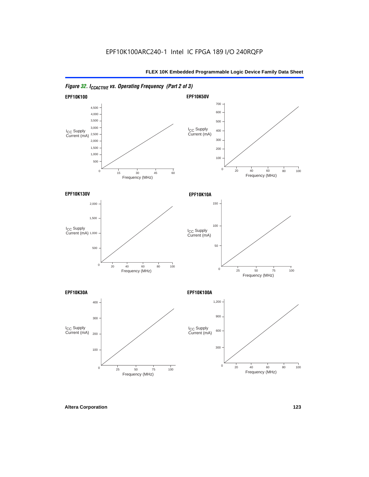



**Altera Corporation 123**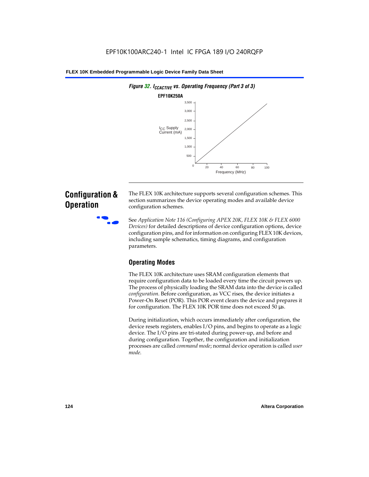

# **Configuration & Operation**

The FLEX 10K architecture supports several configuration schemes. This section summarizes the device operating modes and available device configuration schemes.

f See *Application Note 116 (Configuring APEX 20K, FLEX 10K & FLEX 6000 Devices)* for detailed descriptions of device configuration options, device configuration pins, and for information on configuring FLEX 10K devices, including sample schematics, timing diagrams, and configuration parameters.

## **Operating Modes**

The FLEX 10K architecture uses SRAM configuration elements that require configuration data to be loaded every time the circuit powers up. The process of physically loading the SRAM data into the device is called *configuration*. Before configuration, as VCC rises, the device initiates a Power-On Reset (POR). This POR event clears the device and prepares it for configuration. The FLEX 10K POR time does not exceed 50 µs.

During initialization, which occurs immediately after configuration, the device resets registers, enables I/O pins, and begins to operate as a logic device. The I/O pins are tri-stated during power-up, and before and during configuration. Together, the configuration and initialization processes are called *command mode*; normal device operation is called *user mode*.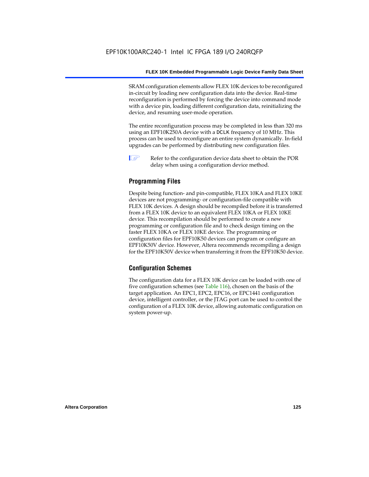SRAM configuration elements allow FLEX 10K devices to be reconfigured in-circuit by loading new configuration data into the device. Real-time reconfiguration is performed by forcing the device into command mode with a device pin, loading different configuration data, reinitializing the device, and resuming user-mode operation.

The entire reconfiguration process may be completed in less than 320 ms using an EPF10K250A device with a DCLK frequency of 10 MHz. This process can be used to reconfigure an entire system dynamically. In-field upgrades can be performed by distributing new configuration files.

 $\Box$  Refer to the configuration device data sheet to obtain the POR delay when using a configuration device method.

## **Programming Files**

Despite being function- and pin-compatible, FLEX 10KA and FLEX 10KE devices are not programming- or configuration-file compatible with FLEX 10K devices. A design should be recompiled before it is transferred from a FLEX 10K device to an equivalent FLEX 10KA or FLEX 10KE device. This recompilation should be performed to create a new programming or configuration file and to check design timing on the faster FLEX 10KA or FLEX 10KE device. The programming or configuration files for EPF10K50 devices can program or configure an EPF10K50V device. However, Altera recommends recompiling a design for the EPF10K50V device when transferring it from the EPF10K50 device.

### **Configuration Schemes**

The configuration data for a FLEX 10K device can be loaded with one of five configuration schemes (see Table 116), chosen on the basis of the target application. An EPC1, EPC2, EPC16, or EPC1441 configuration device, intelligent controller, or the JTAG port can be used to control the configuration of a FLEX 10K device, allowing automatic configuration on system power-up.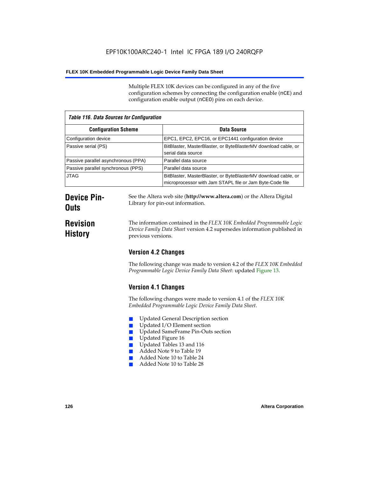Multiple FLEX 10K devices can be configured in any of the five configuration schemes by connecting the configuration enable (nCE) and configuration enable output (nCEO) pins on each device.

| <b>Table 116. Data Sources for Configuration</b> |                                                                                                                            |  |
|--------------------------------------------------|----------------------------------------------------------------------------------------------------------------------------|--|
| <b>Configuration Scheme</b>                      | Data Source                                                                                                                |  |
| Configuration device                             | EPC1, EPC2, EPC16, or EPC1441 configuration device                                                                         |  |
| Passive serial (PS)                              | BitBlaster, MasterBlaster, or ByteBlasterMV download cable, or<br>serial data source                                       |  |
| Passive parallel asynchronous (PPA)              | Parallel data source                                                                                                       |  |
| Passive parallel synchronous (PPS)               | Parallel data source                                                                                                       |  |
| <b>JTAG</b>                                      | BitBlaster, MasterBlaster, or ByteBlasterMV download cable, or<br>microprocessor with Jam STAPL file or Jam Byte-Code file |  |

# **Device Pin-Outs**

# **Revision History**

The information contained in the *FLEX 10K Embedded Programmable Logic Device Family Data Sheet* version 4.2 supersedes information published in

See the Altera web site (**http://www.altera.com**) or the Altera Digital

# **Version 4.2 Changes**

previous versions.

Library for pin-out information.

The following change was made to version 4.2 of the *FLEX 10K Embedded Programmable Logic Device Family Data Sheet*: updated Figure 13.

# **Version 4.1 Changes**

The following changes were made to version 4.1 of the *FLEX 10K Embedded Programmable Logic Device Family Data Sheet*.

- Updated General Description section
- Updated I/O Element section
- Updated SameFrame Pin-Outs section
- Updated Figure 16
- Updated Tables 13 and 116
- Added Note 9 to Table 19
- Added Note 10 to Table 24
- Added Note 10 to Table 28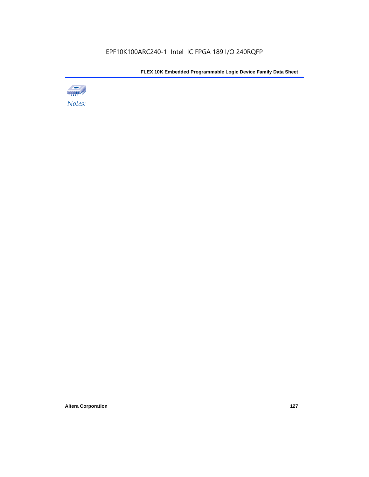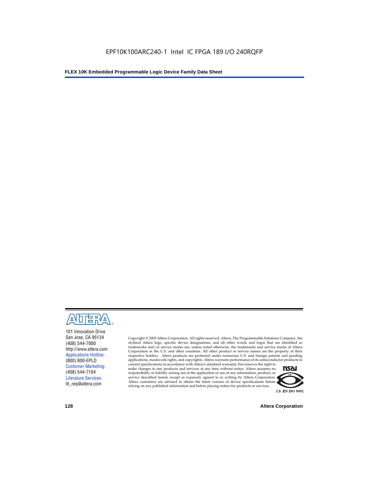

101 Innovation Drive San Jose, CA 95134 (408) 544-7000 http://www.altera.com Applications Hotline: (800) 800-EPLD Customer Marketing: (408) 544-7104 Literature Services: lit\_req@altera.com

Copyright © 2003 Altera Corporation. All rights reserved. Altera, The Programmable Solutions Company, the stylized Altera logo, specific device designations, and all other words and logos that are identified as trademarks and/or service marks are, unless noted otherwise, the trademarks and service marks of Altera Corporation in the U.S. and other countries. All other product or service names are the property of their respective holders. Altera products are protected under numerous U.S. and foreign patents and pending applications, maskwork rights, and copyrights. Altera warrants performance of its semiconductor products to

current specifications in accordance with Altera's standard warranty, but reserves the right to make changes to any products and services at any time without notice. Altera assumes no responsibility or liability arising out of the application or use of any information, product, or service described herein except as expressly agreed to in writing by Altera Corporation. Altera customers are advised to obtain the latest version of device specifications before relying on any published information and before placing orders for products or services.